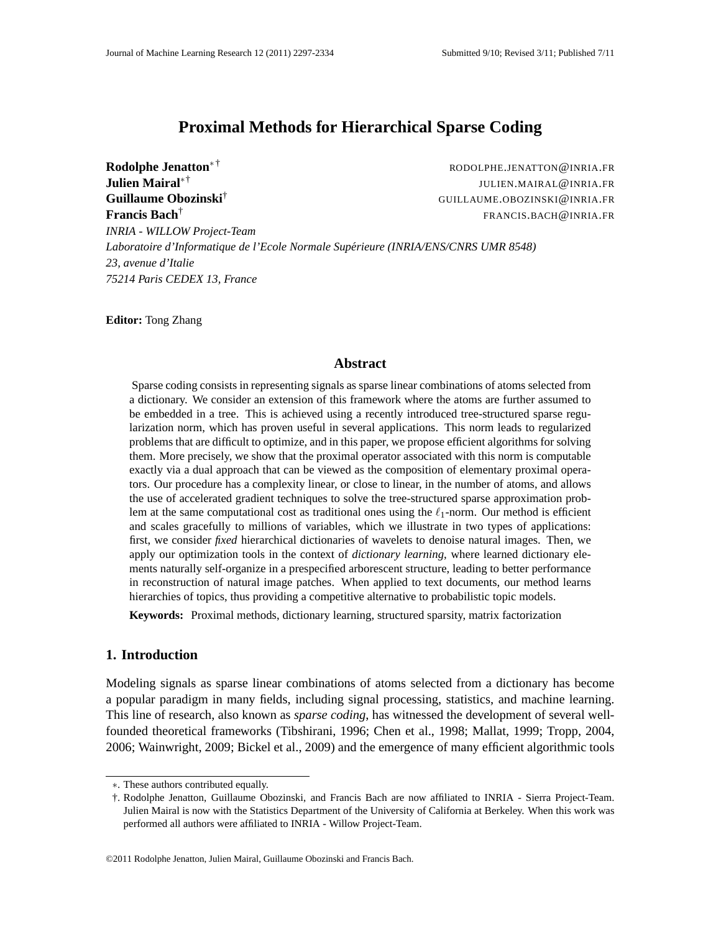# **Proximal Methods for Hierarchical Sparse Coding**

**Rodolphe Jenatton**<sup>∗</sup> † RODOLPHE.JENATTON@INRIA.FR **Julien Mairal**∗† JULIEN.MAIRAL@INRIA.FR **Guillaume Obozinski**† GUILLAUME.OBOZINSKI@INRIA.FR **Francis Bach**† FRANCIS.BACH@INRIA.FR *INRIA - WILLOW Project-Team Laboratoire d'Informatique de l'Ecole Normale Superieure (INRIA/ENS/CNRS UMR 8548) ´ 23, avenue d'Italie 75214 Paris CEDEX 13, France*

**Editor:** Tong Zhang

## **Abstract**

Sparse coding consists in representing signals as sparse linear combinations of atoms selected from a dictionary. We consider an extension of this framework where the atoms are further assumed to be embedded in a tree. This is achieved using a recently introduced tree-structured sparse regularization norm, which has proven useful in several applications. This norm leads to regularized problems that are difficult to optimize, and in this paper, we propose efficient algorithms for solving them. More precisely, we show that the proximal operator associated with this norm is computable exactly via a dual approach that can be viewed as the composition of elementary proximal operators. Our procedure has a complexity linear, or close to linear, in the number of atoms, and allows the use of accelerated gradient techniques to solve the tree-structured sparse approximation problem at the same computational cost as traditional ones using the  $\ell_1$ -norm. Our method is efficient and scales gracefully to millions of variables, which we illustrate in two types of applications: first, we consider *fixed* hierarchical dictionaries of wavelets to denoise natural images. Then, we apply our optimization tools in the context of *dictionary learning*, where learned dictionary elements naturally self-organize in a prespecified arborescent structure, leading to better performance in reconstruction of natural image patches. When applied to text documents, our method learns hierarchies of topics, thus providing a competitive alternative to probabilistic topic models.

**Keywords:** Proximal methods, dictionary learning, structured sparsity, matrix factorization

## **1. Introduction**

Modeling signals as sparse linear combinations of atoms selected from a dictionary has become a popular paradigm in many fields, including signal processing, statistics, and machine learning. This line of research, also known as *sparse coding*, has witnessed the development of several wellfounded theoretical frameworks (Tibshirani, 1996; Chen et al., 1998; Mallat, 1999; Tropp, 2004, 2006; Wainwright, 2009; Bickel et al., 2009) and the emergence of many efficient algorithmic tools

<sup>∗</sup>. These authors contributed equally.

<sup>†.</sup> Rodolphe Jenatton, Guillaume Obozinski, and Francis Bach are now affiliated to INRIA - Sierra Project-Team. Julien Mairal is now with the Statistics Department of the University of California at Berkeley. When this work was performed all authors were affiliated to INRIA - Willow Project-Team.

<sup>©2011</sup> Rodolphe Jenatton, Julien Mairal, Guillaume Obozinski and Francis Bach.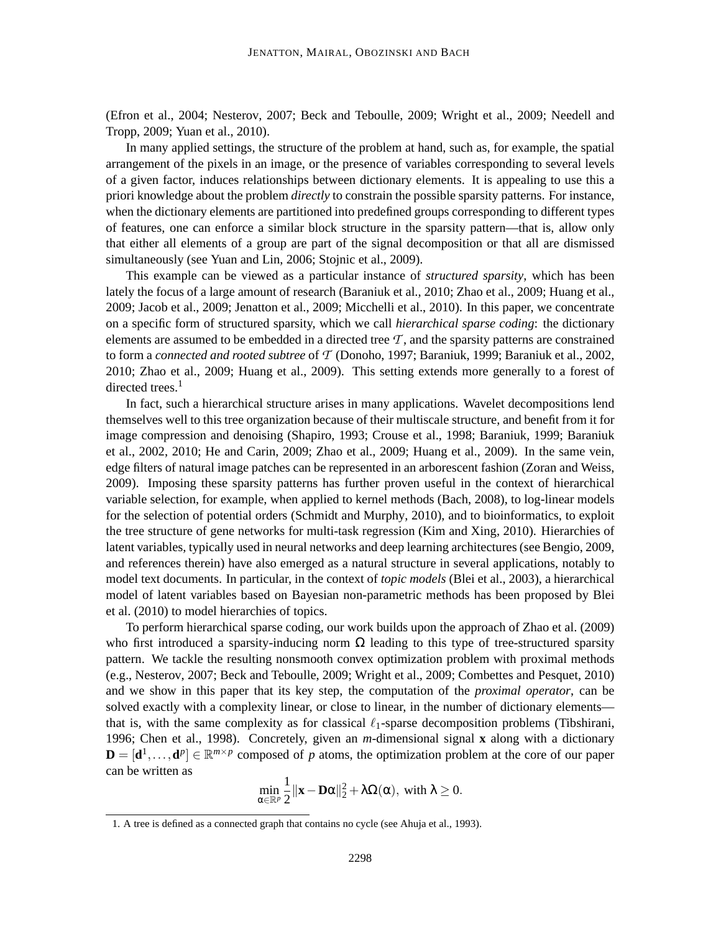(Efron et al., 2004; Nesterov, 2007; Beck and Teboulle, 2009; Wright et al., 2009; Needell and Tropp, 2009; Yuan et al., 2010).

In many applied settings, the structure of the problem at hand, such as, for example, the spatial arrangement of the pixels in an image, or the presence of variables corresponding to several levels of a given factor, induces relationships between dictionary elements. It is appealing to use this a priori knowledge about the problem *directly* to constrain the possible sparsity patterns. For instance, when the dictionary elements are partitioned into predefined groups corresponding to different types of features, one can enforce a similar block structure in the sparsity pattern—that is, allow only that either all elements of a group are part of the signal decomposition or that all are dismissed simultaneously (see Yuan and Lin, 2006; Stojnic et al., 2009).

This example can be viewed as a particular instance of *structured sparsity*, which has been lately the focus of a large amount of research (Baraniuk et al., 2010; Zhao et al., 2009; Huang et al., 2009; Jacob et al., 2009; Jenatton et al., 2009; Micchelli et al., 2010). In this paper, we concentrate on a specific form of structured sparsity, which we call *hierarchical sparse coding*: the dictionary elements are assumed to be embedded in a directed tree  $T$ , and the sparsity patterns are constrained to form a *connected and rooted subtree* of *T* (Donoho, 1997; Baraniuk, 1999; Baraniuk et al., 2002, 2010; Zhao et al., 2009; Huang et al., 2009). This setting extends more generally to a forest of directed trees. $<sup>1</sup>$ </sup>

In fact, such a hierarchical structure arises in many applications. Wavelet decompositions lend themselves well to this tree organization because of their multiscale structure, and benefit from it for image compression and denoising (Shapiro, 1993; Crouse et al., 1998; Baraniuk, 1999; Baraniuk et al., 2002, 2010; He and Carin, 2009; Zhao et al., 2009; Huang et al., 2009). In the same vein, edge filters of natural image patches can be represented in an arborescent fashion (Zoran and Weiss, 2009). Imposing these sparsity patterns has further proven useful in the context of hierarchical variable selection, for example, when applied to kernel methods (Bach, 2008), to log-linear models for the selection of potential orders (Schmidt and Murphy, 2010), and to bioinformatics, to exploit the tree structure of gene networks for multi-task regression (Kim and Xing, 2010). Hierarchies of latent variables, typically used in neural networks and deep learning architectures (see Bengio, 2009, and references therein) have also emerged as a natural structure in several applications, notably to model text documents. In particular, in the context of *topic models* (Blei et al., 2003), a hierarchical model of latent variables based on Bayesian non-parametric methods has been proposed by Blei et al. (2010) to model hierarchies of topics.

To perform hierarchical sparse coding, our work builds upon the approach of Zhao et al. (2009) who first introduced a sparsity-inducing norm  $\Omega$  leading to this type of tree-structured sparsity pattern. We tackle the resulting nonsmooth convex optimization problem with proximal methods (e.g., Nesterov, 2007; Beck and Teboulle, 2009; Wright et al., 2009; Combettes and Pesquet, 2010) and we show in this paper that its key step, the computation of the *proximal operator*, can be solved exactly with a complexity linear, or close to linear, in the number of dictionary elements that is, with the same complexity as for classical  $\ell_1$ -sparse decomposition problems (Tibshirani, 1996; Chen et al., 1998). Concretely, given an *m*-dimensional signal **x** along with a dictionary  $\mathbf{D} = [\mathbf{d}^1, \dots, \mathbf{d}^p] \in \mathbb{R}^{m \times p}$  composed of *p* atoms, the optimization problem at the core of our paper can be written as

$$
\min_{\alpha\in\mathbb{R}^p}\frac{1}{2}\|\mathbf{x}-\mathbf{D}\alpha\|_2^2+\lambda\Omega(\alpha),\text{ with }\lambda\geq 0.
$$

<sup>1.</sup> A tree is defined as a connected graph that contains no cycle (see Ahuja et al., 1993).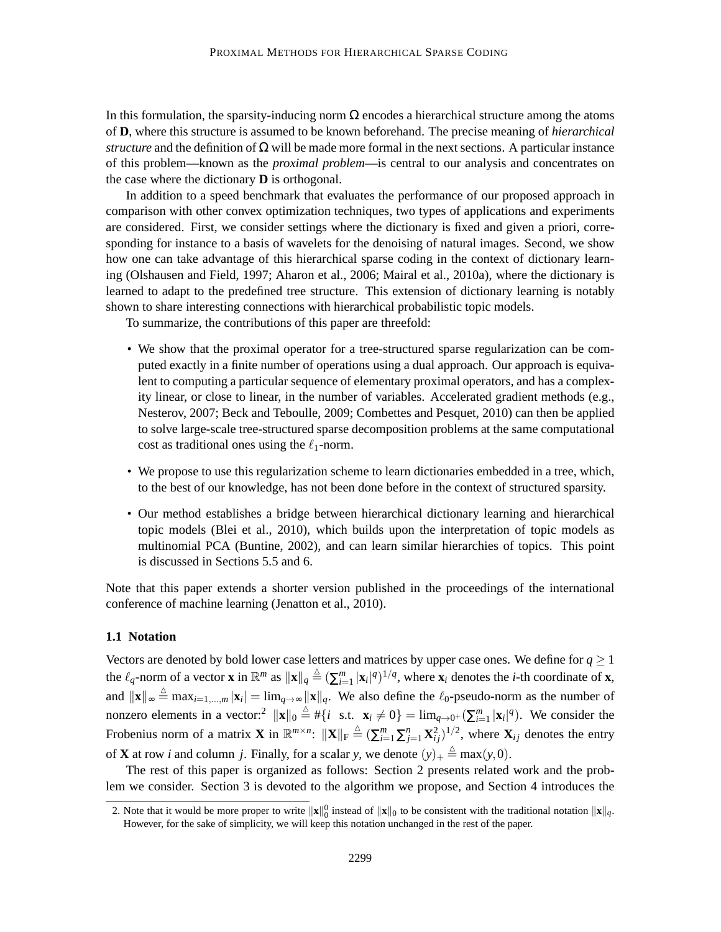In this formulation, the sparsity-inducing norm  $\Omega$  encodes a hierarchical structure among the atoms of **D**, where this structure is assumed to be known beforehand. The precise meaning of *hierarchical structure* and the definition of  $\Omega$  will be made more formal in the next sections. A particular instance of this problem—known as the *proximal problem*—is central to our analysis and concentrates on the case where the dictionary **D** is orthogonal.

In addition to a speed benchmark that evaluates the performance of our proposed approach in comparison with other convex optimization techniques, two types of applications and experiments are considered. First, we consider settings where the dictionary is fixed and given a priori, corresponding for instance to a basis of wavelets for the denoising of natural images. Second, we show how one can take advantage of this hierarchical sparse coding in the context of dictionary learning (Olshausen and Field, 1997; Aharon et al., 2006; Mairal et al., 2010a), where the dictionary is learned to adapt to the predefined tree structure. This extension of dictionary learning is notably shown to share interesting connections with hierarchical probabilistic topic models.

To summarize, the contributions of this paper are threefold:

- We show that the proximal operator for a tree-structured sparse regularization can be computed exactly in a finite number of operations using a dual approach. Our approach is equivalent to computing a particular sequence of elementary proximal operators, and has a complexity linear, or close to linear, in the number of variables. Accelerated gradient methods (e.g., Nesterov, 2007; Beck and Teboulle, 2009; Combettes and Pesquet, 2010) can then be applied to solve large-scale tree-structured sparse decomposition problems at the same computational cost as traditional ones using the  $\ell_1$ -norm.
- We propose to use this regularization scheme to learn dictionaries embedded in a tree, which, to the best of our knowledge, has not been done before in the context of structured sparsity.
- Our method establishes a bridge between hierarchical dictionary learning and hierarchical topic models (Blei et al., 2010), which builds upon the interpretation of topic models as multinomial PCA (Buntine, 2002), and can learn similar hierarchies of topics. This point is discussed in Sections 5.5 and 6.

Note that this paper extends a shorter version published in the proceedings of the international conference of machine learning (Jenatton et al., 2010).

#### **1.1 Notation**

Vectors are denoted by bold lower case letters and matrices by upper case ones. We define for  $q \ge 1$ the  $\ell_q$ -norm of a vector **x** in  $\mathbb{R}^m$  as  $\|\mathbf{x}\|_q \triangleq (\sum_{i=1}^m |\mathbf{x}_i|^q)^{1/q}$ , where  $\mathbf{x}_i$  denotes the *i*-th coordinate of **x**, and  $\|\mathbf{x}\|_{\infty} \triangleq \max_{i=1,\dots,m} |\mathbf{x}_i| = \lim_{q \to \infty} \|\mathbf{x}\|_q$ . We also define the  $\ell_0$ -pseudo-norm as the number of nonzero elements in a vector:<sup>2</sup>  $\|\mathbf{x}\|_0 \stackrel{\Delta}{=} \# \{i \text{ s.t. } \mathbf{x}_i \neq 0\} = \lim_{q \to 0^+} (\sum_{i=1}^m |\mathbf{x}_i|^q)$ . We consider the Frobenius norm of a matrix **X** in  $\mathbb{R}^{m \times n}$ :  $\|\mathbf{X}\|_{\text{F}} \triangleq (\sum_{i=1}^{m} \sum_{j=1}^{n} \mathbf{X}_{ij}^2)^{1/2}$ , where  $\mathbf{X}_{ij}$  denotes the entry of **X** at row *i* and column *j*. Finally, for a scalar *y*, we denote  $(y)$ <sub>+</sub>  $\stackrel{\triangle}{=}$  max $(y,0)$ .

The rest of this paper is organized as follows: Section 2 presents related work and the problem we consider. Section 3 is devoted to the algorithm we propose, and Section 4 introduces the

<sup>2.</sup> Note that it would be more proper to write  $\|\mathbf{x}\|_0^0$  instead of  $\|\mathbf{x}\|_0$  to be consistent with the traditional notation  $\|\mathbf{x}\|_q$ . However, for the sake of simplicity, we will keep this notation unchanged in the rest of the paper.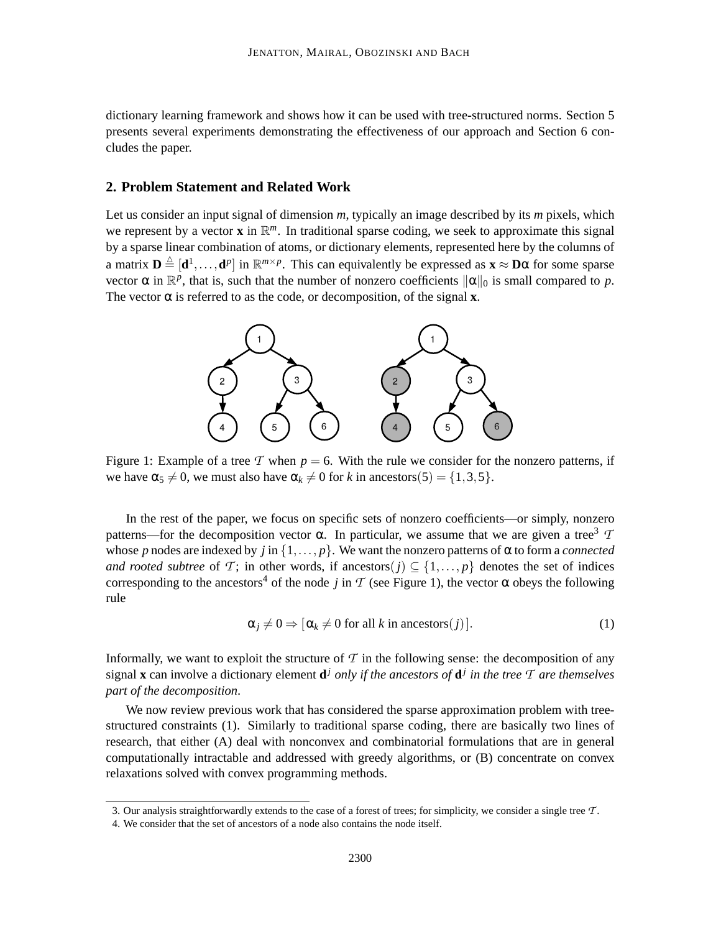dictionary learning framework and shows how it can be used with tree-structured norms. Section 5 presents several experiments demonstrating the effectiveness of our approach and Section 6 concludes the paper.

## **2. Problem Statement and Related Work**

Let us consider an input signal of dimension *m*, typically an image described by its *m* pixels, which we represent by a vector **x** in  $\mathbb{R}^m$ . In traditional sparse coding, we seek to approximate this signal by a sparse linear combination of atoms, or dictionary elements, represented here by the columns of a matrix  $\mathbf{D} \triangleq [\mathbf{d}^1, \dots, \mathbf{d}^p]$  in  $\mathbb{R}^{m \times p}$ . This can equivalently be expressed as  $\mathbf{x} \approx \mathbf{D}\alpha$  for some sparse vector  $\alpha$  in  $\mathbb{R}^p$ , that is, such that the number of nonzero coefficients  $\|\alpha\|_0$  is small compared to *p*. The vector  $\alpha$  is referred to as the code, or decomposition, of the signal **x**.



Figure 1: Example of a tree  $T$  when  $p = 6$ . With the rule we consider for the nonzero patterns, if we have  $\alpha_5 \neq 0$ , we must also have  $\alpha_k \neq 0$  for *k* in ancestors(5) = {1,3,5}.

In the rest of the paper, we focus on specific sets of nonzero coefficients—or simply, nonzero patterns—for the decomposition vector α. In particular, we assume that we are given a tree<sup>3</sup>  $\tau$ whose *p* nodes are indexed by *j* in  $\{1,\ldots,p\}$ . We want the nonzero patterns of  $\alpha$  to form a *connected and rooted subtree* of *T*; in other words, if ancestors(*j*)  $\subseteq$  {1,..., *p*} denotes the set of indices corresponding to the ancestors<sup>4</sup> of the node *j* in *T* (see Figure 1), the vector  $\alpha$  obeys the following rule

$$
\alpha_j \neq 0 \Rightarrow [\alpha_k \neq 0 \text{ for all } k \text{ in ancestors}(j)]. \tag{1}
$$

Informally, we want to exploit the structure of  $\mathcal T$  in the following sense: the decomposition of any signal **x** can involve a dictionary element **d** *<sup>j</sup> only if the ancestors of* **d** *j in the tree T are themselves part of the decomposition*.

We now review previous work that has considered the sparse approximation problem with treestructured constraints (1). Similarly to traditional sparse coding, there are basically two lines of research, that either (A) deal with nonconvex and combinatorial formulations that are in general computationally intractable and addressed with greedy algorithms, or (B) concentrate on convex relaxations solved with convex programming methods.

<sup>3.</sup> Our analysis straightforwardly extends to the case of a forest of trees; for simplicity, we consider a single tree *T* .

<sup>4.</sup> We consider that the set of ancestors of a node also contains the node itself.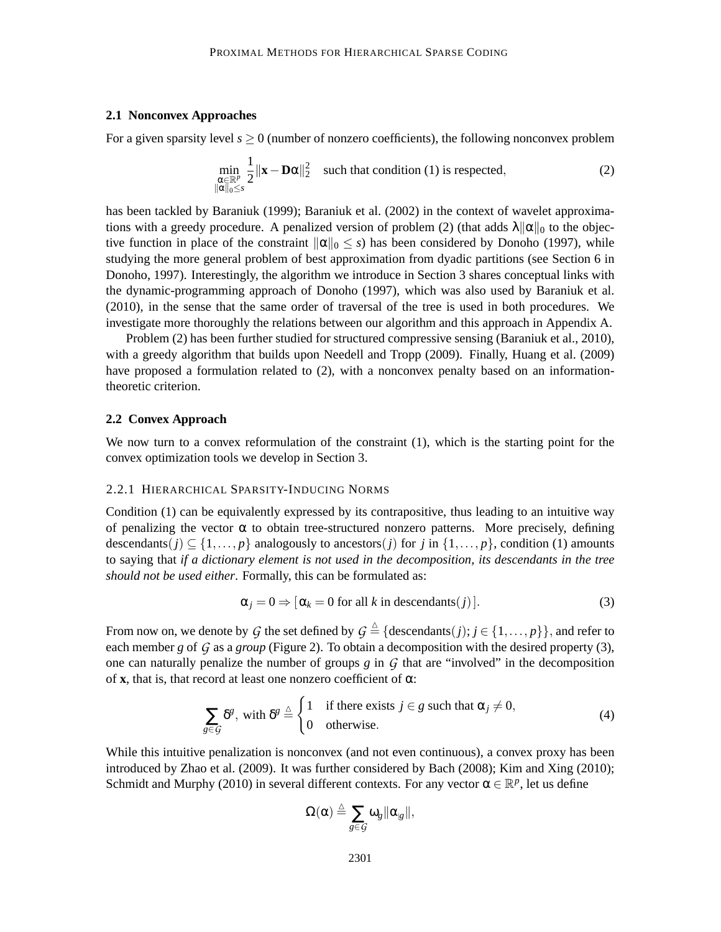## **2.1 Nonconvex Approaches**

For a given sparsity level  $s \geq 0$  (number of nonzero coefficients), the following nonconvex problem

$$
\min_{\substack{\alpha \in \mathbb{R}^p \\ \|\alpha\|_0 \le s}} \frac{1}{2} \|\mathbf{x} - \mathbf{D}\alpha\|_2^2 \quad \text{such that condition (1) is respected,} \tag{2}
$$

has been tackled by Baraniuk (1999); Baraniuk et al. (2002) in the context of wavelet approximations with a greedy procedure. A penalized version of problem (2) (that adds  $\lambda ||\alpha||_0$  to the objective function in place of the constraint  $\|\alpha\|_0 \leq s$ ) has been considered by Donoho (1997), while studying the more general problem of best approximation from dyadic partitions (see Section 6 in Donoho, 1997). Interestingly, the algorithm we introduce in Section 3 shares conceptual links with the dynamic-programming approach of Donoho (1997), which was also used by Baraniuk et al. (2010), in the sense that the same order of traversal of the tree is used in both procedures. We investigate more thoroughly the relations between our algorithm and this approach in Appendix A.

Problem (2) has been further studied for structured compressive sensing (Baraniuk et al., 2010), with a greedy algorithm that builds upon Needell and Tropp (2009). Finally, Huang et al. (2009) have proposed a formulation related to (2), with a nonconvex penalty based on an informationtheoretic criterion.

### **2.2 Convex Approach**

We now turn to a convex reformulation of the constraint (1), which is the starting point for the convex optimization tools we develop in Section 3.

#### 2.2.1 HIERARCHICAL SPARSITY-INDUCING NORMS

Condition (1) can be equivalently expressed by its contrapositive, thus leading to an intuitive way of penalizing the vector  $\alpha$  to obtain tree-structured nonzero patterns. More precisely, defining descendants(*j*)  $\subseteq$  {1,..., *p*} analogously to ancestors(*j*) for *j* in {1,..., *p*}, condition (1) amounts to saying that *if a dictionary element is not used in the decomposition, its descendants in the tree should not be used either*. Formally, this can be formulated as:

$$
\alpha_j = 0 \Rightarrow [\alpha_k = 0 \text{ for all } k \text{ in descendants}(j)]. \tag{3}
$$

From now on, we denote by  $G$  the set defined by  $G \triangleq \{ \text{descendants}(j); j \in \{1, \ldots, p\} \}$ , and refer to each member *g* of *G* as a *group* (Figure 2). To obtain a decomposition with the desired property (3), one can naturally penalize the number of groups  $g$  in  $G$  that are "involved" in the decomposition of  $x$ , that is, that record at least one nonzero coefficient of  $\alpha$ :

$$
\sum_{g \in \mathcal{G}} \delta^g, \text{ with } \delta^g \stackrel{\Delta}{=} \begin{cases} 1 & \text{if there exists } j \in g \text{ such that } \alpha_j \neq 0, \\ 0 & \text{otherwise.} \end{cases}
$$
 (4)

While this intuitive penalization is nonconvex (and not even continuous), a convex proxy has been introduced by Zhao et al. (2009). It was further considered by Bach (2008); Kim and Xing (2010); Schmidt and Murphy (2010) in several different contexts. For any vector  $\alpha \in \mathbb{R}^p$ , let us define

$$
\Omega(\alpha) \stackrel{\vartriangle}{=} \sum_{g \in \mathcal{G}} \omega_g \| \alpha_{|g} \|,
$$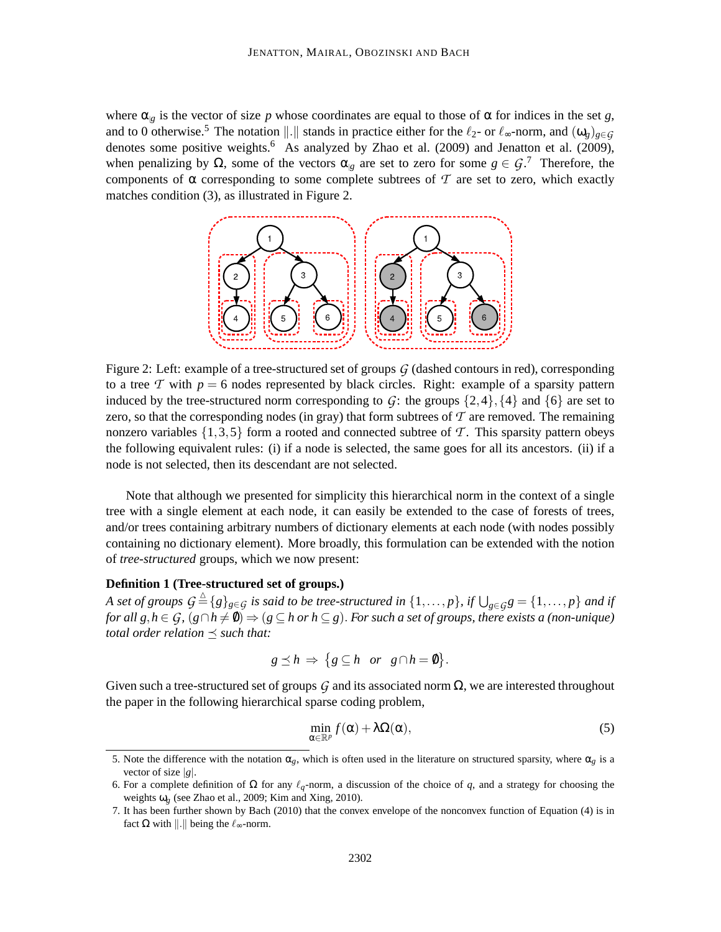where  $\alpha_{g}$  is the vector of size *p* whose coordinates are equal to those of  $\alpha$  for indices in the set *g*, and to 0 otherwise.<sup>5</sup> The notation  $\Vert . \Vert$  stands in practice either for the  $\ell_2$ - or  $\ell_{\infty}$ -norm, and  $(\omega_g)_{g \in G}$ denotes some positive weights.<sup>6</sup> As analyzed by Zhao et al. (2009) and Jenatton et al. (2009), when penalizing by  $\Omega$ , some of the vectors  $\alpha_{|g|}$  are set to zero for some  $g \in \mathcal{G}$ .<sup>7</sup> Therefore, the components of  $\alpha$  corresponding to some complete subtrees of  $\mathcal T$  are set to zero, which exactly matches condition (3), as illustrated in Figure 2.



Figure 2: Left: example of a tree-structured set of groups *G* (dashed contours in red), corresponding to a tree  $T$  with  $p = 6$  nodes represented by black circles. Right: example of a sparsity pattern induced by the tree-structured norm corresponding to  $G$ : the groups  $\{2,4\}, \{4\}$  and  $\{6\}$  are set to zero, so that the corresponding nodes (in gray) that form subtrees of  $\mathcal T$  are removed. The remaining nonzero variables  $\{1,3,5\}$  form a rooted and connected subtree of T. This sparsity pattern obeys the following equivalent rules: (i) if a node is selected, the same goes for all its ancestors. (ii) if a node is not selected, then its descendant are not selected.

Note that although we presented for simplicity this hierarchical norm in the context of a single tree with a single element at each node, it can easily be extended to the case of forests of trees, and/or trees containing arbitrary numbers of dictionary elements at each node (with nodes possibly containing no dictionary element). More broadly, this formulation can be extended with the notion of *tree-structured* groups, which we now present:

## **Definition 1 (Tree-structured set of groups.)**

*A set of groups*  $G \triangleq \{g\}_{g \in G}$  *is said to be tree-structured in*  $\{1,\ldots,p\}$ *, if*  $\bigcup_{g \in G} g = \{1,\ldots,p\}$  *and if for all g, h* ∈ *G*,  $(g \cap h \neq \emptyset)$   $\Rightarrow$   $(g \subseteq h \text{ or } h \subseteq g)$ . *For such a set of groups, there exists a (non-unique) total order relation*  $\preceq$  *such that:* 

$$
g \preceq h \Rightarrow \{ g \subseteq h \text{ or } g \cap h = \emptyset \}.
$$

Given such a tree-structured set of groups  $G$  and its associated norm  $\Omega$ , we are interested throughout the paper in the following hierarchical sparse coding problem,

$$
\min_{\alpha \in \mathbb{R}^p} f(\alpha) + \lambda \Omega(\alpha),\tag{5}
$$

<sup>5.</sup> Note the difference with the notation  $\alpha_g$ , which is often used in the literature on structured sparsity, where  $\alpha_g$  is a vector of size |*g*|.

<sup>6.</sup> For a complete definition of  $\Omega$  for any  $\ell_q$ -norm, a discussion of the choice of q, and a strategy for choosing the weights ω*g* (see Zhao et al., 2009; Kim and Xing, 2010).

<sup>7.</sup> It has been further shown by Bach (2010) that the convex envelope of the nonconvex function of Equation (4) is in fact Ω with ||.|| being the  $\ell_{\infty}$ -norm.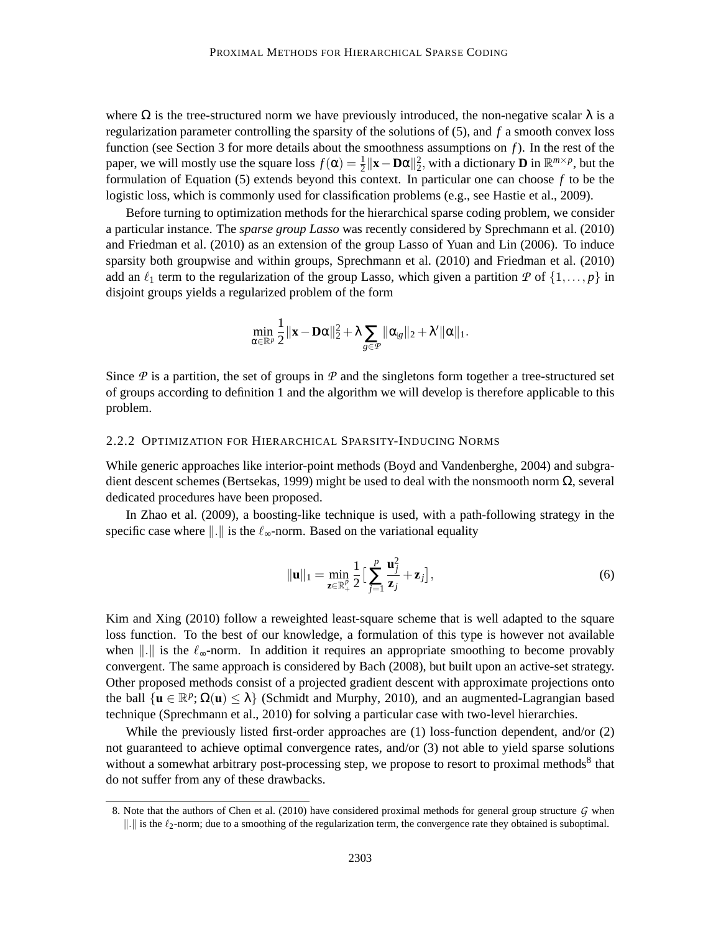where  $\Omega$  is the tree-structured norm we have previously introduced, the non-negative scalar  $\lambda$  is a regularization parameter controlling the sparsity of the solutions of (5), and *f* a smooth convex loss function (see Section 3 for more details about the smoothness assumptions on *f*). In the rest of the paper, we will mostly use the square loss  $f(\alpha) = \frac{1}{2} ||\mathbf{x} - \mathbf{D}\alpha||_2^2$ , with a dictionary **D** in  $\mathbb{R}^{m \times p}$ , but the formulation of Equation (5) extends beyond this context. In particular one can choose *f* to be the logistic loss, which is commonly used for classification problems (e.g., see Hastie et al., 2009).

Before turning to optimization methods for the hierarchical sparse coding problem, we consider a particular instance. The *sparse group Lasso* was recently considered by Sprechmann et al. (2010) and Friedman et al. (2010) as an extension of the group Lasso of Yuan and Lin (2006). To induce sparsity both groupwise and within groups, Sprechmann et al. (2010) and Friedman et al. (2010) add an  $\ell_1$  term to the regularization of the group Lasso, which given a partition *P* of  $\{1,\ldots,p\}$  in disjoint groups yields a regularized problem of the form

$$
\min_{\alpha \in \mathbb{R}^p} \frac{1}{2} \|\mathbf{x} - \mathbf{D}\alpha\|_2^2 + \lambda \sum_{g \in \mathcal{P}} \|\alpha_{g}\|_2 + \lambda' \|\alpha\|_1.
$$

Since  $\mathcal P$  is a partition, the set of groups in  $\mathcal P$  and the singletons form together a tree-structured set of groups according to definition 1 and the algorithm we will develop is therefore applicable to this problem.

## 2.2.2 OPTIMIZATION FOR HIERARCHICAL SPARSITY-INDUCING NORMS

While generic approaches like interior-point methods (Boyd and Vandenberghe, 2004) and subgradient descent schemes (Bertsekas, 1999) might be used to deal with the nonsmooth norm  $\Omega$ , several dedicated procedures have been proposed.

In Zhao et al. (2009), a boosting-like technique is used, with a path-following strategy in the specific case where  $\Vert . \Vert$  is the  $\ell_{\infty}$ -norm. Based on the variational equality

$$
\|\mathbf{u}\|_1 = \min_{\mathbf{z}\in\mathbb{R}_+^p} \frac{1}{2} \Big[\sum_{j=1}^p \frac{\mathbf{u}_j^2}{\mathbf{z}_j} + \mathbf{z}_j\Big],\tag{6}
$$

Kim and Xing (2010) follow a reweighted least-square scheme that is well adapted to the square loss function. To the best of our knowledge, a formulation of this type is however not available when  $\|\cdot\|$  is the  $\ell_{\infty}$ -norm. In addition it requires an appropriate smoothing to become provably convergent. The same approach is considered by Bach (2008), but built upon an active-set strategy. Other proposed methods consist of a projected gradient descent with approximate projections onto the ball  $\{u \in \mathbb{R}^p : \Omega(u) \le \lambda\}$  (Schmidt and Murphy, 2010), and an augmented-Lagrangian based technique (Sprechmann et al., 2010) for solving a particular case with two-level hierarchies.

While the previously listed first-order approaches are (1) loss-function dependent, and/or (2) not guaranteed to achieve optimal convergence rates, and/or (3) not able to yield sparse solutions without a somewhat arbitrary post-processing step, we propose to resort to proximal methods<sup>8</sup> that do not suffer from any of these drawbacks.

<sup>8.</sup> Note that the authors of Chen et al. (2010) have considered proximal methods for general group structure *G* when  $\|\cdot\|$  is the  $\ell_2$ -norm; due to a smoothing of the regularization term, the convergence rate they obtained is suboptimal.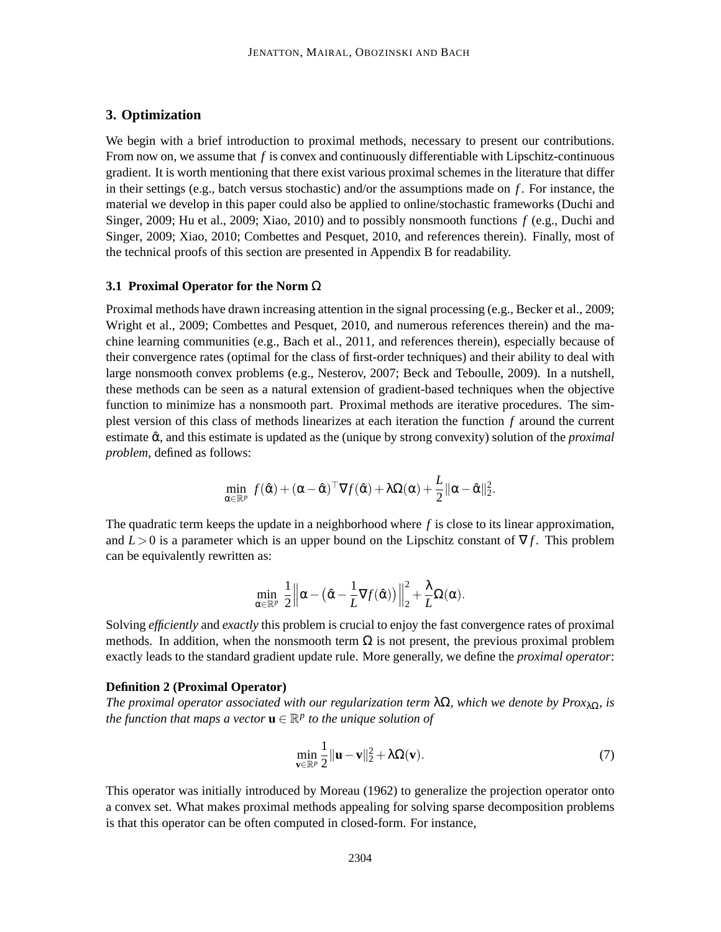## **3. Optimization**

We begin with a brief introduction to proximal methods, necessary to present our contributions. From now on, we assume that *f* is convex and continuously differentiable with Lipschitz-continuous gradient. It is worth mentioning that there exist various proximal schemes in the literature that differ in their settings (e.g., batch versus stochastic) and/or the assumptions made on *f* . For instance, the material we develop in this paper could also be applied to online/stochastic frameworks (Duchi and Singer, 2009; Hu et al., 2009; Xiao, 2010) and to possibly nonsmooth functions *f* (e.g., Duchi and Singer, 2009; Xiao, 2010; Combettes and Pesquet, 2010, and references therein). Finally, most of the technical proofs of this section are presented in Appendix B for readability.

## **3.1 Proximal Operator for the Norm** Ω

Proximal methods have drawn increasing attention in the signal processing (e.g., Becker et al., 2009; Wright et al., 2009; Combettes and Pesquet, 2010, and numerous references therein) and the machine learning communities (e.g., Bach et al., 2011, and references therein), especially because of their convergence rates (optimal for the class of first-order techniques) and their ability to deal with large nonsmooth convex problems (e.g., Nesterov, 2007; Beck and Teboulle, 2009). In a nutshell, these methods can be seen as a natural extension of gradient-based techniques when the objective function to minimize has a nonsmooth part. Proximal methods are iterative procedures. The simplest version of this class of methods linearizes at each iteration the function *f* around the current estimate  $\hat{\alpha}$ , and this estimate is updated as the (unique by strong convexity) solution of the *proximal problem*, defined as follows:

$$
\min_{\alpha \in \mathbb{R}^p} f(\hat{\alpha}) + (\alpha - \hat{\alpha})^{\top} \nabla f(\hat{\alpha}) + \lambda \Omega(\alpha) + \frac{L}{2} ||\alpha - \hat{\alpha}||_2^2.
$$

The quadratic term keeps the update in a neighborhood where *f* is close to its linear approximation, and  $L>0$  is a parameter which is an upper bound on the Lipschitz constant of  $\nabla f$ . This problem can be equivalently rewritten as:

$$
\min_{\alpha\in\mathbb{R}^p}~\frac{1}{2}\left\|\alpha-\left(\hat{\alpha}-\frac{1}{L}\nabla f(\hat{\alpha})\right)\right\|_2^2+\frac{\lambda}{L}\Omega(\alpha).
$$

Solving *efficiently* and *exactly* this problem is crucial to enjoy the fast convergence rates of proximal methods. In addition, when the nonsmooth term  $\Omega$  is not present, the previous proximal problem exactly leads to the standard gradient update rule. More generally, we define the *proximal operator*:

### **Definition 2 (Proximal Operator)**

*The proximal operator associated with our regularization term*  $\lambda \Omega$ *, which we denote by Prox*<sub>λΩ</sub>*, is the function that maps a vector*  $\mathbf{u} \in \mathbb{R}^p$  *to the unique solution of* 

$$
\min_{\mathbf{v}\in\mathbb{R}^p}\frac{1}{2}\|\mathbf{u}-\mathbf{v}\|_2^2+\lambda\Omega(\mathbf{v}).\tag{7}
$$

This operator was initially introduced by Moreau (1962) to generalize the projection operator onto a convex set. What makes proximal methods appealing for solving sparse decomposition problems is that this operator can be often computed in closed-form. For instance,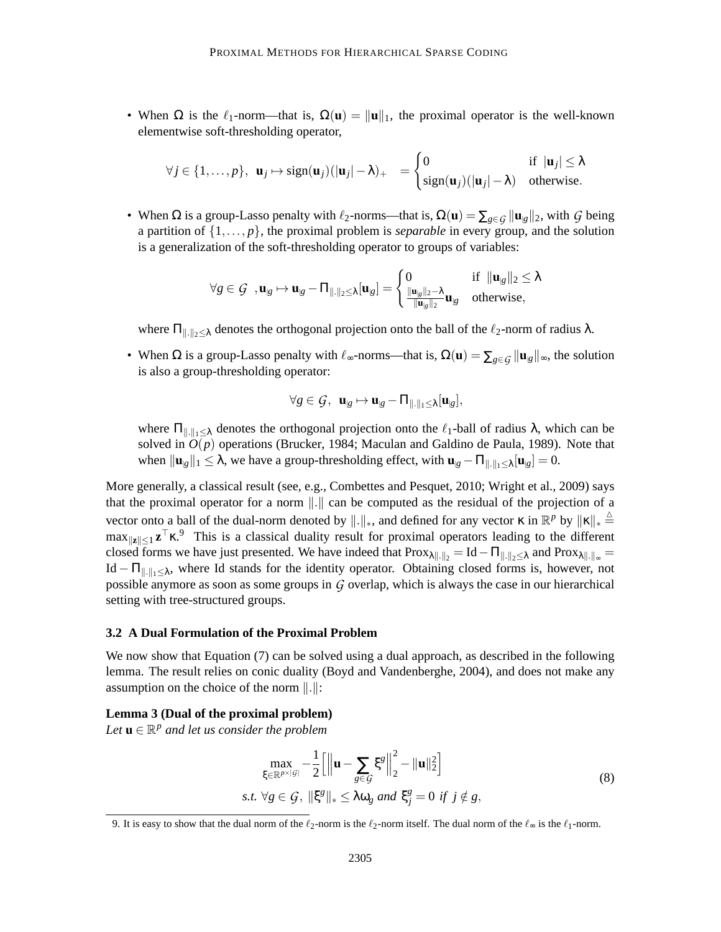• When  $\Omega$  is the  $\ell_1$ -norm—that is,  $\Omega(\mathbf{u}) = ||\mathbf{u}||_1$ , the proximal operator is the well-known elementwise soft-thresholding operator,

$$
\forall j \in \{1, ..., p\}, \ \mathbf{u}_j \mapsto \text{sign}(\mathbf{u}_j)(|\mathbf{u}_j| - \lambda)_+ = \begin{cases} 0 & \text{if } |\mathbf{u}_j| \le \lambda \\ \text{sign}(\mathbf{u}_j)(|\mathbf{u}_j| - \lambda) & \text{otherwise.} \end{cases}
$$

• When  $\Omega$  is a group-Lasso penalty with  $\ell_2$ -norms—that is,  $\Omega(\mathbf{u}) = \sum_{g \in \mathcal{G}} ||\mathbf{u}_{g}||_2$ , with  $\mathcal{G}$  being a partition of  $\{1,\ldots,p\}$ , the proximal problem is *separable* in every group, and the solution is a generalization of the soft-thresholding operator to groups of variables:

$$
\forall g \in \mathcal{G} \text{ , } \mathbf{u}_{|g} \mapsto \mathbf{u}_{|g} - \Pi_{\|.\|_2 \leq \lambda}[\mathbf{u}_{|g}] = \begin{cases} 0 & \text{if } \|\mathbf{u}_{|g}\|_2 \leq \lambda \\ \frac{\|\mathbf{u}_{|g}\|_2 - \lambda}{\|\mathbf{u}_{|g}\|_2} \mathbf{u}_{|g} & \text{otherwise,} \end{cases}
$$

where  $\Pi_{\|\cdot\|_2\leq \lambda}$  denotes the orthogonal projection onto the ball of the  $\ell_2$ -norm of radius  $\lambda$ .

• When  $\Omega$  is a group-Lasso penalty with  $\ell_{\infty}$ -norms—that is,  $\Omega(\mathbf{u}) = \sum_{g \in \mathcal{G}} ||\mathbf{u}_{g}||_{\infty}$ , the solution is also a group-thresholding operator:

$$
\forall g \in \mathcal{G}, \ \mathbf{u}_{|g} \mapsto \mathbf{u}_{|g} - \Pi_{\|.\|_1 \leq \lambda}[\mathbf{u}_{|g}],
$$

where  $\Pi_{\|\cdot\|_1\leq \lambda}$  denotes the orthogonal projection onto the  $\ell_1$ -ball of radius  $\lambda$ , which can be solved in *O*(*p*) operations (Brucker, 1984; Maculan and Galdino de Paula, 1989). Note that when  $\|\mathbf{u}_{g}\|_{1} \leq \lambda$ , we have a group-thresholding effect, with  $\mathbf{u}_{g} - \Pi_{\|\cdot\|_{1} \leq \lambda}[\mathbf{u}_{g}] = 0$ .

More generally, a classical result (see, e.g., Combettes and Pesquet, 2010; Wright et al., 2009) says that the proximal operator for a norm  $\Vert . \Vert$  can be computed as the residual of the projection of a vector onto a ball of the dual-norm denoted by  $\|\cdot\|_*$ , and defined for any vector  $\kappa$  in  $\mathbb{R}^p$  by  $\|\kappa\|_* \triangleq$  $\max_{\|\mathbf{z}\| \leq 1} \mathbf{z}^{\top} \mathbf{x}$ . This is a classical duality result for proximal operators leading to the different closed forms we have just presented. We have indeed that  $Prox_{\lambda\|\cdot\|_2} = Id - \Pi_{\|\cdot\|_2 \leq \lambda}$  and  $Prox_{\lambda\|\cdot\|_{\infty}} =$ Id –  $\Pi_{\|\cdot\|_1\leq \lambda}$ , where Id stands for the identity operator. Obtaining closed forms is, however, not possible anymore as soon as some groups in *G* overlap, which is always the case in our hierarchical setting with tree-structured groups.

## **3.2 A Dual Formulation of the Proximal Problem**

We now show that Equation (7) can be solved using a dual approach, as described in the following lemma. The result relies on conic duality (Boyd and Vandenberghe, 2004), and does not make any assumption on the choice of the norm  $\Vert . \Vert$ :

#### **Lemma 3 (Dual of the proximal problem)**

Let  $\mathbf{u} \in \mathbb{R}^p$  and let us consider the problem

$$
\max_{\xi \in \mathbb{R}^{p \times |g|}} -\frac{1}{2} \left[ \left\| \mathbf{u} - \sum_{g \in \mathcal{G}} \xi^g \right\|_2^2 - \|\mathbf{u}\|_2^2 \right]
$$
  
s.t.  $\forall g \in \mathcal{G}, \|\xi^g\|_* \le \lambda \omega_g$  and  $\xi_j^g = 0$  if  $j \notin g$ , (8)

<sup>9.</sup> It is easy to show that the dual norm of the  $\ell_2$ -norm is the  $\ell_2$ -norm itself. The dual norm of the  $\ell_\infty$  is the  $\ell_1$ -norm.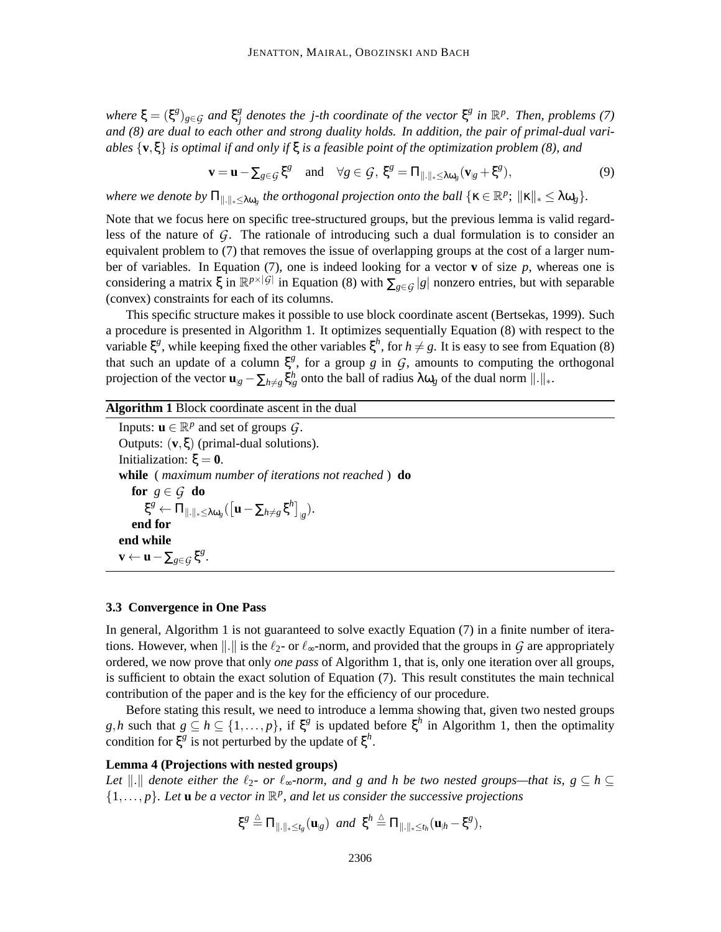$where \xi = (\xi^g)_{g \in \mathcal{G}} \text{ and } \xi^g_j$  $\frac{a}{b}$  denotes the j-th coordinate of the vector  $\xi^g$  in  $\mathbb{R}^p$ . Then, problems (7) *and (8) are dual to each other and strong duality holds. In addition, the pair of primal-dual variables* {**v**,ξ} *is optimal if and only if* ξ *is a feasible point of the optimization problem (8), and*

$$
\mathbf{v} = \mathbf{u} - \sum_{g \in \mathcal{G}} \xi^g \quad \text{and} \quad \forall g \in \mathcal{G}, \ \xi^g = \Pi_{\|.\|_\ast \leq \lambda \omega_g} (\mathbf{v}_{|g} + \xi^g), \tag{9}
$$

*where we denote by*  $\Pi_{\|\cdot\|_*\leq \lambda \omega_g}$  *the orthogonal projection onto the ball*  $\{\kappa \in \mathbb{R}^p$ ;  $\|\kappa\|_* \leq \lambda \omega_g\}$ .

Note that we focus here on specific tree-structured groups, but the previous lemma is valid regardless of the nature of *G*. The rationale of introducing such a dual formulation is to consider an equivalent problem to (7) that removes the issue of overlapping groups at the cost of a larger number of variables. In Equation (7), one is indeed looking for a vector **v** of size  $p$ , whereas one is considering a matrix  $\xi$  in  $\mathbb{R}^{p\times|G|}$  in Equation (8) with  $\sum_{g\in G}|g|$  nonzero entries, but with separable (convex) constraints for each of its columns.

This specific structure makes it possible to use block coordinate ascent (Bertsekas, 1999). Such a procedure is presented in Algorithm 1. It optimizes sequentially Equation (8) with respect to the variable  $\xi^g$ , while keeping fixed the other variables  $\xi^h$ , for  $h \neq g$ . It is easy to see from Equation (8) that such an update of a column  $\xi^g$ , for a group *g* in *G*, amounts to computing the orthogonal projection of the vector  $\mathbf{u}_{g} - \sum_{h \neq g} \xi_{g}^h$  onto the ball of radius  $\lambda \omega_g$  of the dual norm  $\|\cdot\|_*$ .

## **Algorithm 1** Block coordinate ascent in the dual

Inputs:  $\mathbf{u} \in \mathbb{R}^p$  and set of groups  $\mathcal{G}$ . Outputs: (**v**,ξ) (primal-dual solutions). Initialization:  $ξ = 0$ . **while** ( *maximum number of iterations not reached* ) **do for**  $g \in \mathcal{G}$  **do**  $\boldsymbol{\xi}^{g} \leftarrow \Pi_{\|\cdot\|_{*} \leq \lambda \omega_{g}} (\left[ \mathbf{u} - \sum_{h \neq g} \boldsymbol{\xi}^{h} \right]_{|g}).$ **end for end while**  $\mathbf{v} \leftarrow \mathbf{u} - \sum_{g \in \mathcal{G}} \xi^g$ .

## **3.3 Convergence in One Pass**

In general, Algorithm 1 is not guaranteed to solve exactly Equation (7) in a finite number of iterations. However, when  $\Vert . \Vert$  is the  $\ell_2$ - or  $\ell_{\infty}$ -norm, and provided that the groups in *G* are appropriately ordered, we now prove that only *one pass* of Algorithm 1, that is, only one iteration over all groups, is sufficient to obtain the exact solution of Equation (7). This result constitutes the main technical contribution of the paper and is the key for the efficiency of our procedure.

Before stating this result, we need to introduce a lemma showing that, given two nested groups  $g, h$  such that  $g \subseteq h \subseteq \{1, \ldots, p\}$ , if  $\xi^g$  is updated before  $\xi^h$  in Algorithm 1, then the optimality condition for  $\xi^g$  is not perturbed by the update of  $\xi^h$ .

## **Lemma 4 (Projections with nested groups)**

*Let*  $\Vert .\Vert$  *denote either the*  $\ell_2$ *- or*  $\ell_{\infty}$ *-norm, and g and h be two nested groups—that is, g*  $\subseteq$  *h*  $\subseteq$  $\{1,\ldots,p\}$ . Let **u** be a vector in  $\mathbb{R}^p$ , and let us consider the successive projections

$$
\xi^g \stackrel{\Delta}{=} \Pi_{\|.\|_\ast \leq t_g}(\mathbf{u}_{g}) \text{ and } \xi^h \stackrel{\Delta}{=} \Pi_{\|.\|_\ast \leq t_h}(\mathbf{u}_{h} - \xi^g),
$$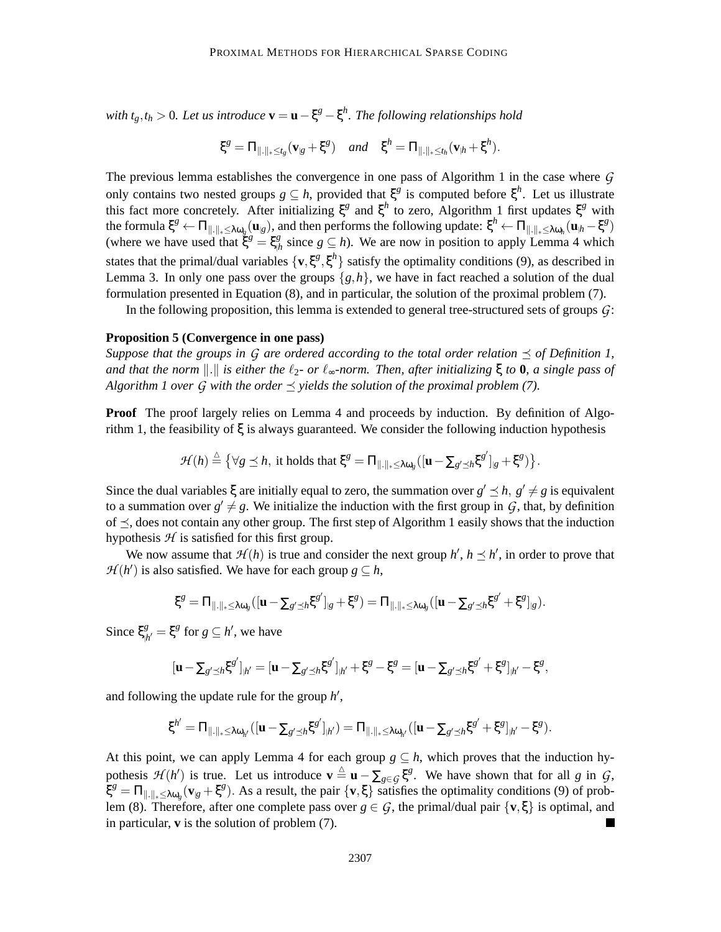*with*  $t_g$ , $t_h > 0$ . Let us introduce  $\mathbf{v} = \mathbf{u} - \xi^g - \xi^h$ . The following relationships hold

$$
\xi^g = \Pi_{\|\cdot\|_{*} \leq t_g}(\mathbf{v}_{\mathcal{B}} + \xi^g) \quad \text{and} \quad \xi^h = \Pi_{\|\cdot\|_{*} \leq t_h}(\mathbf{v}_{\mathcal{H}} + \xi^h).
$$

The previous lemma establishes the convergence in one pass of Algorithm 1 in the case where *G* only contains two nested groups  $g \subseteq h$ , provided that  $\xi^g$  is computed before  $\xi^h$ . Let us illustrate this fact more concretely. After initializing  $\xi^g$  and  $\xi^h$  to zero, Algorithm 1 first updates  $\xi^g$  with the formula  $\xi^g \leftarrow \Pi_{\|\cdot\|_* \leq \lambda \omega_g}(\mathbf{u}_{g})$ , and then performs the following update:  $\xi^h \leftarrow \Pi_{\|\cdot\|_* \leq \lambda \omega_h}(\mathbf{u}_{h} - \xi^g)$ (where we have used that  $\xi^g = \xi^g_\mu$  $\frac{g}{h}$  since  $g \subseteq h$ ). We are now in position to apply Lemma 4 which states that the primal/dual variables  $\{v, \xi^g, \xi^h\}$  satisfy the optimality conditions (9), as described in Lemma 3. In only one pass over the groups  $\{g,h\}$ , we have in fact reached a solution of the dual formulation presented in Equation (8), and in particular, the solution of the proximal problem (7).

In the following proposition, this lemma is extended to general tree-structured sets of groups *G*:

### **Proposition 5 (Convergence in one pass)**

*Suppose that the groups in G are ordered according to the total order relation*  $\preceq$  *of Definition 1, and that the norm*  $\|.\|$  *is either the*  $\ell_2$ *- or*  $\ell_{\infty}$ *-norm. Then, after initializing*  $\xi$  *to* **0***, a single pass of Algorithm 1 over G with the order*  $\preceq$  *yields the solution of the proximal problem* (7).

**Proof** The proof largely relies on Lemma 4 and proceeds by induction. By definition of Algorithm 1, the feasibility of  $\xi$  is always guaranteed. We consider the following induction hypothesis

$$
\mathcal{H}(h) \stackrel{\Delta}{=} \big\{ \forall g \leq h, \text{ it holds that } \xi^g = \Pi_{\|\cdot\|_{*} \leq \lambda \omega_g} ([\mathbf{u} - \Sigma_{g' \preceq h} \xi^{g'}]_{g} + \xi^{g}) \big\}.
$$

Since the dual variables  $\xi$  are initially equal to zero, the summation over  $g' \leq h$ ,  $g' \neq g$  is equivalent to a summation over  $g' \neq g$ . We initialize the induction with the first group in  $G$ , that, by definition of  $\preceq$ , does not contain any other group. The first step of Algorithm 1 easily shows that the induction hypothesis  $H$  is satisfied for this first group.

We now assume that  $\mathcal{H}(h)$  is true and consider the next group  $h'$ ,  $h \leq h'$ , in order to prove that *H*(*h*<sup> $\prime$ </sup>) is also satisfied. We have for each group *g*  $\subseteq$  *h*,

$$
\xi^g = \Pi_{\|\cdot\|_* \leq \lambda \omega_g}([\mathbf{u} - \Sigma_{g' \preceq h} \xi^{g'}]_{g} + \xi^g) = \Pi_{\|\cdot\|_* \leq \lambda \omega_g}([\mathbf{u} - \Sigma_{g' \preceq h} \xi^{g'} + \xi^g]_{g}).
$$

Since ξ *g*  $\zeta_{h'}^g = \xi^g$  for  $g \subseteq h'$ , we have

$$
[\mathbf{u} - \sum_{g' \preceq h} \xi^{g'}]_{h'} = [\mathbf{u} - \sum_{g' \preceq h} \xi^{g'}]_{h'} + \xi^g - \xi^g = [\mathbf{u} - \sum_{g' \preceq h} \xi^{g'} + \xi^g]_{h'} - \xi^g,
$$

and following the update rule for the group *h* ′ ,

$$
\xi^{h'} = \Pi_{\|\cdot\|_* \leq \lambda \omega_{h'}}([\mathbf{u} - \Sigma_{g' \preceq h} \xi^{g'}]_{h'}) = \Pi_{\|\cdot\|_* \leq \lambda \omega_{h'}}([\mathbf{u} - \Sigma_{g' \preceq h} \xi^{g'} + \xi^g]_{h'} - \xi^g).
$$

At this point, we can apply Lemma 4 for each group  $g \subseteq h$ , which proves that the induction hypothesis  $\mathcal{H}(h')$  is true. Let us introduce  $\mathbf{v} \triangleq \mathbf{u} - \sum_{g \in \mathcal{G}} \xi^g$ . We have shown that for all *g* in  $\mathcal{G}$ ,  $\tilde{\xi}^g = \Pi_{\|\cdot\|_* \leq \lambda \omega_g} (\mathbf{v}_{g} + \xi^g)$ . As a result, the pair  $\{\mathbf{v}, \xi\}$  satisfies the optimality conditions (9) of problem (8). Therefore, after one complete pass over  $g \in \mathcal{G}$ , the primal/dual pair  $\{v, \xi\}$  is optimal, and in particular, **v** is the solution of problem (7).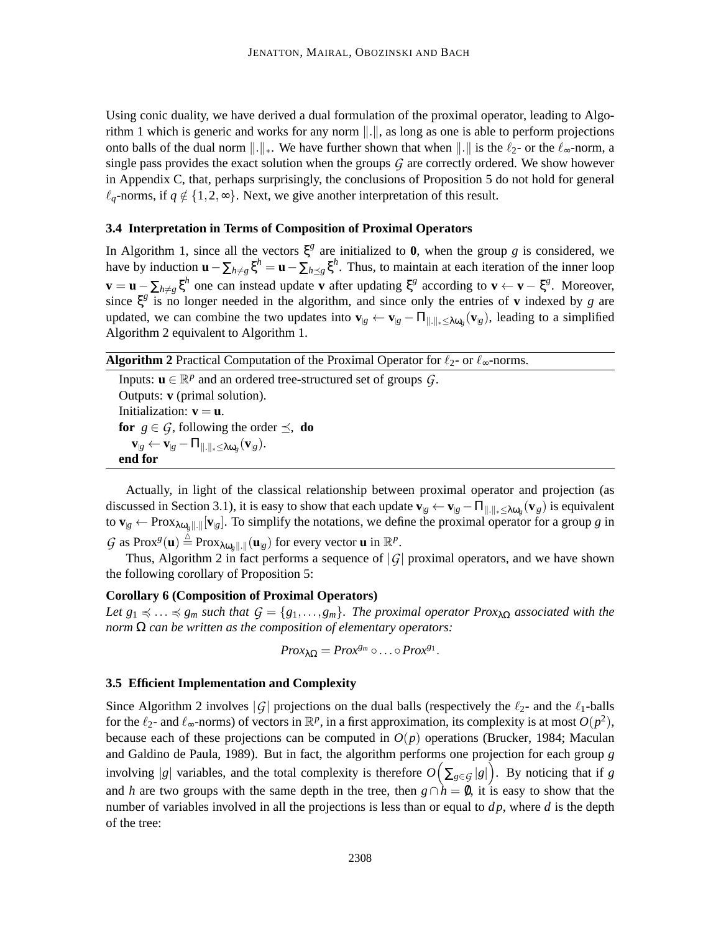Using conic duality, we have derived a dual formulation of the proximal operator, leading to Algorithm 1 which is generic and works for any norm  $\|.\|$ , as long as one is able to perform projections onto balls of the dual norm  $\|\cdot\|_*$ . We have further shown that when  $\|\cdot\|$  is the  $\ell_2$ - or the  $\ell_{\infty}$ -norm, a single pass provides the exact solution when the groups *G* are correctly ordered. We show however in Appendix C, that, perhaps surprisingly, the conclusions of Proposition 5 do not hold for general  $\ell_a$ -norms, if  $q \notin \{1,2,\infty\}$ . Next, we give another interpretation of this result.

## **3.4 Interpretation in Terms of Composition of Proximal Operators**

In Algorithm 1, since all the vectors  $\xi^g$  are initialized to **0**, when the group *g* is considered, we have by induction  $\mathbf{u} - \sum_{h \neq g} \xi^h = \mathbf{u} - \sum_{h \preceq g} \xi^h$ . Thus, to maintain at each iteration of the inner loop  $\mathbf{v} = \mathbf{u} - \sum_{h \neq g} \xi^h$  one can instead update **v** after updating  $\xi^g$  according to  $\mathbf{v} \leftarrow \mathbf{v} - \xi^g$ . Moreover, since  $\xi^g$  is no longer needed in the algorithm, and since only the entries of **v** indexed by *g* are updated, we can combine the two updates into  $\mathbf{v}_{|g} \leftarrow \mathbf{v}_{|g} - \Pi_{\|\cdot\|_{*} \leq \lambda \omega_{g}}(\mathbf{v}_{|g})$ , leading to a simplified Algorithm 2 equivalent to Algorithm 1.

**Algorithm 2** Practical Computation of the Proximal Operator for  $\ell_2$ - or  $\ell_{\infty}$ -norms.

Inputs:  $\mathbf{u} \in \mathbb{R}^p$  and an ordered tree-structured set of groups  $\mathcal{G}$ . Outputs: **v** (primal solution). Initialization:  $\mathbf{v} = \mathbf{u}$ . **for**  $g \in G$ , following the order  $\preceq$ , **do**  $\mathbf{v}_{|g} \leftarrow \mathbf{v}_{|g} - \Pi_{\|.\|_\ast \leq \lambda \omega_g}(\mathbf{v}_{|g}).$ **end for**

Actually, in light of the classical relationship between proximal operator and projection (as discussed in Section 3.1), it is easy to show that each update  $\mathbf{v}_{|g} \leftarrow \mathbf{v}_{|g} - \Pi_{\|\cdot\|_{*} \leq \lambda \omega_{g}} (\mathbf{v}_{|g})$  is equivalent to  $\mathbf{v}_{g} \leftarrow \text{Prox}_{\lambda \omega_g \| \cdot \|} [\mathbf{v}_{g}]$ . To simplify the notations, we define the proximal operator for a group *g* in  $G$  as  $\text{Prox}^g(\mathbf{u}) \triangleq \text{Prox}_{\lambda \omega_g \| \cdot \|}(\mathbf{u}_{g})$  for every vector **u** in  $\mathbb{R}^p$ .

Thus, Algorithm 2 in fact performs a sequence of  $|G|$  proximal operators, and we have shown the following corollary of Proposition 5:

## **Corollary 6 (Composition of Proximal Operators)**

*Let*  $g_1 \preccurlyeq ... \preccurlyeq g_m$  *such that*  $G = \{g_1,...,g_m\}$ *. The proximal operator Prox*<sub> $\lambda \Omega$ </sub> *associated with the norm* Ω *can be written as the composition of elementary operators:*

$$
Prox_{\lambda\Omega}=Prox^{g_m}\circ\ldots\circ Prox^{g_1}.
$$

#### **3.5 Efficient Implementation and Complexity**

Since Algorithm 2 involves  $|G|$  projections on the dual balls (respectively the  $\ell_2$ - and the  $\ell_1$ -balls for the  $\ell_2$ - and  $\ell_{\infty}$ -norms) of vectors in  $\mathbb{R}^p$ , in a first approximation, its complexity is at most  $O(p^2)$ , because each of these projections can be computed in  $O(p)$  operations (Brucker, 1984; Maculan and Galdino de Paula, 1989). But in fact, the algorithm performs one projection for each group *g* involving |*g*| variables, and the total complexity is therefore  $O(\sum_{g \in \mathcal{G}} |g|)$ . By noticing that if *g* and *h* are two groups with the same depth in the tree, then  $g \cap h = \emptyset$ , it is easy to show that the number of variables involved in all the projections is less than or equal to *d p*, where *d* is the depth of the tree: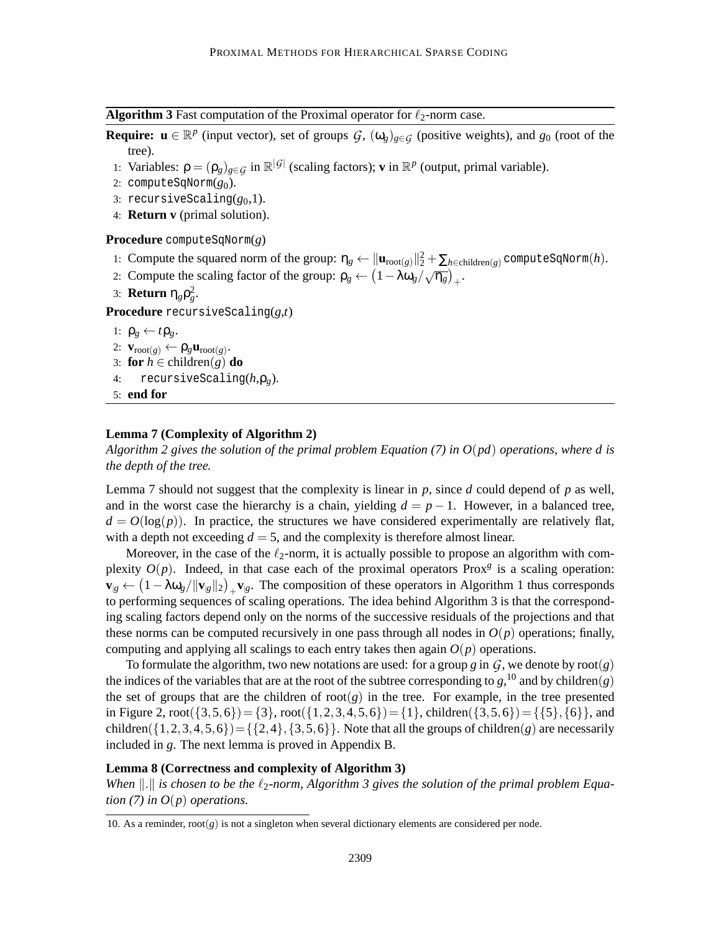**Algorithm 3** Fast computation of the Proximal operator for  $\ell_2$ -norm case.

**Require:**  $\mathbf{u} \in \mathbb{R}^p$  (input vector), set of groups  $\mathcal{G}$ ,  $(\omega_g)_{g \in \mathcal{G}}$  (positive weights), and  $g_0$  (root of the tree).

- 1: Variables:  $\rho = (\rho_g)_{g \in \mathcal{G}}$  in  $\mathbb{R}^{|\mathcal{G}|}$  (scaling factors); **v** in  $\mathbb{R}^p$  (output, primal variable).
- 2: computeSqNorm(*g*0).
- 3: recursiveScaling $(g_0,1)$ .
- 4: **Return v** (primal solution).

**Procedure** computeSqNorm(*g*)

- 1: Compute the squared norm of the group:  $\eta_g \leftarrow ||\mathbf{u}_{\text{root}(g)}||_2^2 + \sum_{h \in \text{children}(g)} \text{computeSqNorm}(h)$ .
- 2: Compute the scaling factor of the group:  $\rho_g \leftarrow \left(1 \lambda \omega_g / \sqrt{\eta_g}\right)_+$ .
- 3: **Return**  $\eta_g \rho_g^2$ .

**Procedure** recursiveScaling(*g*,*t*)

```
1: \rho_{\varrho} \leftarrow t \rho_{\varrho}.
```
- 2:  $\mathbf{v}_{\text{root}(g)} \leftarrow \rho_g \mathbf{u}_{\text{root}(g)}$ **.**
- 3: **for**  $h \in \text{children}(g)$  **do**<br>4: **recursiveScaling**
- 4: recursiveScaling(*h*,ρ*g*).

```
5: end for
```
## **Lemma 7 (Complexity of Algorithm 2)**

*Algorithm 2 gives the solution of the primal problem Equation (7) in O*(*pd*) *operations, where d is the depth of the tree.*

Lemma 7 should not suggest that the complexity is linear in  $p$ , since  $d$  could depend of  $p$  as well, and in the worst case the hierarchy is a chain, yielding  $d = p - 1$ . However, in a balanced tree,  $d = O(\log(p))$ . In practice, the structures we have considered experimentally are relatively flat, with a depth not exceeding  $d = 5$ , and the complexity is therefore almost linear.

Moreover, in the case of the  $\ell_2$ -norm, it is actually possible to propose an algorithm with complexity  $O(p)$ . Indeed, in that case each of the proximal operators Prox<sup> $g$ </sup> is a scaling operation:  $\mathbf{v}_{g} \leftarrow (1 - \lambda \omega_g / ||\mathbf{v}_{g}||_2)_{+} \mathbf{v}_{g}$ . The composition of these operators in Algorithm 1 thus corresponds to performing sequences of scaling operations. The idea behind Algorithm 3 is that the corresponding scaling factors depend only on the norms of the successive residuals of the projections and that these norms can be computed recursively in one pass through all nodes in  $O(p)$  operations; finally, computing and applying all scalings to each entry takes then again  $O(p)$  operations.

To formulate the algorithm, two new notations are used: for a group *g* in  $G$ , we denote by root(*g*) the indices of the variables that are at the root of the subtree corresponding to  $g$ , <sup>10</sup> and by children $(g)$ the set of groups that are the children of  $\text{root}(g)$  in the tree. For example, in the tree presented in Figure 2,  $\text{root}(\{3,5,6\}) = \{3\}$ ,  $\text{root}(\{1,2,3,4,5,6\}) = \{1\}$ , children( $\{3,5,6\}$ ) =  $\{\{5\},\{6\}\}$ , and children( $\{1,2,3,4,5,6\}$ )= $\{\{2,4\},\{3,5,6\}\}\$ . Note that all the groups of children(*g*) are necessarily included in *g*. The next lemma is proved in Appendix B.

#### **Lemma 8 (Correctness and complexity of Algorithm 3)**

*When*  $\Vert . \Vert$  is chosen to be the  $\ell_2$ -norm, Algorithm 3 gives the solution of the primal problem Equa*tion* (7) in  $O(p)$  *operations.* 

<sup>10.</sup> As a reminder,  $\text{root}(g)$  is not a singleton when several dictionary elements are considered per node.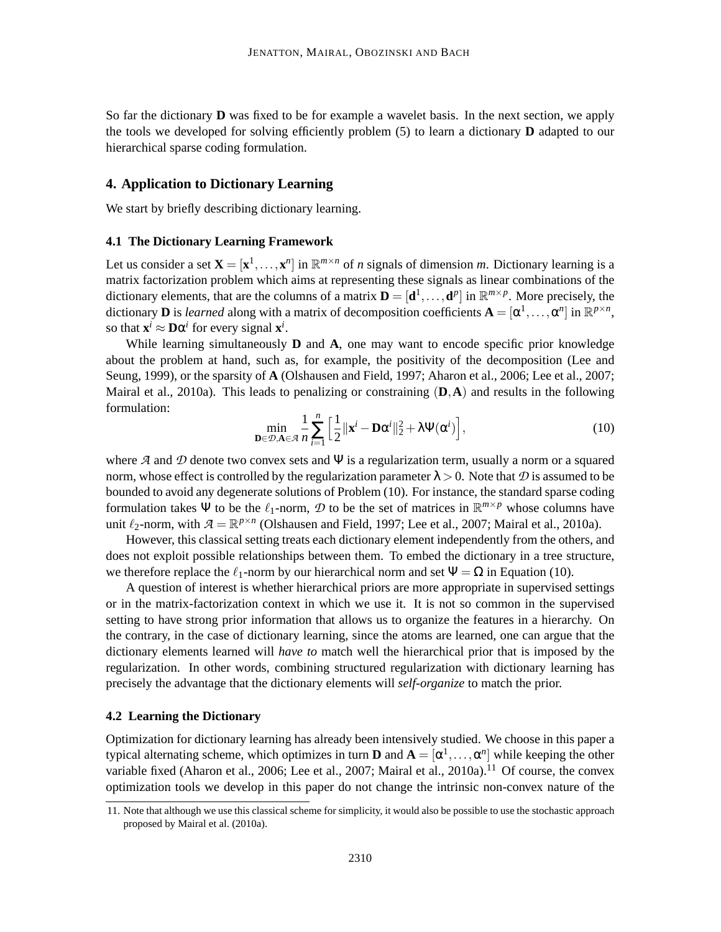So far the dictionary **D** was fixed to be for example a wavelet basis. In the next section, we apply the tools we developed for solving efficiently problem (5) to learn a dictionary **D** adapted to our hierarchical sparse coding formulation.

## **4. Application to Dictionary Learning**

We start by briefly describing dictionary learning.

## **4.1 The Dictionary Learning Framework**

Let us consider a set  $\mathbf{X} = [\mathbf{x}^1, \dots, \mathbf{x}^n]$  in  $\mathbb{R}^{m \times n}$  of *n* signals of dimension *m*. Dictionary learning is a matrix factorization problem which aims at representing these signals as linear combinations of the dictionary elements, that are the columns of a matrix  $\mathbf{D} = [\mathbf{d}^1, \dots, \mathbf{d}^p]$  in  $\mathbb{R}^{m \times p}$ . More precisely, the dictionary **D** is *learned* along with a matrix of decomposition coefficients  $\mathbf{A} = [\alpha^1, \dots, \alpha^n]$  in  $\mathbb{R}^{p \times n}$ , so that  $\mathbf{x}^i \approx \mathbf{D}\alpha^i$  for every signal  $\mathbf{x}^i$ .

While learning simultaneously **D** and **A**, one may want to encode specific prior knowledge about the problem at hand, such as, for example, the positivity of the decomposition (Lee and Seung, 1999), or the sparsity of **A** (Olshausen and Field, 1997; Aharon et al., 2006; Lee et al., 2007; Mairal et al., 2010a). This leads to penalizing or constraining (**D**,**A**) and results in the following formulation:

$$
\min_{\mathbf{D}\in\mathcal{D},\mathbf{A}\in\mathcal{A}}\frac{1}{n}\sum_{i=1}^{n}\left[\frac{1}{2}\|\mathbf{x}^{i}-\mathbf{D}\alpha^{i}\|_{2}^{2}+\lambda\Psi(\alpha^{i})\right],
$$
\n(10)

where  $A$  and  $D$  denote two convex sets and  $\Psi$  is a regularization term, usually a norm or a squared norm, whose effect is controlled by the regularization parameter  $\lambda > 0$ . Note that D is assumed to be bounded to avoid any degenerate solutions of Problem (10). For instance, the standard sparse coding formulation takes  $\Psi$  to be the  $\ell_1$ -norm,  $\mathcal D$  to be the set of matrices in  $\mathbb R^{m \times p}$  whose columns have unit  $\ell_2$ -norm, with  $\mathcal{A} = \mathbb{R}^{p \times n}$  (Olshausen and Field, 1997; Lee et al., 2007; Mairal et al., 2010a).

However, this classical setting treats each dictionary element independently from the others, and does not exploit possible relationships between them. To embed the dictionary in a tree structure, we therefore replace the  $\ell_1$ -norm by our hierarchical norm and set  $\Psi = \Omega$  in Equation (10).

A question of interest is whether hierarchical priors are more appropriate in supervised settings or in the matrix-factorization context in which we use it. It is not so common in the supervised setting to have strong prior information that allows us to organize the features in a hierarchy. On the contrary, in the case of dictionary learning, since the atoms are learned, one can argue that the dictionary elements learned will *have to* match well the hierarchical prior that is imposed by the regularization. In other words, combining structured regularization with dictionary learning has precisely the advantage that the dictionary elements will *self-organize* to match the prior.

## **4.2 Learning the Dictionary**

Optimization for dictionary learning has already been intensively studied. We choose in this paper a typical alternating scheme, which optimizes in turn **D** and  $A = [\alpha^1, \dots, \alpha^n]$  while keeping the other variable fixed (Aharon et al., 2006; Lee et al., 2007; Mairal et al., 2010a).<sup>11</sup> Of course, the convex optimization tools we develop in this paper do not change the intrinsic non-convex nature of the

<sup>11.</sup> Note that although we use this classical scheme for simplicity, it would also be possible to use the stochastic approach proposed by Mairal et al. (2010a).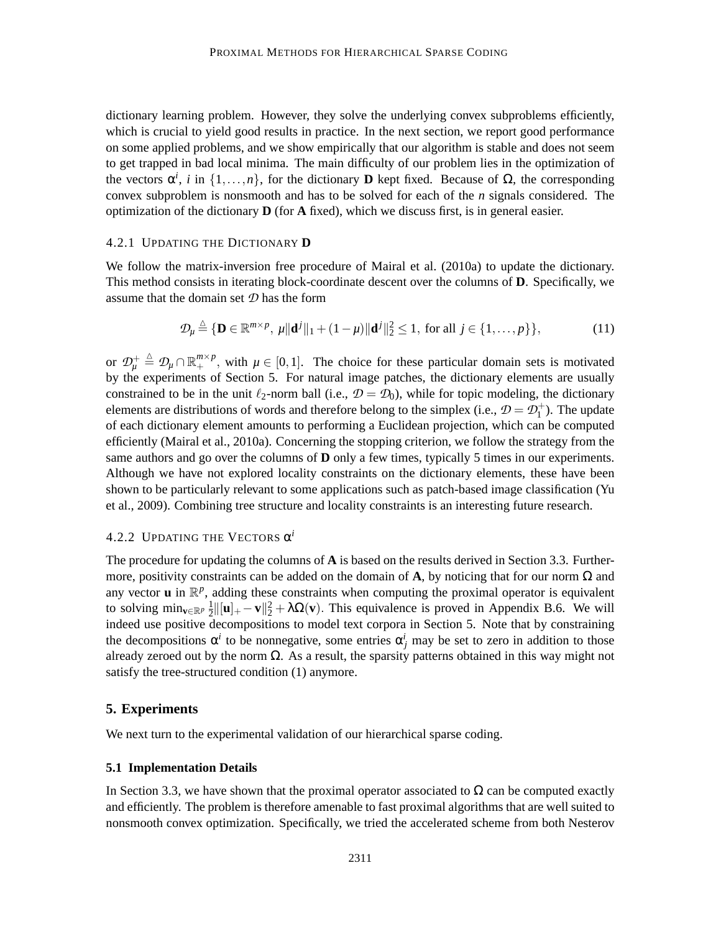dictionary learning problem. However, they solve the underlying convex subproblems efficiently, which is crucial to yield good results in practice. In the next section, we report good performance on some applied problems, and we show empirically that our algorithm is stable and does not seem to get trapped in bad local minima. The main difficulty of our problem lies in the optimization of the vectors  $\alpha^i$ , *i* in  $\{1,\ldots,n\}$ , for the dictionary **D** kept fixed. Because of  $\Omega$ , the corresponding convex subproblem is nonsmooth and has to be solved for each of the *n* signals considered. The optimization of the dictionary **D** (for **A** fixed), which we discuss first, is in general easier.

## 4.2.1 UPDATING THE DICTIONARY **D**

We follow the matrix-inversion free procedure of Mairal et al. (2010a) to update the dictionary. This method consists in iterating block-coordinate descent over the columns of **D**. Specifically, we assume that the domain set *D* has the form

$$
\mathcal{D}_{\mu} \stackrel{\Delta}{=} \{ \mathbf{D} \in \mathbb{R}^{m \times p}, \, \mu \| \mathbf{d}^{j} \|_{1} + (1 - \mu) \| \mathbf{d}^{j} \|_{2}^{2} \le 1, \text{ for all } j \in \{1, \dots, p\} \},
$$
\n(11)

or  $\mathcal{D}_{\mu}^{\dagger} \triangleq \mathcal{D}_{\mu} \cap \mathbb{R}_{+}^{m \times p}$ , with  $\mu \in [0,1]$ . The choice for these particular domain sets is motivated by the experiments of Section 5. For natural image patches, the dictionary elements are usually constrained to be in the unit  $\ell_2$ -norm ball (i.e.,  $\mathcal{D} = \mathcal{D}_0$ ), while for topic modeling, the dictionary elements are distributions of words and therefore belong to the simplex (i.e.,  $\mathcal{D} = \mathcal{D}_1^+$ ). The update of each dictionary element amounts to performing a Euclidean projection, which can be computed efficiently (Mairal et al., 2010a). Concerning the stopping criterion, we follow the strategy from the same authors and go over the columns of **D** only a few times, typically 5 times in our experiments. Although we have not explored locality constraints on the dictionary elements, these have been shown to be particularly relevant to some applications such as patch-based image classification (Yu et al., 2009). Combining tree structure and locality constraints is an interesting future research.

## 4.2.2 UPDATING THE VECTORS  $\alpha^i$

The procedure for updating the columns of **A** is based on the results derived in Section 3.3. Furthermore, positivity constraints can be added on the domain of **A**, by noticing that for our norm  $\Omega$  and any vector  $\mathbf u$  in  $\mathbb R^p$ , adding these constraints when computing the proximal operator is equivalent to solving min<sub>v∈R</sub><sup>*p*</sup>  $\frac{1}{2}$  $\frac{1}{2}$ ||[**u**]<sub>+</sub> − **v**|| $\frac{2}{2}$  +  $\lambda \Omega$ (**v**). This equivalence is proved in Appendix B.6. We will indeed use positive decompositions to model text corpora in Section 5. Note that by constraining the decompositions  $\alpha^i$  to be nonnegative, some entries  $\alpha^i_j$  may be set to zero in addition to those already zeroed out by the norm  $\Omega$ . As a result, the sparsity patterns obtained in this way might not satisfy the tree-structured condition (1) anymore.

## **5. Experiments**

We next turn to the experimental validation of our hierarchical sparse coding.

#### **5.1 Implementation Details**

In Section 3.3, we have shown that the proximal operator associated to  $\Omega$  can be computed exactly and efficiently. The problem is therefore amenable to fast proximal algorithms that are well suited to nonsmooth convex optimization. Specifically, we tried the accelerated scheme from both Nesterov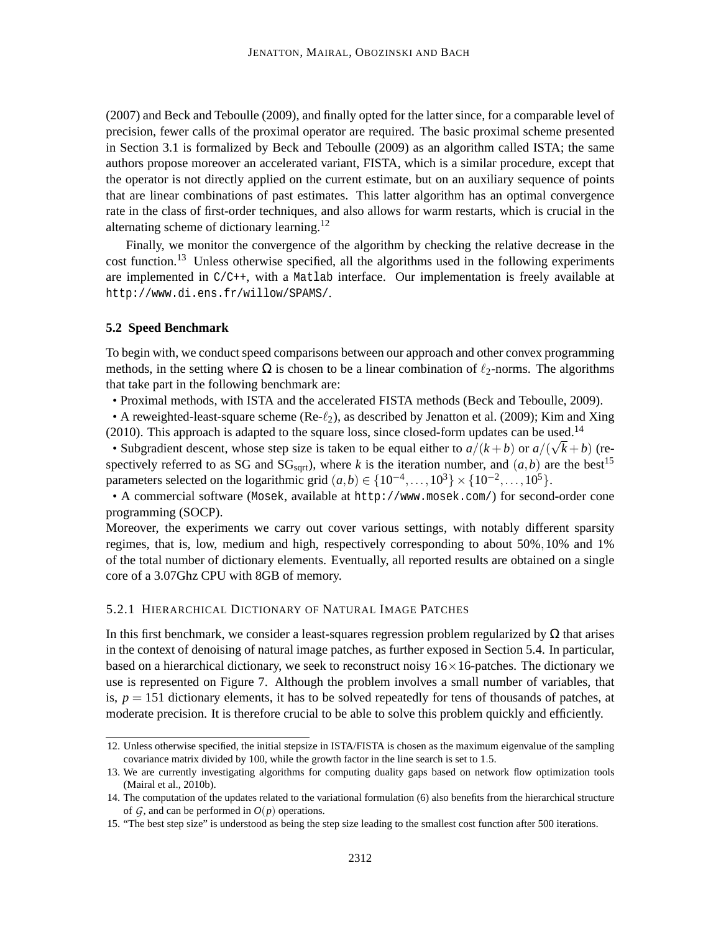(2007) and Beck and Teboulle (2009), and finally opted for the latter since, for a comparable level of precision, fewer calls of the proximal operator are required. The basic proximal scheme presented in Section 3.1 is formalized by Beck and Teboulle (2009) as an algorithm called ISTA; the same authors propose moreover an accelerated variant, FISTA, which is a similar procedure, except that the operator is not directly applied on the current estimate, but on an auxiliary sequence of points that are linear combinations of past estimates. This latter algorithm has an optimal convergence rate in the class of first-order techniques, and also allows for warm restarts, which is crucial in the alternating scheme of dictionary learning.<sup>12</sup>

Finally, we monitor the convergence of the algorithm by checking the relative decrease in the cost function.<sup>13</sup> Unless otherwise specified, all the algorithms used in the following experiments are implemented in C/C++, with a Matlab interface. Our implementation is freely available at http://www.di.ens.fr/willow/SPAMS/.

#### **5.2 Speed Benchmark**

To begin with, we conduct speed comparisons between our approach and other convex programming methods, in the setting where  $\Omega$  is chosen to be a linear combination of  $\ell_2$ -norms. The algorithms that take part in the following benchmark are:

• Proximal methods, with ISTA and the accelerated FISTA methods (Beck and Teboulle, 2009).

• A reweighted-least-square scheme ( $\text{Re-}\ell_2$ ), as described by Jenatton et al. (2009); Kim and Xing  $(2010)$ . This approach is adapted to the square loss, since closed-form updates can be used.<sup>14</sup>

• Subgradient descent, whose step size is taken to be equal either to  $a/(k + b)$  or  $a/(\sqrt{k} + b)$  (respectively referred to as SG and  $SG<sub>sort</sub>$ , where *k* is the iteration number, and  $(a, b)$  are the best<sup>15</sup> parameters selected on the logarithmic grid  $(a,b) \in \{10^{-4},...,10^{3}\} \times \{10^{-2},...,10^{5}\}.$ 

• A commercial software (Mosek, available at http://www.mosek.com/) for second-order cone programming (SOCP).

Moreover, the experiments we carry out cover various settings, with notably different sparsity regimes, that is, low, medium and high, respectively corresponding to about 50%,10% and 1% of the total number of dictionary elements. Eventually, all reported results are obtained on a single core of a 3.07Ghz CPU with 8GB of memory.

## 5.2.1 HIERARCHICAL DICTIONARY OF NATURAL IMAGE PATCHES

In this first benchmark, we consider a least-squares regression problem regularized by  $\Omega$  that arises in the context of denoising of natural image patches, as further exposed in Section 5.4. In particular, based on a hierarchical dictionary, we seek to reconstruct noisy  $16 \times 16$ -patches. The dictionary we use is represented on Figure 7. Although the problem involves a small number of variables, that is,  $p = 151$  dictionary elements, it has to be solved repeatedly for tens of thousands of patches, at moderate precision. It is therefore crucial to be able to solve this problem quickly and efficiently.

<sup>12.</sup> Unless otherwise specified, the initial stepsize in ISTA/FISTA is chosen as the maximum eigenvalue of the sampling covariance matrix divided by 100, while the growth factor in the line search is set to 1.5.

<sup>13.</sup> We are currently investigating algorithms for computing duality gaps based on network flow optimization tools (Mairal et al., 2010b).

<sup>14.</sup> The computation of the updates related to the variational formulation (6) also benefits from the hierarchical structure of  $G$ , and can be performed in  $O(p)$  operations.

<sup>15. &</sup>quot;The best step size" is understood as being the step size leading to the smallest cost function after 500 iterations.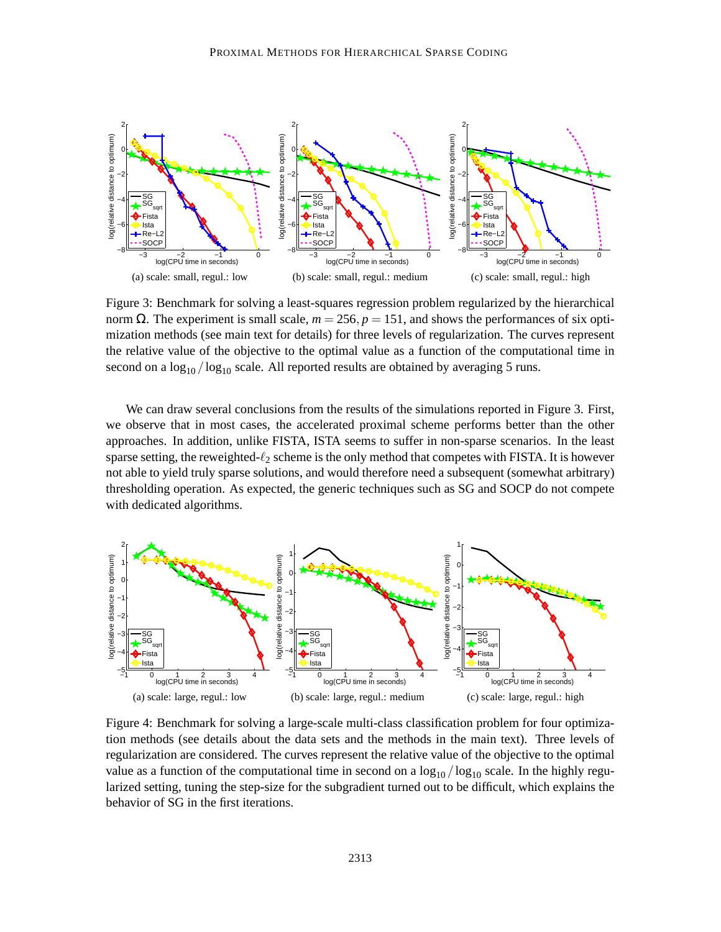

Figure 3: Benchmark for solving a least-squares regression problem regularized by the hierarchical norm Ω. The experiment is small scale,  $m = 256$ ,  $p = 151$ , and shows the performances of six optimization methods (see main text for details) for three levels of regularization. The curves represent the relative value of the objective to the optimal value as a function of the computational time in second on a  $\log_{10} / \log_{10}$  scale. All reported results are obtained by averaging 5 runs.

We can draw several conclusions from the results of the simulations reported in Figure 3. First, we observe that in most cases, the accelerated proximal scheme performs better than the other approaches. In addition, unlike FISTA, ISTA seems to suffer in non-sparse scenarios. In the least sparse setting, the reweighted- $\ell_2$  scheme is the only method that competes with FISTA. It is however not able to yield truly sparse solutions, and would therefore need a subsequent (somewhat arbitrary) thresholding operation. As expected, the generic techniques such as SG and SOCP do not compete with dedicated algorithms.



Figure 4: Benchmark for solving a large-scale multi-class classification problem for four optimization methods (see details about the data sets and the methods in the main text). Three levels of regularization are considered. The curves represent the relative value of the objective to the optimal value as a function of the computational time in second on a  $\log_{10}/\log_{10}$  scale. In the highly regularized setting, tuning the step-size for the subgradient turned out to be difficult, which explains the behavior of SG in the first iterations.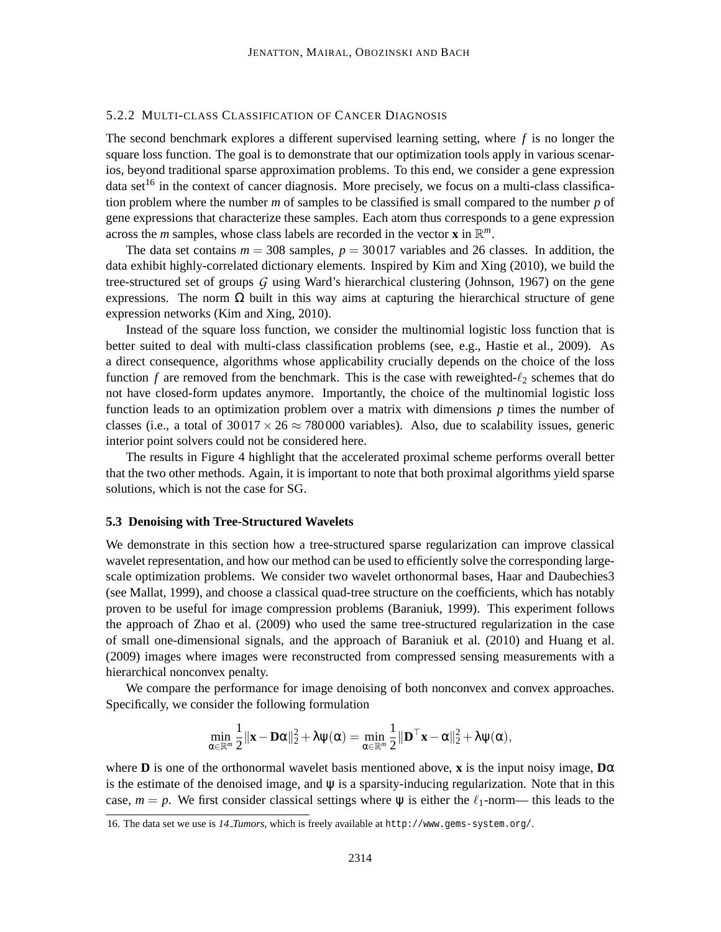## 5.2.2 MULTI-CLASS CLASSIFICATION OF CANCER DIAGNOSIS

The second benchmark explores a different supervised learning setting, where *f* is no longer the square loss function. The goal is to demonstrate that our optimization tools apply in various scenarios, beyond traditional sparse approximation problems. To this end, we consider a gene expression data set<sup>16</sup> in the context of cancer diagnosis. More precisely, we focus on a multi-class classification problem where the number *m* of samples to be classified is small compared to the number *p* of gene expressions that characterize these samples. Each atom thus corresponds to a gene expression across the *m* samples, whose class labels are recorded in the vector **x** in  $\mathbb{R}^m$ .

The data set contains  $m = 308$  samples,  $p = 30017$  variables and 26 classes. In addition, the data exhibit highly-correlated dictionary elements. Inspired by Kim and Xing (2010), we build the tree-structured set of groups *G* using Ward's hierarchical clustering (Johnson, 1967) on the gene expressions. The norm  $Ω$  built in this way aims at capturing the hierarchical structure of gene expression networks (Kim and Xing, 2010).

Instead of the square loss function, we consider the multinomial logistic loss function that is better suited to deal with multi-class classification problems (see, e.g., Hastie et al., 2009). As a direct consequence, algorithms whose applicability crucially depends on the choice of the loss function *f* are removed from the benchmark. This is the case with reweighted- $\ell_2$  schemes that do not have closed-form updates anymore. Importantly, the choice of the multinomial logistic loss function leads to an optimization problem over a matrix with dimensions *p* times the number of classes (i.e., a total of  $30017 \times 26 \approx 780000$  variables). Also, due to scalability issues, generic interior point solvers could not be considered here.

The results in Figure 4 highlight that the accelerated proximal scheme performs overall better that the two other methods. Again, it is important to note that both proximal algorithms yield sparse solutions, which is not the case for SG.

#### **5.3 Denoising with Tree-Structured Wavelets**

We demonstrate in this section how a tree-structured sparse regularization can improve classical wavelet representation, and how our method can be used to efficiently solve the corresponding largescale optimization problems. We consider two wavelet orthonormal bases, Haar and Daubechies3 (see Mallat, 1999), and choose a classical quad-tree structure on the coefficients, which has notably proven to be useful for image compression problems (Baraniuk, 1999). This experiment follows the approach of Zhao et al. (2009) who used the same tree-structured regularization in the case of small one-dimensional signals, and the approach of Baraniuk et al. (2010) and Huang et al. (2009) images where images were reconstructed from compressed sensing measurements with a hierarchical nonconvex penalty.

We compare the performance for image denoising of both nonconvex and convex approaches. Specifically, we consider the following formulation

$$
\min_{\alpha \in \mathbb{R}^m} \frac{1}{2} ||\mathbf{x} - \mathbf{D}\alpha||_2^2 + \lambda \psi(\alpha) = \min_{\alpha \in \mathbb{R}^m} \frac{1}{2} ||\mathbf{D}^\top \mathbf{x} - \alpha||_2^2 + \lambda \psi(\alpha),
$$

where **D** is one of the orthonormal wavelet basis mentioned above, **x** is the input noisy image, **D**α is the estimate of the denoised image, and  $\psi$  is a sparsity-inducing regularization. Note that in this case,  $m = p$ . We first consider classical settings where  $\psi$  is either the  $\ell_1$ -norm— this leads to the

<sup>16.</sup> The data set we use is *14 Tumors*, which is freely available at http://www.gems-system.org/.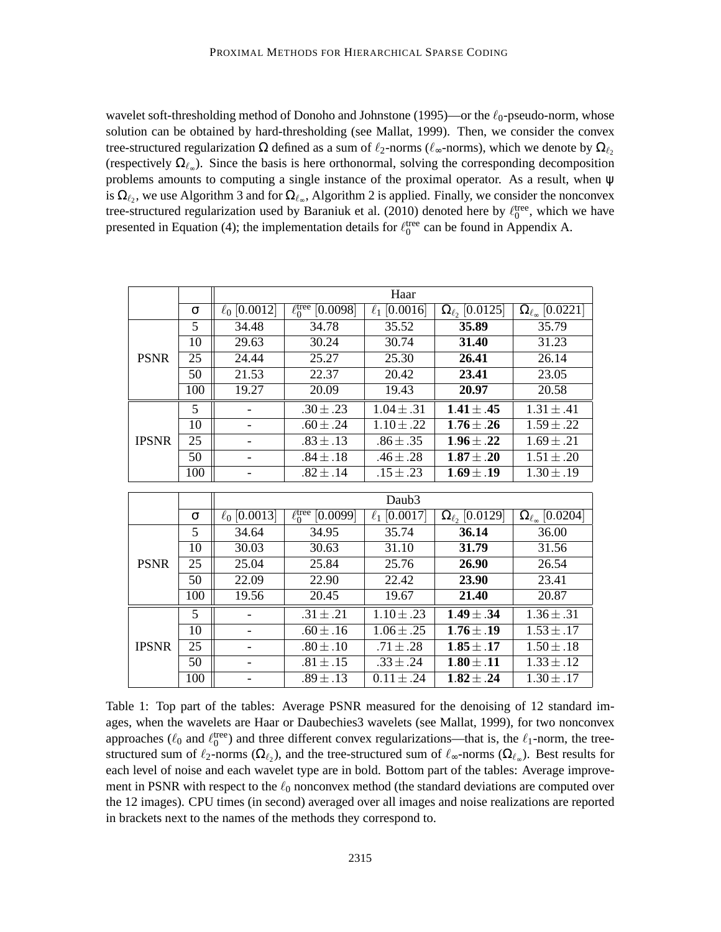wavelet soft-thresholding method of Donoho and Johnstone (1995)—or the  $\ell_0$ -pseudo-norm, whose solution can be obtained by hard-thresholding (see Mallat, 1999). Then, we consider the convex tree-structured regularization  $\Omega$  defined as a sum of  $\ell_2$ -norms ( $\ell_{\infty}$ -norms), which we denote by  $\Omega_{\ell_2}$ (respectively  $\Omega_{\ell_{\infty}}$ ). Since the basis is here orthonormal, solving the corresponding decomposition problems amounts to computing a single instance of the proximal operator. As a result, when ψ is  $\Omega_{\ell_2}$ , we use Algorithm 3 and for  $\Omega_{\ell_{\infty}}$ , Algorithm 2 is applied. Finally, we consider the nonconvex tree-structured regularization used by Baraniuk et al. (2010) denoted here by  $\ell_0^{\text{tree}}$ , which we have presented in Equation (4); the implementation details for  $\ell_0^{\text{tree}}$  can be found in Appendix A.

|              |                 | Haar              |                                 |                          |                            |                                              |  |  |  |
|--------------|-----------------|-------------------|---------------------------------|--------------------------|----------------------------|----------------------------------------------|--|--|--|
|              | $\sigma$        | $\ell_0$ [0.0012] | $\ell_0^{\text{tree}}$ [0.0098] | $\ell_1$ [0.0016]        | $\Omega_{\ell_2}$ [0.0125] | $\Omega_{\ell_{\infty}} [0.022\overline{1}]$ |  |  |  |
| <b>PSNR</b>  | 5               | 34.48             | 34.78                           | 35.52                    | 35.89                      | 35.79                                        |  |  |  |
|              | 10              | 29.63             | 30.24                           | 30.74                    | 31.40                      | 31.23                                        |  |  |  |
|              | 25              | 24.44             | 25.27                           | 25.30                    | 26.41                      | 26.14                                        |  |  |  |
|              | 50              | 21.53             | 22.37                           | 20.42                    | 23.41                      | 23.05                                        |  |  |  |
|              | 100             | 19.27             | 20.09                           | 19.43                    | 20.97                      | 20.58                                        |  |  |  |
| <b>IPSNR</b> | 5               |                   | $.30 \pm .23$                   | $1.04 \pm .31$           | $1.41 \pm .45$             | $1.31 \pm .41$                               |  |  |  |
|              | 10              |                   | $.60 \pm .24$                   | $1.10 \pm .22$           | $1.76 \pm .26$             | $1.59 \pm .22$                               |  |  |  |
|              | 25              |                   | $.83 \pm .13$                   | $.86 \pm .35$            | $1.96 \pm .22$             | $1.69 \pm .21$                               |  |  |  |
|              | 50              |                   | $.84 \pm .18$                   | $.46 \pm .28$            | $1.87 \pm .20$             | $1.51 \pm .20$                               |  |  |  |
|              | 100             |                   | $.82 \pm .14$                   | $\overline{.}15 \pm .23$ | $1.69 \pm .19$             | $1.30 \pm .19$                               |  |  |  |
|              |                 |                   |                                 |                          |                            |                                              |  |  |  |
|              |                 | Daub3             |                                 |                          |                            |                                              |  |  |  |
|              | $\sigma$        | $\ell_0$ [0.0013] | $\ell_0^{\text{tree}}$ [0.0099] | $\ell_1$ [0.0017]        | $\Omega_{\ell_2}$ [0.0129] | $\Omega_{\ell_{\infty}}$ [0.0204]            |  |  |  |
| <b>PSNR</b>  | 5               | 34.64             | 34.95                           | 35.74                    | 36.14                      | 36.00                                        |  |  |  |
|              | 10              | 30.03             | 30.63                           | 31.10                    | 31.79                      | 31.56                                        |  |  |  |
|              | $\overline{25}$ | 25.04             | 25.84                           | 25.76                    | 26.90                      | 26.54                                        |  |  |  |
|              | 50              | 22.09             | 22.90                           | 22.42                    | 23.90                      | 23.41                                        |  |  |  |
|              | 100             | 19.56             | 20.45                           | 19.67                    | 21.40                      | 20.87                                        |  |  |  |
| <b>IPSNR</b> | 5               |                   | $.31 \pm .21$                   | $1.10 \pm .23$           | $1.49 \pm .34$             | $1.36 \pm .31$                               |  |  |  |
|              | 10              |                   | $.60 \pm .16$                   | $1.06 \pm .25$           | $1.76 \pm .19$             | $1.53 \pm .17$                               |  |  |  |
|              | 25              |                   | $.80 \pm .10$                   | $.71 \pm .28$            | $1.85 \pm .17$             | $1.50 \pm .18$                               |  |  |  |
|              | $\overline{50}$ |                   | $.81 \pm .15$                   | $.33 \pm .24$            | $1.80 \pm .11$             | $1.33 \pm .12$                               |  |  |  |
|              |                 |                   |                                 |                          |                            | $1.30 \pm .17$                               |  |  |  |

Table 1: Top part of the tables: Average PSNR measured for the denoising of 12 standard images, when the wavelets are Haar or Daubechies3 wavelets (see Mallat, 1999), for two nonconvex approaches ( $\ell_0$  and  $\ell_0^{\text{tree}}$ ) and three different convex regularizations—that is, the  $\ell_1$ -norm, the treestructured sum of  $\ell_2$ -norms ( $\Omega_{\ell_2}$ ), and the tree-structured sum of  $\ell_\infty$ -norms ( $\Omega_{\ell_\infty}$ ). Best results for each level of noise and each wavelet type are in bold. Bottom part of the tables: Average improvement in PSNR with respect to the  $\ell_0$  nonconvex method (the standard deviations are computed over the 12 images). CPU times (in second) averaged over all images and noise realizations are reported in brackets next to the names of the methods they correspond to.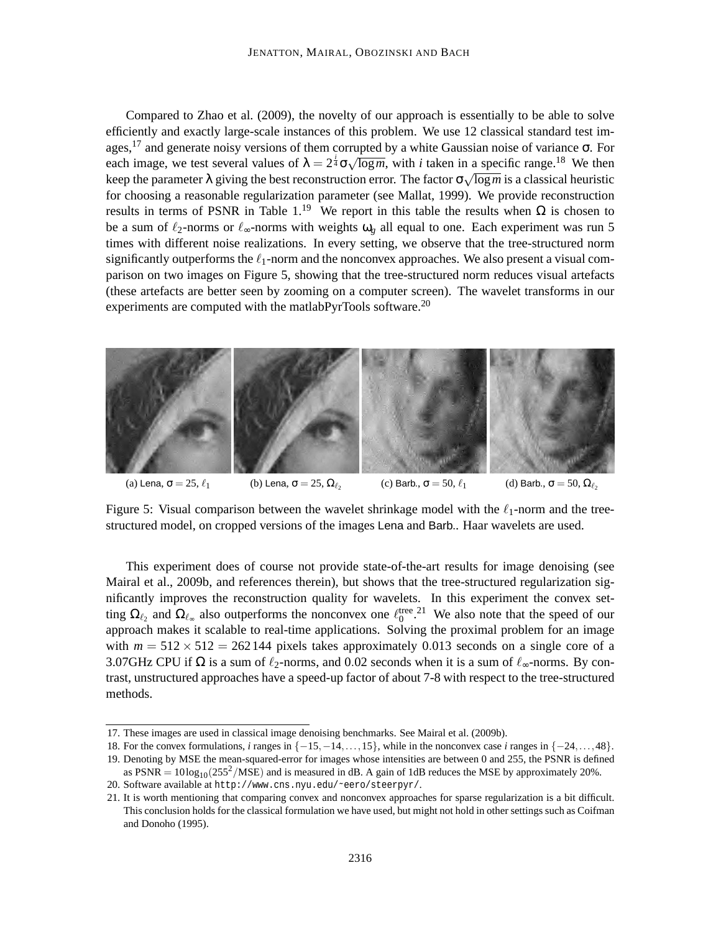Compared to Zhao et al. (2009), the novelty of our approach is essentially to be able to solve efficiently and exactly large-scale instances of this problem. We use 12 classical standard test images,<sup>17</sup> and generate noisy versions of them corrupted by a white Gaussian noise of variance  $\sigma$ . For each image, we test several values of  $\lambda = 2^{\frac{i}{4}} \sigma \sqrt{\log m}$ , with *i* taken in a specific range.<sup>18</sup> We then keep the parameter  $\lambda$  giving the best reconstruction error. The factor  $\sigma \sqrt{\log m}$  is a classical heuristic for choosing a reasonable regularization parameter (see Mallat, 1999). We provide reconstruction results in terms of PSNR in Table 1.<sup>19</sup> We report in this table the results when  $Ω$  is chosen to be a sum of  $\ell_2$ -norms or  $\ell_{\infty}$ -norms with weights  $\omega_{\varrho}$  all equal to one. Each experiment was run 5 times with different noise realizations. In every setting, we observe that the tree-structured norm significantly outperforms the  $\ell_1$ -norm and the nonconvex approaches. We also present a visual comparison on two images on Figure 5, showing that the tree-structured norm reduces visual artefacts (these artefacts are better seen by zooming on a computer screen). The wavelet transforms in our experiments are computed with the matlabPyrTools software.<sup>20</sup>



Figure 5: Visual comparison between the wavelet shrinkage model with the  $\ell_1$ -norm and the treestructured model, on cropped versions of the images Lena and Barb.. Haar wavelets are used.

This experiment does of course not provide state-of-the-art results for image denoising (see Mairal et al., 2009b, and references therein), but shows that the tree-structured regularization significantly improves the reconstruction quality for wavelets. In this experiment the convex setting  $\Omega_{\ell_2}$  and  $\Omega_{\ell_{\infty}}$  also outperforms the nonconvex one  $\ell_0^{\text{tree}}$ .<sup>21</sup> We also note that the speed of our approach makes it scalable to real-time applications. Solving the proximal problem for an image with  $m = 512 \times 512 = 262144$  pixels takes approximately 0.013 seconds on a single core of a 3.07GHz CPU if  $\Omega$  is a sum of  $\ell_2$ -norms, and 0.02 seconds when it is a sum of  $\ell_{\infty}$ -norms. By contrast, unstructured approaches have a speed-up factor of about 7-8 with respect to the tree-structured methods.

<sup>17.</sup> These images are used in classical image denoising benchmarks. See Mairal et al. (2009b).

<sup>18.</sup> For the convex formulations, *i* ranges in {−15,−14,...,15}, while in the nonconvex case *i* ranges in {−24,...,48}. 19. Denoting by MSE the mean-squared-error for images whose intensities are between 0 and 255, the PSNR is defined

as PSNR =  $10\log_{10}(255^2/\text{MSE})$  and is measured in dB. A gain of 1dB reduces the MSE by approximately 20%.

<sup>20.</sup> Software available at http://www.cns.nyu.edu/˜eero/steerpyr/.

<sup>21.</sup> It is worth mentioning that comparing convex and nonconvex approaches for sparse regularization is a bit difficult. This conclusion holds for the classical formulation we have used, but might not hold in other settings such as Coifman and Donoho (1995).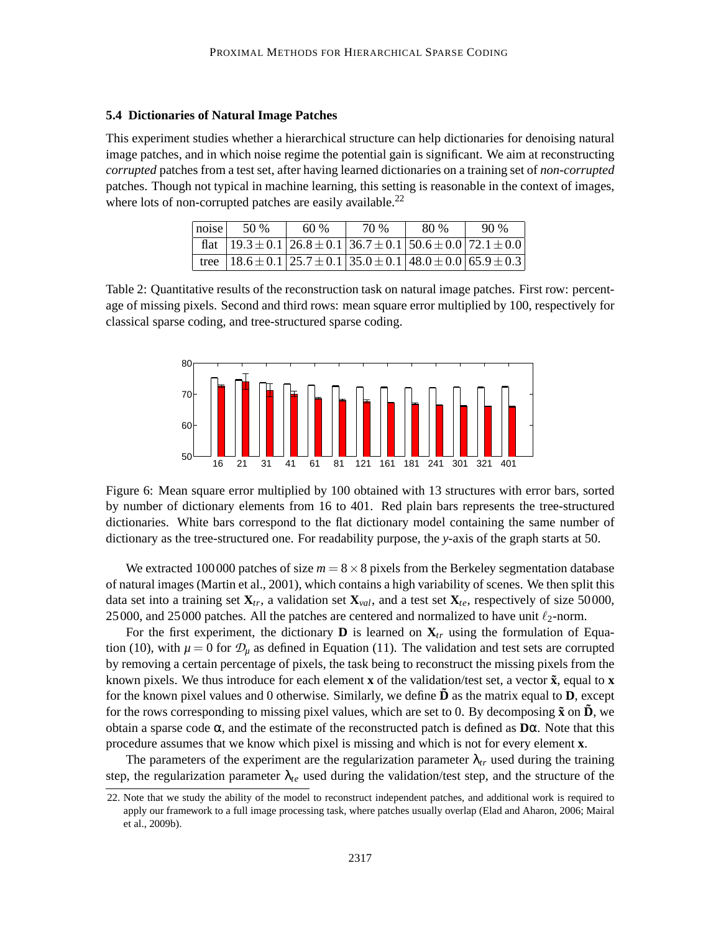## **5.4 Dictionaries of Natural Image Patches**

This experiment studies whether a hierarchical structure can help dictionaries for denoising natural image patches, and in which noise regime the potential gain is significant. We aim at reconstructing *corrupted* patches from a test set, after having learned dictionaries on a training set of *non-corrupted* patches. Though not typical in machine learning, this setting is reasonable in the context of images, where lots of non-corrupted patches are easily available.<sup>22</sup>

| noise | .50 %                                                                                                | 60% | 70 % | 80 % | 90% |
|-------|------------------------------------------------------------------------------------------------------|-----|------|------|-----|
|       | flat $ 19.3 \pm 0.1 26.8 \pm 0.1 36.7 \pm 0.1 50.6 \pm 0.0 72.1 \pm 0.0 $                            |     |      |      |     |
|       | tree $\left[ 18.6 \pm 0.1 \right]$ 25.7 $\pm$ 0.1   35.0 $\pm$ 0.1   48.0 $\pm$ 0.0   65.9 $\pm$ 0.3 |     |      |      |     |

Table 2: Quantitative results of the reconstruction task on natural image patches. First row: percentage of missing pixels. Second and third rows: mean square error multiplied by 100, respectively for classical sparse coding, and tree-structured sparse coding.



Figure 6: Mean square error multiplied by 100 obtained with 13 structures with error bars, sorted by number of dictionary elements from 16 to 401. Red plain bars represents the tree-structured dictionaries. White bars correspond to the flat dictionary model containing the same number of dictionary as the tree-structured one. For readability purpose, the *y*-axis of the graph starts at 50.

We extracted 100000 patches of size  $m = 8 \times 8$  pixels from the Berkeley segmentation database of natural images (Martin et al., 2001), which contains a high variability of scenes. We then split this data set into a training set  $\mathbf{X}_{tr}$ , a validation set  $\mathbf{X}_{val}$ , and a test set  $\mathbf{X}_{te}$ , respectively of size 50000, 25000, and 25000 patches. All the patches are centered and normalized to have unit  $\ell_2$ -norm.

For the first experiment, the dictionary **D** is learned on  $X_t$  using the formulation of Equation (10), with  $\mu = 0$  for  $\mathcal{D}_{\mu}$  as defined in Equation (11). The validation and test sets are corrupted by removing a certain percentage of pixels, the task being to reconstruct the missing pixels from the known pixels. We thus introduce for each element **x** of the validation/test set, a vector  $\tilde{\mathbf{x}}$ , equal to **x** for the known pixel values and 0 otherwise. Similarly, we define  $\bf{D}$  as the matrix equal to  $\bf{D}$ , except for the rows corresponding to missing pixel values, which are set to 0. By decomposing  $\tilde{\mathbf{x}}$  on  $\tilde{\mathbf{D}}$ , we obtain a sparse code α, and the estimate of the reconstructed patch is defined as **D**α. Note that this procedure assumes that we know which pixel is missing and which is not for every element **x**.

The parameters of the experiment are the regularization parameter  $\lambda_{tr}$  used during the training step, the regularization parameter  $\lambda_{te}$  used during the validation/test step, and the structure of the

<sup>22.</sup> Note that we study the ability of the model to reconstruct independent patches, and additional work is required to apply our framework to a full image processing task, where patches usually overlap (Elad and Aharon, 2006; Mairal et al., 2009b).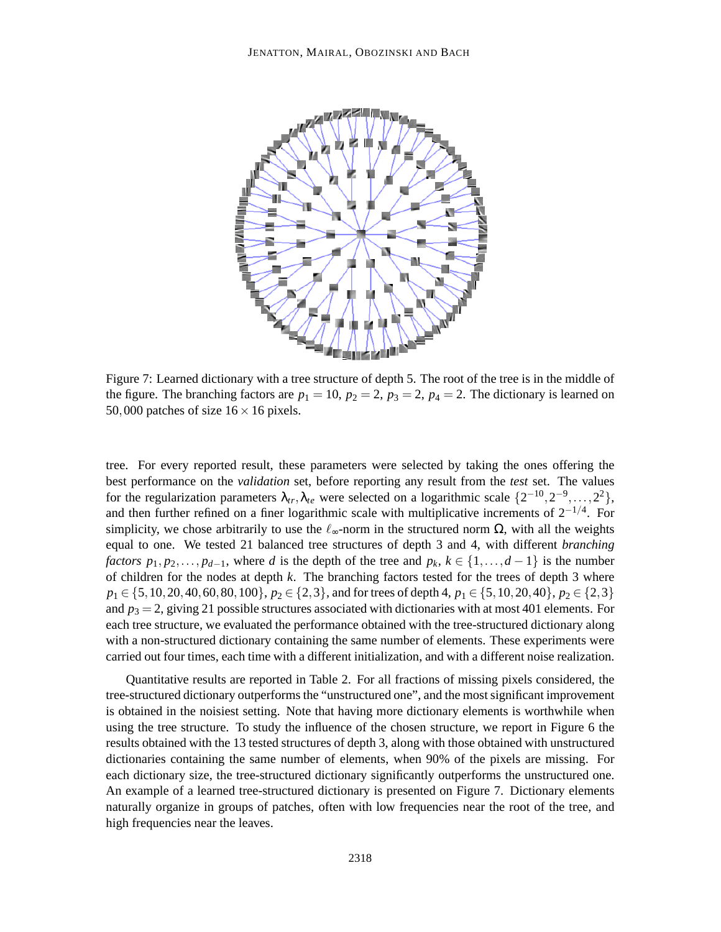

Figure 7: Learned dictionary with a tree structure of depth 5. The root of the tree is in the middle of the figure. The branching factors are  $p_1 = 10$ ,  $p_2 = 2$ ,  $p_3 = 2$ ,  $p_4 = 2$ . The dictionary is learned on 50,000 patches of size  $16 \times 16$  pixels.

tree. For every reported result, these parameters were selected by taking the ones offering the best performance on the *validation* set, before reporting any result from the *test* set. The values for the regularization parameters  $\lambda_{tr}, \lambda_{te}$  were selected on a logarithmic scale  $\{2^{-10}, 2^{-9}, \ldots, 2^2\}$ , and then further refined on a finer logarithmic scale with multiplicative increments of  $2^{-1/4}$ . For simplicity, we chose arbitrarily to use the  $\ell_{\infty}$ -norm in the structured norm  $\Omega$ , with all the weights equal to one. We tested 21 balanced tree structures of depth 3 and 4, with different *branching factors*  $p_1, p_2, \ldots, p_{d-1}$ , where *d* is the depth of the tree and  $p_k, k \in \{1, \ldots, d-1\}$  is the number of children for the nodes at depth *k*. The branching factors tested for the trees of depth 3 where *p*<sub>1</sub> ∈ {5,10,20,40,60,80,100}, *p*<sub>2</sub> ∈ {2,3}, and for trees of depth 4, *p*<sub>1</sub> ∈ {5,10,20,40}, *p*<sub>2</sub> ∈ {2,3} and  $p_3 = 2$ , giving 21 possible structures associated with dictionaries with at most 401 elements. For each tree structure, we evaluated the performance obtained with the tree-structured dictionary along with a non-structured dictionary containing the same number of elements. These experiments were carried out four times, each time with a different initialization, and with a different noise realization.

Quantitative results are reported in Table 2. For all fractions of missing pixels considered, the tree-structured dictionary outperforms the "unstructured one", and the most significant improvement is obtained in the noisiest setting. Note that having more dictionary elements is worthwhile when using the tree structure. To study the influence of the chosen structure, we report in Figure 6 the results obtained with the 13 tested structures of depth 3, along with those obtained with unstructured dictionaries containing the same number of elements, when 90% of the pixels are missing. For each dictionary size, the tree-structured dictionary significantly outperforms the unstructured one. An example of a learned tree-structured dictionary is presented on Figure 7. Dictionary elements naturally organize in groups of patches, often with low frequencies near the root of the tree, and high frequencies near the leaves.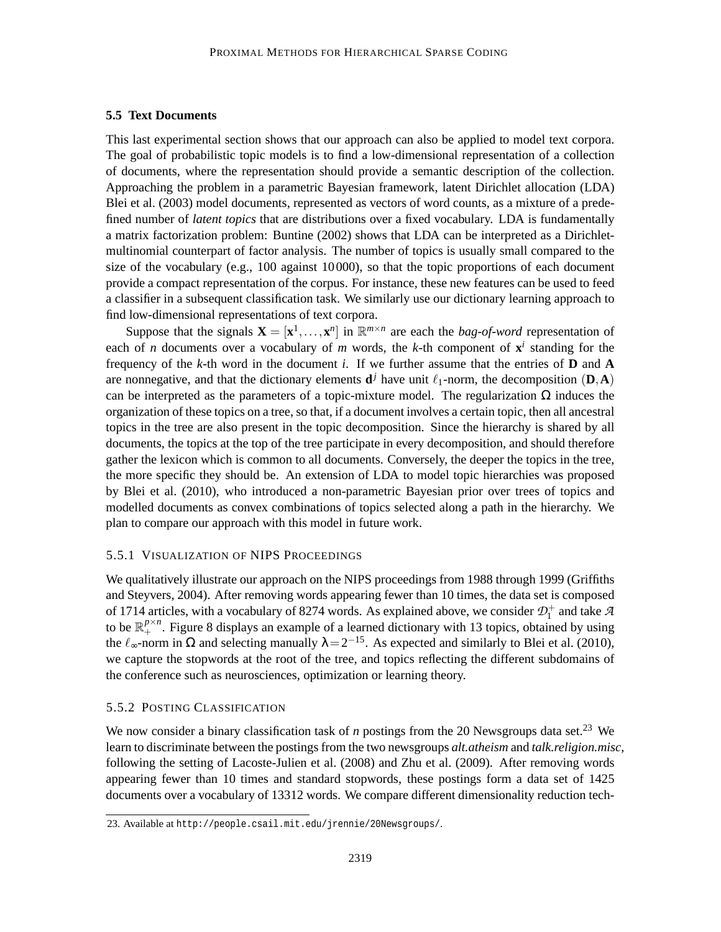## **5.5 Text Documents**

This last experimental section shows that our approach can also be applied to model text corpora. The goal of probabilistic topic models is to find a low-dimensional representation of a collection of documents, where the representation should provide a semantic description of the collection. Approaching the problem in a parametric Bayesian framework, latent Dirichlet allocation (LDA) Blei et al. (2003) model documents, represented as vectors of word counts, as a mixture of a predefined number of *latent topics* that are distributions over a fixed vocabulary. LDA is fundamentally a matrix factorization problem: Buntine (2002) shows that LDA can be interpreted as a Dirichletmultinomial counterpart of factor analysis. The number of topics is usually small compared to the size of the vocabulary (e.g., 100 against 10000), so that the topic proportions of each document provide a compact representation of the corpus. For instance, these new features can be used to feed a classifier in a subsequent classification task. We similarly use our dictionary learning approach to find low-dimensional representations of text corpora.

Suppose that the signals  $\mathbf{X} = [\mathbf{x}^1, \dots, \mathbf{x}^n]$  in  $\mathbb{R}^{m \times n}$  are each the *bag-of-word* representation of each of *n* documents over a vocabulary of *m* words, the *k*-th component of  $x^i$  standing for the frequency of the *k*-th word in the document *i*. If we further assume that the entries of **D** and **A** are nonnegative, and that the dictionary elements  $\mathbf{d}^j$  have unit  $\ell_1$ -norm, the decomposition  $(\mathbf{D}, \mathbf{A})$ can be interpreted as the parameters of a topic-mixture model. The regularization  $\Omega$  induces the organization of these topics on a tree, so that, if a document involves a certain topic, then all ancestral topics in the tree are also present in the topic decomposition. Since the hierarchy is shared by all documents, the topics at the top of the tree participate in every decomposition, and should therefore gather the lexicon which is common to all documents. Conversely, the deeper the topics in the tree, the more specific they should be. An extension of LDA to model topic hierarchies was proposed by Blei et al. (2010), who introduced a non-parametric Bayesian prior over trees of topics and modelled documents as convex combinations of topics selected along a path in the hierarchy. We plan to compare our approach with this model in future work.

### 5.5.1 VISUALIZATION OF NIPS PROCEEDINGS

We qualitatively illustrate our approach on the NIPS proceedings from 1988 through 1999 (Griffiths and Steyvers, 2004). After removing words appearing fewer than 10 times, the data set is composed of 1714 articles, with a vocabulary of 8274 words. As explained above, we consider  $\mathcal{D}_1^+$  and take  $\mathcal A$ to be  $\mathbb{R}^{p\times n}_+$ . Figure 8 displays an example of a learned dictionary with 13 topics, obtained by using the  $\ell_{\infty}$ -norm in  $\Omega$  and selecting manually  $\lambda = 2^{-15}$ . As expected and similarly to Blei et al. (2010), we capture the stopwords at the root of the tree, and topics reflecting the different subdomains of the conference such as neurosciences, optimization or learning theory.

## 5.5.2 POSTING CLASSIFICATION

We now consider a binary classification task of *n* postings from the 20 Newsgroups data set.<sup>23</sup> We learn to discriminate between the postings from the two newsgroups *alt.atheism* and *talk.religion.misc*, following the setting of Lacoste-Julien et al. (2008) and Zhu et al. (2009). After removing words appearing fewer than 10 times and standard stopwords, these postings form a data set of 1425 documents over a vocabulary of 13312 words. We compare different dimensionality reduction tech-

<sup>23.</sup> Available at http://people.csail.mit.edu/jrennie/20Newsgroups/.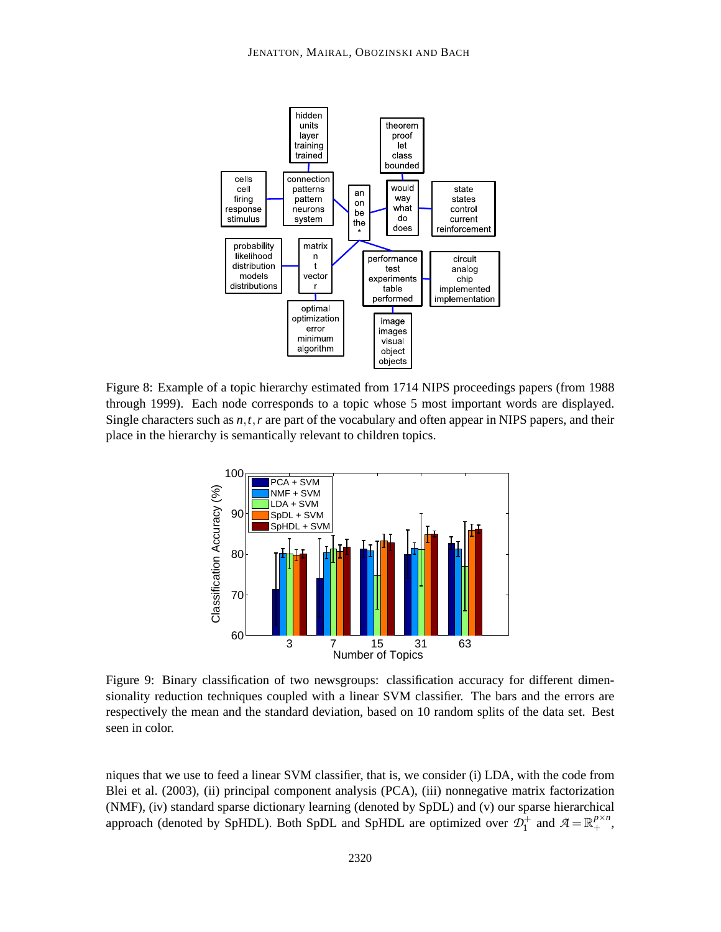

Figure 8: Example of a topic hierarchy estimated from 1714 NIPS proceedings papers (from 1988 through 1999). Each node corresponds to a topic whose 5 most important words are displayed. Single characters such as *n*,*t*,*r* are part of the vocabulary and often appear in NIPS papers, and their place in the hierarchy is semantically relevant to children topics.



Figure 9: Binary classification of two newsgroups: classification accuracy for different dimensionality reduction techniques coupled with a linear SVM classifier. The bars and the errors are respectively the mean and the standard deviation, based on 10 random splits of the data set. Best seen in color.

niques that we use to feed a linear SVM classifier, that is, we consider (i) LDA, with the code from Blei et al. (2003), (ii) principal component analysis (PCA), (iii) nonnegative matrix factorization (NMF), (iv) standard sparse dictionary learning (denoted by SpDL) and (v) our sparse hierarchical approach (denoted by SpHDL). Both SpDL and SpHDL are optimized over  $\mathcal{D}_1^+$  and  $\mathcal{A} = \mathbb{R}_+^{p \times n}$ ,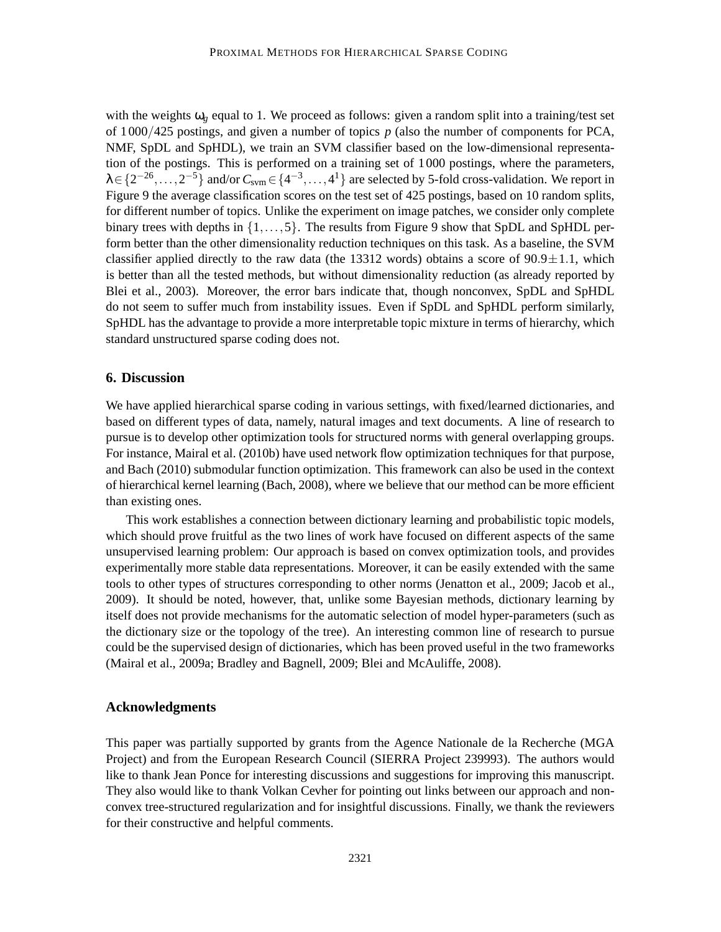with the weights  $\omega_g$  equal to 1. We proceed as follows: given a random split into a training/test set of 1000/425 postings, and given a number of topics *p* (also the number of components for PCA, NMF, SpDL and SpHDL), we train an SVM classifier based on the low-dimensional representation of the postings. This is performed on a training set of 1000 postings, where the parameters,  $\lambda \in \{2^{-26}, \ldots, 2^{-5}\}$  and/or  $C_{\text{sym}} \in \{4^{-3}, \ldots, 4^{1}\}$  are selected by 5-fold cross-validation. We report in Figure 9 the average classification scores on the test set of 425 postings, based on 10 random splits, for different number of topics. Unlike the experiment on image patches, we consider only complete binary trees with depths in  $\{1,\ldots,5\}$ . The results from Figure 9 show that SpDL and SpHDL perform better than the other dimensionality reduction techniques on this task. As a baseline, the SVM classifier applied directly to the raw data (the 13312 words) obtains a score of  $90.9 \pm 1.1$ , which is better than all the tested methods, but without dimensionality reduction (as already reported by Blei et al., 2003). Moreover, the error bars indicate that, though nonconvex, SpDL and SpHDL do not seem to suffer much from instability issues. Even if SpDL and SpHDL perform similarly, SpHDL has the advantage to provide a more interpretable topic mixture in terms of hierarchy, which standard unstructured sparse coding does not.

## **6. Discussion**

We have applied hierarchical sparse coding in various settings, with fixed/learned dictionaries, and based on different types of data, namely, natural images and text documents. A line of research to pursue is to develop other optimization tools for structured norms with general overlapping groups. For instance, Mairal et al. (2010b) have used network flow optimization techniques for that purpose, and Bach (2010) submodular function optimization. This framework can also be used in the context of hierarchical kernel learning (Bach, 2008), where we believe that our method can be more efficient than existing ones.

This work establishes a connection between dictionary learning and probabilistic topic models, which should prove fruitful as the two lines of work have focused on different aspects of the same unsupervised learning problem: Our approach is based on convex optimization tools, and provides experimentally more stable data representations. Moreover, it can be easily extended with the same tools to other types of structures corresponding to other norms (Jenatton et al., 2009; Jacob et al., 2009). It should be noted, however, that, unlike some Bayesian methods, dictionary learning by itself does not provide mechanisms for the automatic selection of model hyper-parameters (such as the dictionary size or the topology of the tree). An interesting common line of research to pursue could be the supervised design of dictionaries, which has been proved useful in the two frameworks (Mairal et al., 2009a; Bradley and Bagnell, 2009; Blei and McAuliffe, 2008).

## **Acknowledgments**

This paper was partially supported by grants from the Agence Nationale de la Recherche (MGA Project) and from the European Research Council (SIERRA Project 239993). The authors would like to thank Jean Ponce for interesting discussions and suggestions for improving this manuscript. They also would like to thank Volkan Cevher for pointing out links between our approach and nonconvex tree-structured regularization and for insightful discussions. Finally, we thank the reviewers for their constructive and helpful comments.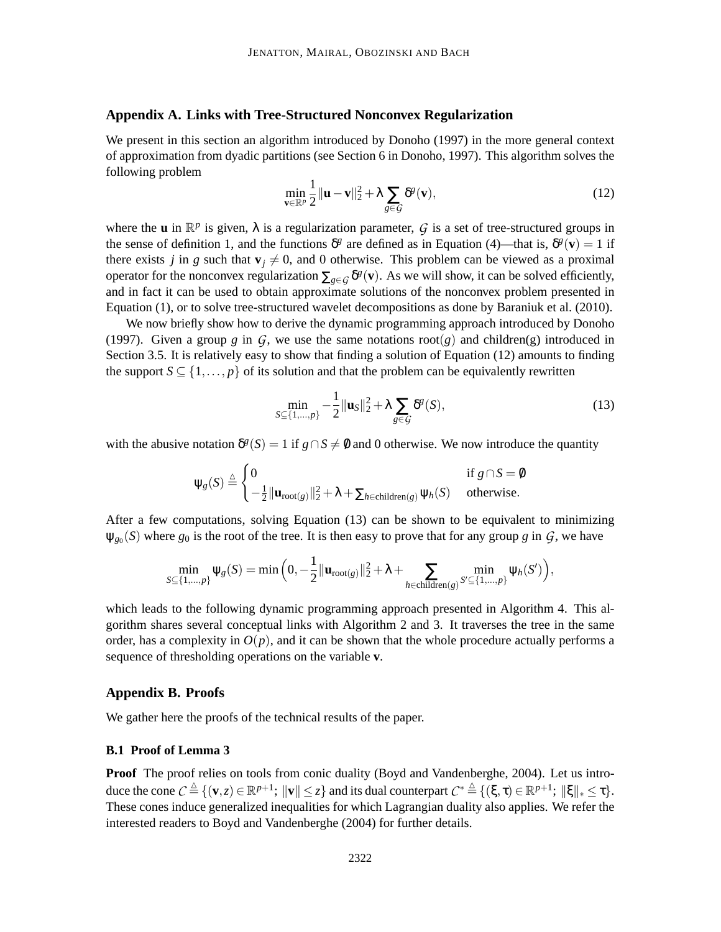## **Appendix A. Links with Tree-Structured Nonconvex Regularization**

We present in this section an algorithm introduced by Donoho (1997) in the more general context of approximation from dyadic partitions (see Section 6 in Donoho, 1997). This algorithm solves the following problem

$$
\min_{\mathbf{v}\in\mathbb{R}^p}\frac{1}{2}\|\mathbf{u}-\mathbf{v}\|_2^2+\lambda\sum_{g\in\mathcal{G}}\delta^g(\mathbf{v}),\tag{12}
$$

where the **u** in  $\mathbb{R}^p$  is given,  $\lambda$  is a regularization parameter,  $\mathcal{G}$  is a set of tree-structured groups in the sense of definition 1, and the functions  $\delta^g$  are defined as in Equation (4)—that is,  $\delta^g(\mathbf{v}) = 1$  if there exists *j* in *g* such that  $\mathbf{v}_i \neq 0$ , and 0 otherwise. This problem can be viewed as a proximal operator for the nonconvex regularization  $\sum_{g \in G} \delta^g(v)$ . As we will show, it can be solved efficiently, and in fact it can be used to obtain approximate solutions of the nonconvex problem presented in Equation (1), or to solve tree-structured wavelet decompositions as done by Baraniuk et al. (2010).

We now briefly show how to derive the dynamic programming approach introduced by Donoho (1997). Given a group  $g$  in  $G$ , we use the same notations root( $g$ ) and children(g) introduced in Section 3.5. It is relatively easy to show that finding a solution of Equation (12) amounts to finding the support  $S \subseteq \{1, ..., p\}$  of its solution and that the problem can be equivalently rewritten

$$
\min_{S \subseteq \{1,\dots,p\}} -\frac{1}{2} ||\mathbf{u}_S||_2^2 + \lambda \sum_{g \in \mathcal{G}} \delta^g(S),\tag{13}
$$

with the abusive notation  $\delta^g(S) = 1$  if  $g \cap S \neq \emptyset$  and 0 otherwise. We now introduce the quantity

$$
\psi_{g}(S) \stackrel{\triangle}{=} \begin{cases} 0 & \text{if } g \cap S = \emptyset \\ -\frac{1}{2} || \mathbf{u}_{\text{root}(g)} ||_{2}^{2} + \lambda + \sum_{h \in \text{children}(g)} \psi_{h}(S) & \text{otherwise.} \end{cases}
$$

After a few computations, solving Equation (13) can be shown to be equivalent to minimizing  $\psi_{g_0}(S)$  where  $g_0$  is the root of the tree. It is then easy to prove that for any group *g* in  $G$ , we have

$$
\min_{S \subseteq \{1,\ldots,p\}} \psi_g(S) = \min\Big(0, -\frac{1}{2} || \mathbf{u}_{\text{root}(g)} ||_2^2 + \lambda + \sum_{h \in \text{children}(g)} \min_{S' \subseteq \{1,\ldots,p\}} \psi_h(S')\Big),
$$

which leads to the following dynamic programming approach presented in Algorithm 4. This algorithm shares several conceptual links with Algorithm 2 and 3. It traverses the tree in the same order, has a complexity in  $O(p)$ , and it can be shown that the whole procedure actually performs a sequence of thresholding operations on the variable **v**.

## **Appendix B. Proofs**

We gather here the proofs of the technical results of the paper.

## **B.1 Proof of Lemma 3**

**Proof** The proof relies on tools from conic duality (Boyd and Vandenberghe, 2004). Let us introduce the cone  $C \triangleq \{ (\mathbf{v}, z) \in \mathbb{R}^{p+1} \colon ||\mathbf{v}|| \leq z \}$  and its dual counterpart  $C^* \triangleq \{ (\xi, \tau) \in \mathbb{R}^{p+1} \colon ||\xi||_* \leq \tau \}.$ These cones induce generalized inequalities for which Lagrangian duality also applies. We refer the interested readers to Boyd and Vandenberghe (2004) for further details.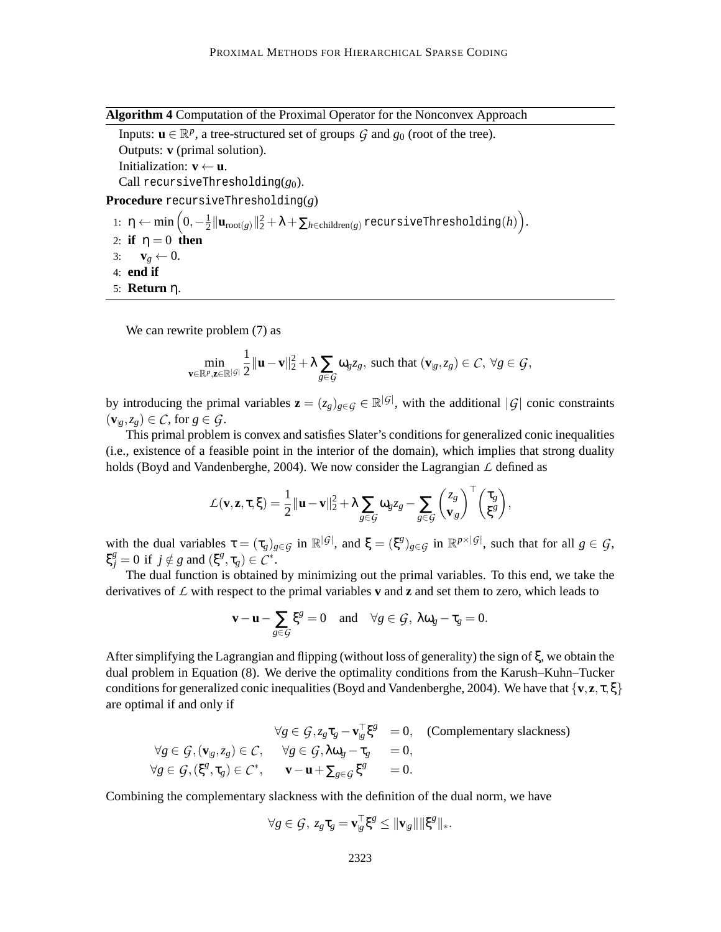**Algorithm 4** Computation of the Proximal Operator for the Nonconvex Approach

Inputs:  $\mathbf{u} \in \mathbb{R}^p$ , a tree-structured set of groups  $\mathcal G$  and  $g_0$  (root of the tree).

Outputs: **v** (primal solution).

Initialization:  $\mathbf{v} \leftarrow \mathbf{u}$ .

Call recursiveThresholding(*g*0).

**Procedure** recursiveThresholding(*g*)

1:  $\eta \leftarrow \min\left(0, -\frac{1}{2}\right)$  $\frac{1}{2} \|\mathbf{u}_{\text{root}(g)}\|_2^2 + \lambda + \sum_{h \in \text{children}(g)} \text{recursiveThresholding}(h) \Big).$ 

- 2: **if**  $\eta = 0$  **then**
- 3:  $\mathbf{v}_g \leftarrow 0$ .
- 4: **end if**
- 5: **Return** η.

We can rewrite problem  $(7)$  as

**<sup>v</sup>**∈R*<sup>p</sup>*

$$
\min_{\boldsymbol{\epsilon}\in\mathbb{R}^p,\mathbf{z}\in\mathbb{R}^{|G|}}\frac{1}{2}\|\mathbf{u}-\mathbf{v}\|_2^2+\lambda\sum_{g\in G}\omega_gz_g, \text{ such that } (\mathbf{v}_{|g},z_g)\in\mathcal{C},\ \forall g\in\mathcal{G},
$$

by introducing the primal variables  $\mathbf{z} = (z_g)_{g \in \mathcal{G}} \in \mathbb{R}^{|\mathcal{G}|}$ , with the additional  $|\mathcal{G}|$  conic constraints  $(\mathbf{v}_{g},z_{g}) \in \mathcal{C}$ , for  $g \in \mathcal{G}$ .

This primal problem is convex and satisfies Slater's conditions for generalized conic inequalities (i.e., existence of a feasible point in the interior of the domain), which implies that strong duality holds (Boyd and Vandenberghe, 2004). We now consider the Lagrangian *L* defined as

$$
\mathcal{L}(\mathbf{v}, \mathbf{z}, \tau, \xi) = \frac{1}{2} ||\mathbf{u} - \mathbf{v}||_2^2 + \lambda \sum_{g \in \mathcal{G}} \omega_g z_g - \sum_{g \in \mathcal{G}} \binom{z_g}{\mathbf{v}_{|g}}^\top \binom{\tau_g}{\xi^g},
$$

with the dual variables  $\tau = (\tau_g)_{g \in \mathcal{G}}$  in  $\mathbb{R}^{|\mathcal{G}|}$ , and  $\xi = (\xi^g)_{g \in \mathcal{G}}$  in  $\mathbb{R}^{p \times |\mathcal{G}|}$ , such that for all  $g \in \mathcal{G}$ ,  $\xi_j^g = 0$  if  $j \notin g$  and  $(\xi^g, \tau_g) \in C^*$ .

The dual function is obtained by minimizing out the primal variables. To this end, we take the derivatives of *L* with respect to the primal variables **v** and **z** and set them to zero, which leads to

$$
\mathbf{v} - \mathbf{u} - \sum_{g \in \mathcal{G}} \xi^g = 0 \quad \text{and} \quad \forall g \in \mathcal{G}, \ \lambda \omega_g - \tau_g = 0.
$$

After simplifying the Lagrangian and flipping (without loss of generality) the sign of ξ, we obtain the dual problem in Equation (8). We derive the optimality conditions from the Karush–Kuhn–Tucker conditions for generalized conic inequalities (Boyd and Vandenberghe, 2004). We have that  $\{v, z, \tau, \xi\}$ are optimal if and only if

$$
\forall g \in \mathcal{G}, z_g \tau_g - \mathbf{v}_{g}^{\top} \xi^g = 0, \quad \text{(Complementary slackness)}
$$
\n
$$
\forall g \in \mathcal{G}, (\mathbf{v}_{g}, z_g) \in \mathcal{C}, \quad \forall g \in \mathcal{G}, \lambda \omega_g - \tau_g = 0,
$$
\n
$$
\forall g \in \mathcal{G}, (\xi^g, \tau_g) \in \mathcal{C}^*, \quad \mathbf{v} - \mathbf{u} + \sum_{g \in \mathcal{G}} \xi^g = 0.
$$

Combining the complementary slackness with the definition of the dual norm, we have

$$
\forall g \in \mathcal{G}, \ z_g \tau_g = \mathbf{v}_g^\top \xi^g \leq \|\mathbf{v}_g\| \|\xi^g\|_*.
$$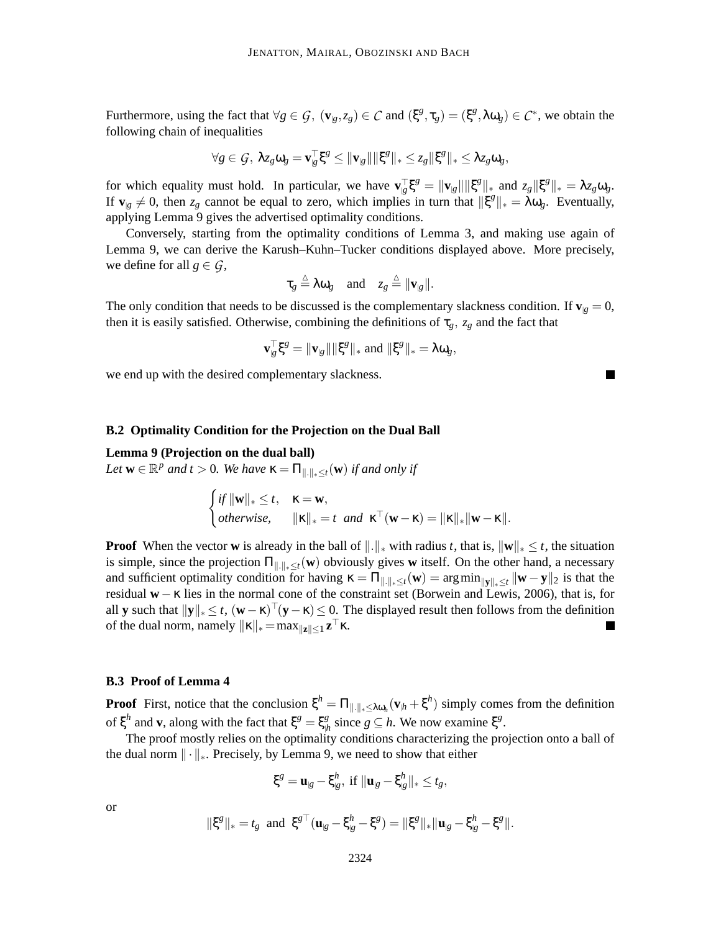Furthermore, using the fact that  $\forall g \in \mathcal{G}$ ,  $(\mathbf{v}_{g}, z_g) \in \mathcal{C}$  and  $(\xi^g, \tau_g) = (\xi^g, \lambda \omega_g) \in \mathcal{C}^*$ , we obtain the following chain of inequalities

$$
\forall g \in \mathcal{G}, \ \lambda z_g \omega_g = \mathbf{v}^\top_{|g} \xi^g \leq \|\mathbf{v}_{|g}\| \|\xi^g\|_* \leq z_g \|\xi^g\|_* \leq \lambda z_g \omega_g,
$$

for which equality must hold. In particular, we have  $\mathbf{v}_{g}^{\top} \xi^{g} = ||\mathbf{v}_{g}|| ||\xi^{g}||_{*}$  and  $z_{g}||\xi^{g}||_{*} = \lambda z_{g} \omega_{g}$ . If  $\mathbf{v}_{g} \neq 0$ , then  $z_g$  cannot be equal to zero, which implies in turn that  $\|\xi^g\|_* = \lambda \omega_g$ . Eventually, applying Lemma 9 gives the advertised optimality conditions.

Conversely, starting from the optimality conditions of Lemma 3, and making use again of Lemma 9, we can derive the Karush–Kuhn–Tucker conditions displayed above. More precisely, we define for all  $g \in \mathcal{G}$ ,

$$
\tau_g \stackrel{\triangle}{=} \lambda \omega_g
$$
 and  $z_g \stackrel{\triangle}{=} ||\mathbf{v}_{|g}||$ .

The only condition that needs to be discussed is the complementary slackness condition. If  $\mathbf{v}_{|\mathbf{g}} = 0$ , then it is easily satisfied. Otherwise, combining the definitions of  $\tau_g$ ,  $z_g$  and the fact that

$$
\mathbf{v}_{g}^{\top} \xi^{g} = \|\mathbf{v}_{g}\| \|\xi^{g}\|_{*} \text{ and } \|\xi^{g}\|_{*} = \lambda \omega_{g},
$$

we end up with the desired complementary slackness.

## **B.2 Optimality Condition for the Projection on the Dual Ball**

#### **Lemma 9 (Projection on the dual ball)**

Let  $\mathbf{w} \in \mathbb{R}^p$  and  $t > 0$ . We have  $\kappa = \prod_{\|\cdot\|_* \leq t} (\mathbf{w})$  *if and only if* 

$$
\begin{cases} \text{if } ||\mathbf{w}||_* \leq t, & \mathbf{\kappa} = \mathbf{w}, \\ \text{otherwise}, & ||\mathbf{\kappa}||_* = t \text{ and } \mathbf{\kappa}^\top (\mathbf{w} - \mathbf{\kappa}) = ||\mathbf{\kappa}||_* ||\mathbf{w} - \mathbf{\kappa}||. \end{cases}
$$

**Proof** When the vector **w** is already in the ball of  $\|\cdot\|_*$  with radius *t*, that is,  $\|\mathbf{w}\|_* \leq t$ , the situation is simple, since the projection  $\Pi_{\|\cdot\|_{*} \leq t}(\mathbf{w})$  obviously gives **w** itself. On the other hand, a necessary and sufficient optimality condition for having  $\kappa = \prod_{\|.\|_\ast \leq t} (\mathbf{w}) = \arg \min_{\| \mathbf{y} \|_\ast \leq t} \|\mathbf{w} - \mathbf{y} \|_2$  is that the residual **w**−κ lies in the normal cone of the constraint set (Borwein and Lewis, 2006), that is, for all **y** such that  $\|\mathbf{y}\|_* \leq t$ ,  $(\mathbf{w} - \mathbf{k})^{-1}(\mathbf{y} - \mathbf{k}) \leq 0$ . The displayed result then follows from the definition of the dual norm, namely  $||\mathbf{k}||_* = \max_{||\mathbf{z}|| \leq 1} \mathbf{z}^\top \mathbf{k}$ .

## **B.3 Proof of Lemma 4**

**Proof** First, notice that the conclusion  $\xi^h = \Pi_{\|\cdot\|_{*} \leq \lambda \omega_h} (\mathbf{v}_{\vert h} + \xi^h)$  simply comes from the definition of  $\xi^h$  and **v**, along with the fact that  $\xi^g = \xi^g_\mu$  $\frac{g}{h}$  since  $g \subseteq h$ . We now examine  $\xi^g$ .

The proof mostly relies on the optimality conditions characterizing the projection onto a ball of the dual norm  $\|\cdot\|_*$ . Precisely, by Lemma 9, we need to show that either

$$
\xi^g = \mathbf{u}_{|g} - \xi^h_{|g}, \text{ if } \|\mathbf{u}_{|g} - \xi^h_{|g}\|_* \leq t_g,
$$

or

$$
\|\xi^g\|_* = t_g
$$
 and  $\xi^{g\top}(\mathbf{u}_{|g} - \xi_{|g}^h - \xi^g) = \|\xi^g\|_* \|\mathbf{u}_{|g} - \xi_{|g}^h - \xi^g\|.$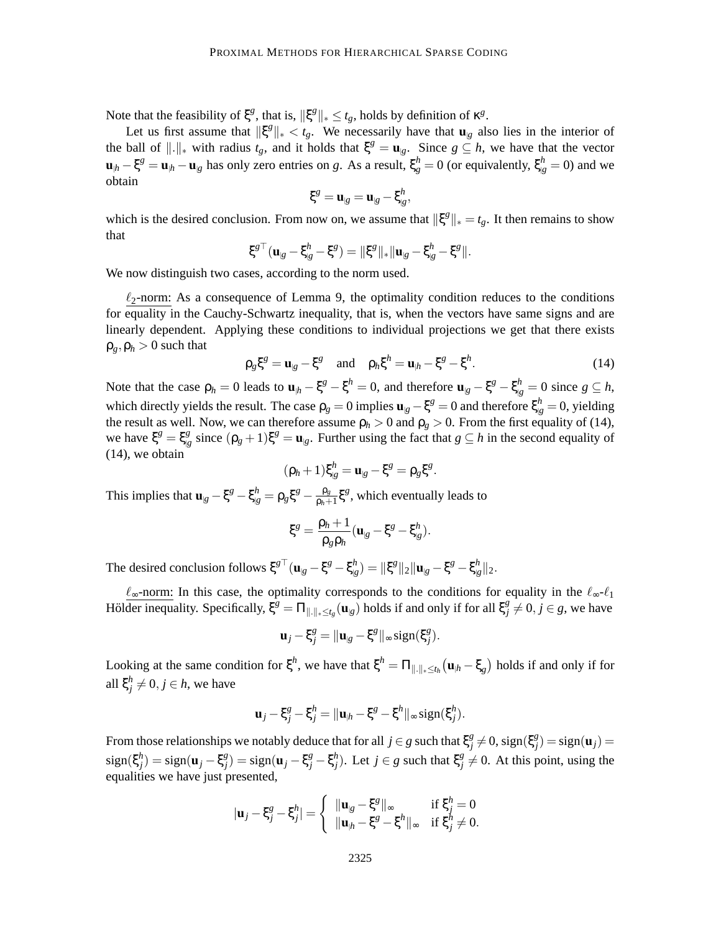Note that the feasibility of  $\xi^g$ , that is,  $\|\xi^g\|_* \le t_g$ , holds by definition of  $\kappa^g$ .

Let us first assume that  $\|\xi^g\|_* < t_g$ . We necessarily have that  $\mathbf{u}_{|g}$  also lies in the interior of the ball of  $\|\cdot\|_*$  with radius  $t_g$ , and it holds that  $\xi^g = \mathbf{u}_{g}$ . Since  $g \subseteq h$ , we have that the vector  $\mathbf{u}_{h} - \xi^{g} = \mathbf{u}_{h} - \mathbf{u}_{g}$  has only zero entries on *g*. As a result,  $\xi_{g}^{h} = 0$  (or equivalently,  $\xi_{g}^{h} = 0$ ) and we obtain

$$
\xi^g = \mathbf{u}_{g} = \mathbf{u}_{g} - \xi^h_{g},
$$

which is the desired conclusion. From now on, we assume that  $\|\xi^g\|_* = t_g$ . It then remains to show that

$$
\xi^{g\top}(\mathbf{u}_{|g}-\xi_{|g}^h-\xi^g)=\|\xi^g\|_*\|\mathbf{u}_{|g}-\xi_{|g}^h-\xi^g\|.
$$

We now distinguish two cases, according to the norm used.

 $\ell_2$ -norm: As a consequence of Lemma 9, the optimality condition reduces to the conditions for equality in the Cauchy-Schwartz inequality, that is, when the vectors have same signs and are linearly dependent. Applying these conditions to individual projections we get that there exists  $\rho_g$ ,  $\rho_h > 0$  such that

$$
\rho_g \xi^g = \mathbf{u}_{|g} - \xi^g \quad \text{and} \quad \rho_h \xi^h = \mathbf{u}_{|h} - \xi^g - \xi^h. \tag{14}
$$

Note that the case  $\rho_h = 0$  leads to  $\mathbf{u}_{h} - \xi^g - \xi^h = 0$ , and therefore  $\mathbf{u}_{g} - \xi^g - \xi^h_{g} = 0$  since  $g \subseteq h$ , which directly yields the result. The case  $\rho_g = 0$  implies  $\mathbf{u}_{g} - \xi^g = 0$  and therefore  $\xi_{g}^h = 0$ , yielding the result as well. Now, we can therefore assume  $\rho_h > 0$  and  $\rho_g > 0$ . From the first equality of (14),  $\psi$  = ξ<sup>g</sup> = ξ<sup>g</sup><sub> $\psi$ </sub>  $g|g|_{g}$  since  $(\rho_g + 1)\xi^g = \mathbf{u}_{g}$ . Further using the fact that  $g \subseteq h$  in the second equality of (14), we obtain

$$
(\rho_h+1)\xi_{\mathcal{g}}^h=\mathbf{u}_{\mathcal{g}}-\xi^g=\rho_g\xi^g.
$$

This implies that  $\mathbf{u}_{g} - \xi^{g} - \xi^{h}_{g} = \rho_{g} \xi^{g} - \frac{\rho_{g}}{\rho_{h} + \rho_{g}}$  $\frac{\rho_g}{\rho_h+1} \xi^g$ , which eventually leads to

$$
\xi^g=\frac{\rho_h+1}{\rho_g\rho_h}(\mathbf{u}_{|g}-\xi^g-\xi^h_{|g}).
$$

The desired conclusion follows  $\xi^{g\top}(\mathbf{u}_{|g} - \xi^g - \xi^h)$  $\binom{h}{|g} = \| \xi^g \|_2 \| \mathbf{u}_{|g} - \xi^g - \xi^h \|_g$  $\frac{n}{|g|}$ |2.

 $\ell_{\infty}$ -norm: In this case, the optimality corresponds to the conditions for equality in the  $\ell_{\infty}$ - $\ell_1$ Hölder inequality. Specifically,  $\xi^{\hat{g}} = \Pi_{\|.\|_\ast \leq t_g}(\mathbf{u}_{|g})$  holds if and only if for all  $\xi^g_j$  $j \neq 0, j \in g$ , we have

$$
\mathbf{u}_j - \xi_j^g = \|\mathbf{u}_{g} - \xi^g\|_{\infty} \operatorname{sign}(\xi_j^g).
$$

Looking at the same condition for  $\xi^h$ , we have that  $\xi^h = \Pi_{\|\cdot\|_{*}\leq t_h}(\mathbf{u}_{\vert h} - \xi_g)$  holds if and only if for all ξ *h*  $j \neq 0, j \in h$ , we have

$$
\mathbf{u}_j - \xi_j^g - \xi_j^h = \|\mathbf{u}_{\vert h} - \xi^g - \xi^h\|_{\infty} \operatorname{sign}(\xi_j^h).
$$

From those relationships we notably deduce that for all  $j \in g$  such that  $\xi_j^g$  $\chi_j^g \neq 0$ , sign(ξ<sup>g</sup><sub>j</sub>  $\binom{g}{j}$  = sign(**u**<sub>*j*</sub>) = sign(ξ *h*  $\mathbf{g}_j^{h_j}$ ) = sign(**u**<sub>*j*</sub> – ξ<sup>g</sup><sub>*j*</sub>  $g_j^g$ ) = sign(**u**<sub>*j*</sub> – ξ<sup>*g*</sup><sub>*j*</sub> – ξ<sup>*h*</sup><sub>*j*</sub> <sup>*h*</sup></sup><sub>*j*</sub>). Let *j* ∈ *g* such that  $ξ_j^g$  $\frac{g}{j} \neq 0$ . At this point, using the equalities we have just presented,

$$
|\mathbf{u}_j - \xi_j^g - \xi_j^h| = \begin{cases} ||\mathbf{u}_{|g} - \xi^g||_{\infty} & \text{if } \xi_j^h = 0\\ ||\mathbf{u}_{|h} - \xi^g - \xi^h||_{\infty} & \text{if } \xi_j^h \neq 0. \end{cases}
$$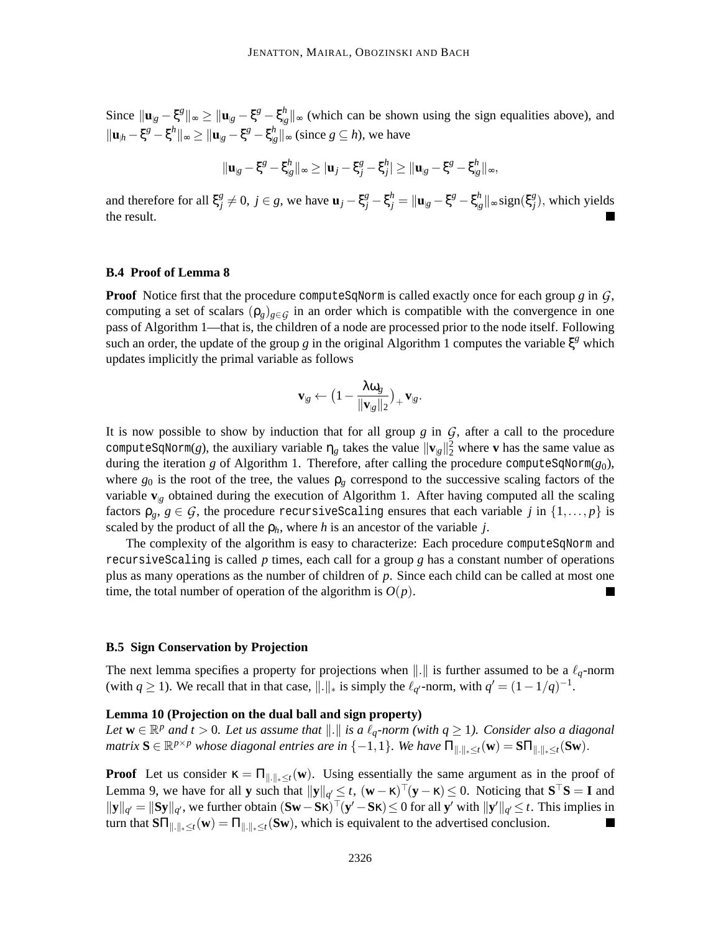$\text{Since } \|\mathbf{u}_{g} - \xi^{g}\|_{\infty} \geq \|\mathbf{u}_{g} - \xi^{g} - \xi^{h}_{g}\|_{\infty}$  $\binom{n}{|g|}$  ≈ (which can be shown using the sign equalities above), and  $\|\mathbf{u}_{h} - \xi^{g} - \xi^{h}\|_{\infty} \geq \|\mathbf{u}_{g} - \xi^{g} - \xi^{h}_{g}\|_{\infty}$  $\int_{\mathcal{B}}^{n}$  ||∞ (since *g* ⊆ *h*), we have

$$
\|\mathbf{u}_{\mathcal{B}}-\xi^g-\xi^h_{\mathcal{B}}\|_{\infty}\geq|\mathbf{u}_j-\xi^g_j-\xi^h_j|\geq \|\mathbf{u}_{\mathcal{B}}-\xi^g-\xi^h_{\mathcal{B}}\|_{\infty},
$$

and therefore for all ξ *g*  $g^g_j \neq 0$ ,  $j \in g$ , we have  $\mathbf{u}_j - \xi_j^g - \xi_j^h = ||\mathbf{u}_{|g} - \xi^g - \xi_{|g}^h||$  $\frac{h}{|g}$ ||∞ sign(ξ $\frac{g}{j}$ *j* ), which yields the result.

#### **B.4 Proof of Lemma 8**

**Proof** Notice first that the procedure computeSqNorm is called exactly once for each group *g* in  $G$ , computing a set of scalars  $(\rho_g)_{g \in G}$  in an order which is compatible with the convergence in one pass of Algorithm 1—that is, the children of a node are processed prior to the node itself. Following such an order, the update of the group *g* in the original Algorithm 1 computes the variable  $\xi^g$  which updates implicitly the primal variable as follows

$$
\mathbf{v}_{\vert g} \leftarrow \big(1 - \frac{\lambda \omega_g}{\|\mathbf{v}_{\vert g}\|_2}\big)_+ \mathbf{v}_{\vert g}.
$$

It is now possible to show by induction that for all group  $g$  in  $\mathcal G$ , after a call to the procedure computeSqNorm(*g*), the auxiliary variable  $\eta_g$  takes the value  $\|\mathbf{v}_{g}\|_2^2$  where **v** has the same value as during the iteration *g* of Algorithm 1. Therefore, after calling the procedure computeSqNorm(*g*0), where  $g_0$  is the root of the tree, the values  $\rho_\rho$  correspond to the successive scaling factors of the variable  $\mathbf{v}_{|g}$  obtained during the execution of Algorithm 1. After having computed all the scaling factors  $\rho_g$ ,  $g \in \mathcal{G}$ , the procedure recursive Scaling ensures that each variable *j* in  $\{1,\ldots,p\}$  is scaled by the product of all the  $\rho_h$ , where *h* is an ancestor of the variable *j*.

The complexity of the algorithm is easy to characterize: Each procedure computeSqNorm and recursiveScaling is called *p* times, each call for a group *g* has a constant number of operations plus as many operations as the number of children of *p*. Since each child can be called at most one time, the total number of operation of the algorithm is  $O(p)$ .

## **B.5 Sign Conservation by Projection**

The next lemma specifies a property for projections when  $\Vert . \Vert$  is further assumed to be a  $\ell_q$ -norm (with  $q \ge 1$ ). We recall that in that case,  $\|\cdot\|_*$  is simply the  $\ell_{q'}$ -norm, with  $q' = (1 - 1/q)^{-1}$ .

#### **Lemma 10 (Projection on the dual ball and sign property)**

*Let*  $\mathbf{w} \in \mathbb{R}^p$  and  $t > 0$ . Let us assume that  $|| \cdot ||$  is a  $\ell_q$ -norm (with  $q \ge 1$ ). Consider also a diagonal  $matrix \ S \in \mathbb{R}^{p \times p}$  whose diagonal entries are in {-1,1}*. We have*  $\Pi_{\|\cdot\|_* \leq t}(\mathbf{w}) = \mathbf{S} \Pi_{\|\cdot\|_* \leq t}(\mathbf{S} \mathbf{w})$ *.* 

**Proof** Let us consider  $\kappa = \prod_{\|\cdot\|_{*} \leq t}(\mathbf{w})$ . Using essentially the same argument as in the proof of Lemma 9, we have for all **y** such that  $\|\mathbf{y}\|_{q'} \leq t$ ,  $(\mathbf{w} - \kappa)^{T}(\mathbf{y} - \kappa) \leq 0$ . Noticing that  $\mathbf{S}^{\top} \mathbf{S} = \mathbf{I}$  and  $\|\mathbf{y}\|_{q'} = \|\mathbf{S}\mathbf{y}\|_{q'}$ , we further obtain  $(\mathbf{S}\mathbf{w}-\mathbf{S}\mathbf{\kappa})^\top(\mathbf{y'}-\mathbf{S}\mathbf{\kappa}) \leq 0$  for all  $\mathbf{y'}$  with  $\|\mathbf{y'}\|_{q'} \leq t$ . This implies in turn that  $\text{S}\Pi_{\|\cdot\|_*\leq t}(\mathbf{w}) = \Pi_{\|\cdot\|_*\leq t}(\text{S}\mathbf{w})$ , which is equivalent to the advertised conclusion.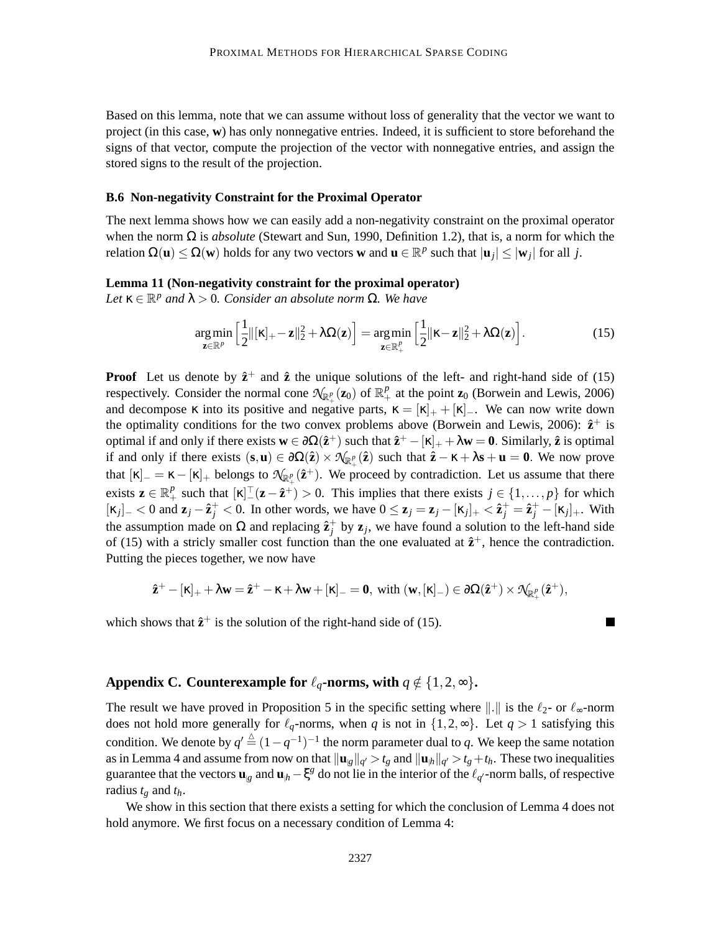Based on this lemma, note that we can assume without loss of generality that the vector we want to project (in this case, **w**) has only nonnegative entries. Indeed, it is sufficient to store beforehand the signs of that vector, compute the projection of the vector with nonnegative entries, and assign the stored signs to the result of the projection.

#### **B.6 Non-negativity Constraint for the Proximal Operator**

The next lemma shows how we can easily add a non-negativity constraint on the proximal operator when the norm Ω is *absolute* (Stewart and Sun, 1990, Definition 1.2), that is, a norm for which the relation  $\Omega(\mathbf{u}) \leq \Omega(\mathbf{w})$  holds for any two vectors **w** and  $\mathbf{u} \in \mathbb{R}^p$  such that  $|\mathbf{u}_j| \leq |\mathbf{w}_j|$  for all *j*.

#### **Lemma 11 (Non-negativity constraint for the proximal operator)**

 $Let \kappa \in \mathbb{R}^p$  *and*  $\lambda > 0$ *. Consider an absolute norm*  $\Omega$ *. We have* 

$$
\underset{\mathbf{z}\in\mathbb{R}^p}{\arg\min} \left[\frac{1}{2}||[\mathbf{x}]_+ - \mathbf{z}||_2^2 + \lambda\Omega(\mathbf{z})\right] = \underset{\mathbf{z}\in\mathbb{R}_+^p}{\arg\min} \left[\frac{1}{2}||\mathbf{x} - \mathbf{z}||_2^2 + \lambda\Omega(\mathbf{z})\right].\tag{15}
$$

**Proof** Let us denote by  $\hat{\mathbf{z}}^+$  and  $\hat{\mathbf{z}}$  the unique solutions of the left- and right-hand side of (15) respectively. Consider the normal cone  $\mathcal{N}_{\mathbb{R}^p_+}(\mathbf{z}_0)$  of  $\mathbb{R}^p_+$  at the point  $\mathbf{z}_0$  (Borwein and Lewis, 2006) and decompose  $\kappa$  into its positive and negative parts,  $\kappa = [\kappa]_+ + [\kappa]_-$ . We can now write down the optimality conditions for the two convex problems above (Borwein and Lewis, 2006):  $\hat{z}^+$  is optimal if and only if there exists  $\mathbf{w} \in \partial\Omega(\hat{\mathbf{z}}^+)$  such that  $\hat{\mathbf{z}}^+ - [\mathbf{k}]_+ + \lambda \mathbf{w} = \mathbf{0}$ . Similarly,  $\hat{\mathbf{z}}$  is optimal if and only if there exists  $(s, u) \in \partial\Omega(\hat{z}) \times \mathcal{N}_{\mathbb{R}^p_+}(\hat{z})$  such that  $\hat{z} - \kappa + \lambda s + u = 0$ . We now prove that  $[\kappa]_-=\kappa-[\kappa]_+$  belongs to  $\mathcal{N}_{\mathbb{R}_+^p}(\hat{\mathbf{z}}^+)$ . We proceed by contradiction. Let us assume that there exists  $\mathbf{z} \in \mathbb{R}_+^p$  such that  $[\kappa]^\top (\mathbf{z} - \hat{\mathbf{z}}^+) > 0$ . This implies that there exists  $j \in \{1, ..., p\}$  for which  $[\kappa_j]_-\langle 0 \text{ and } \mathbf{z}_j - \hat{\mathbf{z}}_j^+ \langle 0 \rangle]$ . In other words, we have  $0 \leq \mathbf{z}_j = \mathbf{z}_j - [\kappa_j]_+ \langle \hat{\mathbf{z}}_j^+ = \hat{\mathbf{z}}_j^+ - [\kappa_j]_+$ . With the assumption made on  $\Omega$  and replacing  $\hat{\mathbf{z}}_j^+$  by  $\mathbf{z}_j$ , we have found a solution to the left-hand side of (15) with a stricly smaller cost function than the one evaluated at  $\hat{\mathbf{z}}^+$ , hence the contradiction. Putting the pieces together, we now have

$$
\mathbf{\hat{z}}^+ -[\kappa]_+ + \lambda \mathbf{w} = \mathbf{\hat{z}}^+ - \kappa + \lambda \mathbf{w} + [\kappa]_- = \mathbf{0}, \text{ with } (\mathbf{w}, [\kappa]_-) \in \partial \Omega(\mathbf{\hat{z}}^+) \times \mathcal{N}_{\mathbb{R}_+^p}(\mathbf{\hat{z}}^+),
$$

which shows that  $\hat{z}^+$  is the solution of the right-hand side of (15).

## **Appendix C. Counterexample for**  $\ell_q$ -norms, with  $q \notin \{1,2,\infty\}$ .

The result we have proved in Proposition 5 in the specific setting where  $\|\cdot\|$  is the  $\ell_2$ - or  $\ell_{\infty}$ -norm does not hold more generally for  $\ell_q$ -norms, when *q* is not in  $\{1,2,\infty\}$ . Let  $q > 1$  satisfying this condition. We denote by  $q' \triangleq (1 - q^{-1})^{-1}$  the norm parameter dual to *q*. We keep the same notation as in Lemma 4 and assume from now on that  $\|\mathbf{u}_{g}\|_{q'} > t_{g}$  and  $\|\mathbf{u}_{h}\|_{q'} > t_{g} + t_{h}$ . These two inequalities guarantee that the vectors  $\mathbf{u}_{g}$  and  $\mathbf{u}_{h} - \xi^{g}$  do not lie in the interior of the  $\ell_{q'}$ -norm balls, of respective radius  $t<sub>g</sub>$  and  $t<sub>h</sub>$ .

We show in this section that there exists a setting for which the conclusion of Lemma 4 does not hold anymore. We first focus on a necessary condition of Lemma 4: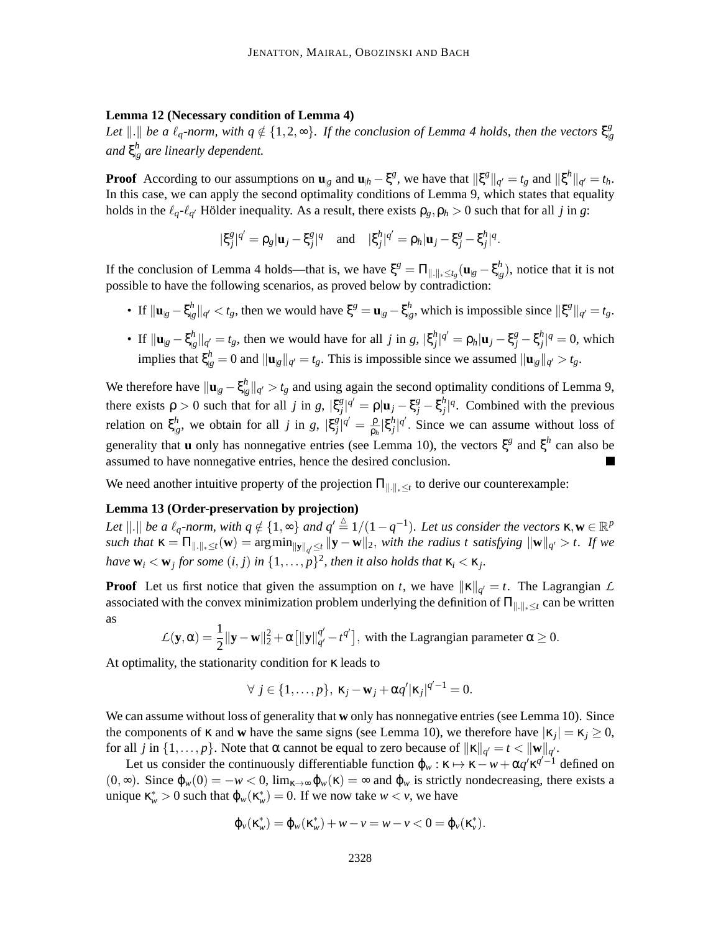## **Lemma 12 (Necessary condition of Lemma 4)**

Let  $\Vert . \Vert$  be a  $\ell_q$ -norm, with  $q \notin \{1, 2, \infty\}$ . If the conclusion of Lemma 4 holds, then the vectors  $\xi_g^g$ |*g and* ξ *h* |*g are linearly dependent.*

**Proof** According to our assumptions on  $\mathbf{u}_{g}$  and  $\mathbf{u}_{h} - \xi^{g}$ , we have that  $\|\xi^{g}\|_{q'} = t_{g}$  and  $\|\xi^{h}\|_{q'} = t_{h}$ . In this case, we can apply the second optimality conditions of Lemma 9, which states that equality holds in the  $\ell_q$ - $\ell_{q'}$  Hölder inequality. As a result, there exists  $\rho_g$ ,  $\rho_h > 0$  such that for all *j* in *g*:

$$
|\xi_j^g|^{q'} = \rho_g |\mathbf{u}_j - \xi_j^g|^q \quad \text{and} \quad |\xi_j^h|^{q'} = \rho_h |\mathbf{u}_j - \xi_j^g - \xi_j^h|^q.
$$

If the conclusion of Lemma 4 holds—that is, we have  $\xi^g = \Pi_{\|\cdot\|_* \le t_g} (\mathbf{u}_{g} - \xi^h)$  $\binom{n}{|g}$ , notice that it is not possible to have the following scenarios, as proved below by contradiction:

- If  $\|\mathbf{u}_{g}-\xi_{g}^{h}\|$  $\left\| \frac{h}{|g|} \right\|_{q'} < t_g$ , then we would have ξ $^g = \mathbf{u}_{|g} - \xi^h_{|g}$  $\int_{\mathcal{B}}^{h}$ , which is impossible since  $\|\xi^g\|_{q'} = t_g$ .
- If  $\|\mathbf{u}_{\vert g} \xi^h_{\vert g}$  $\left[\frac{h}{|g|}\right]_{q'} = t_g$ , then we would have for all *j* in *g*,  $\left|\xi_j\right|$  $j^h_j |^{q'} = \rho_h | \mathbf{u}_j - \xi_j^g - \xi_j^h$  $j<sup>h</sup>$ <sub>*j*</sub> $|q = 0$ , which implies that  $\xi_{g}^{h} = 0$  and  $||\mathbf{u}_{g}||_{q'} = t_{g}$ . This is impossible since we assumed  $||\mathbf{u}_{g}||_{q'} > t_{g}$ .

We therefore have  $\|\mathbf{u}_{g} - \xi_{g}^{h}\|$  $\binom{n}{|\mathcal{G}|}}{q'} > t_g$  and using again the second optimality conditions of Lemma 9, there exists  $\rho > 0$  such that for all *j* in *g*,  $|\xi_j^g$  $\int_j^g$  $|q' = \rho |$ **u**<sub>*j*</sub> – ξ<sup>*h*</sup><sub>*j*</sub> – ξ<sup>*h*</sup><sub>*j*</sub>  $j^{h}$ <sup> $q$ </sup>. Combined with the previous relation on ξ *h*  $\int_{g}^{h}$ , we obtain for all *j* in *g*,  $|\xi_j^g|$  $\frac{g}{\rho}$ |q' =  $\frac{\rho}{\rho}$ ρ*h* |ξ *h*  $j<sup>h</sup>_{j}$ | $q'$ . Since we can assume without loss of generality that **u** only has nonnegative entries (see Lemma 10), the vectors  $\xi^g$  and  $\xi^h$  can also be assumed to have nonnegative entries, hence the desired conclusion.

We need another intuitive property of the projection  $\Pi_{\|\cdot\|_*\leq t}$  to derive our counterexample:

## **Lemma 13 (Order-preservation by projection)**

Let  $\Vert . \Vert$  be a  $\ell_q$ -norm, with  $q \notin \{1, \infty\}$  and  $q' \triangleq 1/(1-q^{-1})$ . Let us consider the vectors  $\kappa, \mathbf{w} \in \mathbb{R}^p$ *such that* <sup>κ</sup> <sup>=</sup> <sup>Π</sup>k.k∗≤*t*(**w**) = argmink**y**k*<sup>q</sup>* ′≤*t* k**y** − **w**k2, *with the radius t satisfying* k**w**k*<sup>q</sup>* ′ > *t. If we have*  $\mathbf{w}_i < \mathbf{w}_j$  *for some*  $(i, j)$  *in*  $\{1, \ldots, p\}^2$ *, then it also holds that*  $\kappa_i < \kappa_j$ *.* 

**Proof** Let us first notice that given the assumption on *t*, we have  $||\mathbf{x}||_q = t$ . The Lagrangian *L* associated with the convex minimization problem underlying the definition of  $\Pi_{\|.\|_{*}\leq t}$  can be written as

$$
\mathcal{L}(\mathbf{y}, \alpha) = \frac{1}{2} ||\mathbf{y} - \mathbf{w}||_2^2 + \alpha \left[ ||\mathbf{y}||_{q'}^{q'} - t^{q'} \right],
$$
 with the Lagrangian parameter  $\alpha \ge 0$ .

At optimality, the stationarity condition for κ leads to

$$
\forall j \in \{1,\ldots,p\}, \ \kappa_j - \mathbf{w}_j + \alpha q' |\kappa_j|^{q'-1} = 0.
$$

We can assume without loss of generality that **w** only has nonnegative entries (see Lemma 10). Since the components of  $\kappa$  and **w** have the same signs (see Lemma 10), we therefore have  $|\kappa_j| = \kappa_j \ge 0$ , for all *j* in  $\{1,\ldots,p\}$ . Note that  $\alpha$  cannot be equal to zero because of  $\|\kappa\|_{q'} = t < \|\mathbf{w}\|_{q'}.$ 

Let us consider the continuously differentiable function  $\varphi_w : \kappa \mapsto \kappa - w + \alpha q' \kappa^{q'-1}$  defined on  $(0, \infty)$ . Since  $\varphi_w(0) = -w < 0$ ,  $\lim_{\kappa \to \infty} \varphi_w(\kappa) = \infty$  and  $\varphi_w$  is strictly nondecreasing, there exists a unique  $\kappa_w^* > 0$  such that  $\varphi_w(\kappa_w^*) = 0$ . If we now take  $w < v$ , we have

$$
\varphi_{v}(\kappa_{w}^{*}) = \varphi_{w}(\kappa_{w}^{*}) + w - v = w - v < 0 = \varphi_{v}(\kappa_{v}^{*}).
$$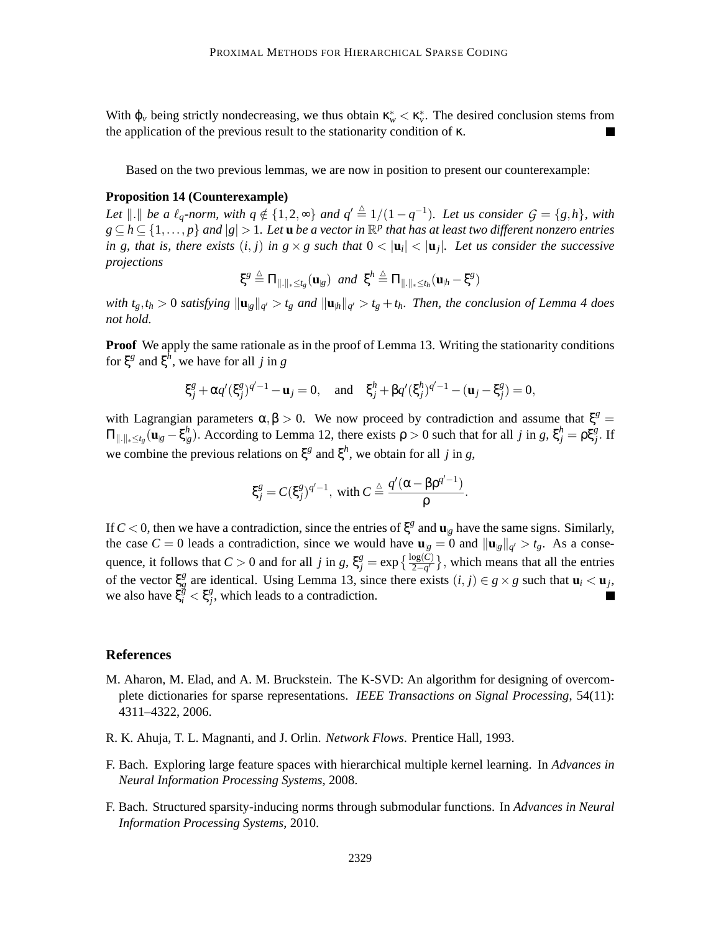With  $\varphi_\nu$  being strictly nondecreasing, we thus obtain  $\kappa^*_{\nu} < \kappa^*_{\nu}$ . The desired conclusion stems from the application of the previous result to the stationarity condition of κ.

Based on the two previous lemmas, we are now in position to present our counterexample:

## **Proposition 14 (Counterexample)**

*Let*  $\|\cdot\|$  *be a*  $\ell_q$ -norm, with  $q \notin \{1, 2, \infty\}$  and  $q' \stackrel{\Delta}{=} 1/(1 - q^{-1})$ *. Let us consider*  $G = \{g, h\}$ *, with*  $g\subseteq h\subseteq \{1,\ldots,p\}$  and  $|g|>1$ . Let  $\bf{u}$  *be a vector in*  $\mathbb{R}^p$  that has at least two different nonzero entries *in g, that is, there exists*  $(i, j)$  *in g*  $\times$  *g such that*  $0 < |$ **u**<sub>*i*</sub> $|$   $<$   $|$ **u**<sub>*j*</sub> $|$ *. Let us consider the successive projections*

$$
\xi^g \stackrel{\triangle}{=} \Pi_{\|\cdot\|_{*} \leq t_g}(\mathbf{u}_{g}) \ \ \text{and} \ \ \xi^h \stackrel{\triangle}{=} \Pi_{\|\cdot\|_{*} \leq t_h}(\mathbf{u}_{h} - \xi^g)
$$

with  $t_g, t_h > 0$  satisfying  $\|\mathbf{u}_{g}\|_{q'} > t_g$  and  $\|\mathbf{u}_{h}\|_{q'} > t_g + t_h$ . Then, the conclusion of Lemma 4 does *not hold.*

**Proof** We apply the same rationale as in the proof of Lemma 13. Writing the stationarity conditions for  $\xi^g$  and  $\xi^h$ , we have for all *j* in *g* 

$$
\xi_j^g + \alpha q'(\xi_j^g)^{q'-1} - \mathbf{u}_j = 0
$$
, and  $\xi_j^h + \beta q'(\xi_j^h)^{q'-1} - (\mathbf{u}_j - \xi_j^g) = 0$ ,

with Lagrangian parameters  $\alpha, \beta > 0$ . We now proceed by contradiction and assume that  $\xi^g =$  $\Pi_{\|.\|_\ast\leq t_g} (\mathbf{u}_{\vert g} - \xi_{\vert g}^h$  $\int_{g}^{h}$ . According to Lemma 12, there exists  $\rho > 0$  such that for all *j* in *g*,  $\xi_j^h = \rho \xi_j^g$ . If we combine the previous relations on  $\xi^g$  and  $\xi^h$ , we obtain for all *j* in *g*,

$$
\xi_j^g = C(\xi_j^g)^{q'-1}, \text{ with } C \stackrel{\triangle}{=} \frac{q'(\alpha - \beta \rho^{q'-1})}{\rho}.
$$

If  $C < 0$ , then we have a contradiction, since the entries of  $\xi^g$  and  $\mathbf{u}_{g}$  have the same signs. Similarly, the case  $C = 0$  leads a contradiction, since we would have  $\mathbf{u}_{g} = 0$  and  $\|\mathbf{u}_{g}\|_{q'} > t_{g}$ . As a consequence, it follows that  $C > 0$  and for all *j* in *g*,  $\xi_j^g = \exp\left\{\frac{\log(C)}{2-q'}\right\}$ , which means that all the entries of the vector ξ *g g* are identical. Using Lemma 13, since there exists  $(i, j) \in g \times g$  such that  $\mathbf{u}_i < \mathbf{u}_j$ , we also have  $\xi_i^g < \xi_j^g$  $j^g$ , which leads to a contradiction.

### **References**

- M. Aharon, M. Elad, and A. M. Bruckstein. The K-SVD: An algorithm for designing of overcomplete dictionaries for sparse representations. *IEEE Transactions on Signal Processing*, 54(11): 4311–4322, 2006.
- R. K. Ahuja, T. L. Magnanti, and J. Orlin. *Network Flows*. Prentice Hall, 1993.
- F. Bach. Exploring large feature spaces with hierarchical multiple kernel learning. In *Advances in Neural Information Processing Systems*, 2008.
- F. Bach. Structured sparsity-inducing norms through submodular functions. In *Advances in Neural Information Processing Systems*, 2010.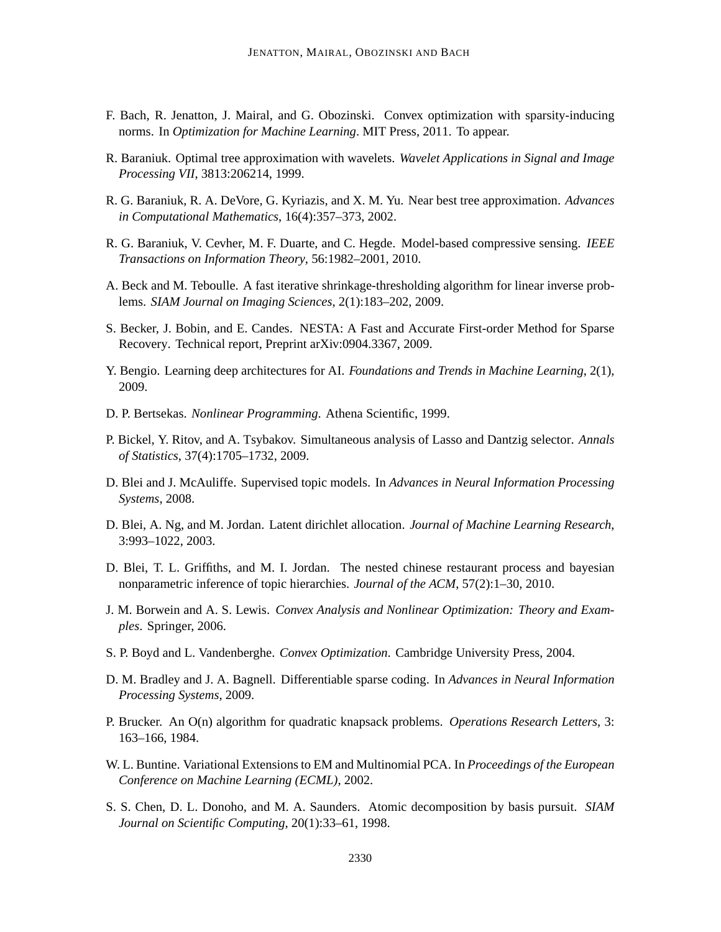- F. Bach, R. Jenatton, J. Mairal, and G. Obozinski. Convex optimization with sparsity-inducing norms. In *Optimization for Machine Learning*. MIT Press, 2011. To appear.
- R. Baraniuk. Optimal tree approximation with wavelets. *Wavelet Applications in Signal and Image Processing VII*, 3813:206214, 1999.
- R. G. Baraniuk, R. A. DeVore, G. Kyriazis, and X. M. Yu. Near best tree approximation. *Advances in Computational Mathematics*, 16(4):357–373, 2002.
- R. G. Baraniuk, V. Cevher, M. F. Duarte, and C. Hegde. Model-based compressive sensing. *IEEE Transactions on Information Theory*, 56:1982–2001, 2010.
- A. Beck and M. Teboulle. A fast iterative shrinkage-thresholding algorithm for linear inverse problems. *SIAM Journal on Imaging Sciences*, 2(1):183–202, 2009.
- S. Becker, J. Bobin, and E. Candes. NESTA: A Fast and Accurate First-order Method for Sparse Recovery. Technical report, Preprint arXiv:0904.3367, 2009.
- Y. Bengio. Learning deep architectures for AI. *Foundations and Trends in Machine Learning*, 2(1), 2009.
- D. P. Bertsekas. *Nonlinear Programming*. Athena Scientific, 1999.
- P. Bickel, Y. Ritov, and A. Tsybakov. Simultaneous analysis of Lasso and Dantzig selector. *Annals of Statistics*, 37(4):1705–1732, 2009.
- D. Blei and J. McAuliffe. Supervised topic models. In *Advances in Neural Information Processing Systems*, 2008.
- D. Blei, A. Ng, and M. Jordan. Latent dirichlet allocation. *Journal of Machine Learning Research*, 3:993–1022, 2003.
- D. Blei, T. L. Griffiths, and M. I. Jordan. The nested chinese restaurant process and bayesian nonparametric inference of topic hierarchies. *Journal of the ACM*, 57(2):1–30, 2010.
- J. M. Borwein and A. S. Lewis. *Convex Analysis and Nonlinear Optimization: Theory and Examples*. Springer, 2006.
- S. P. Boyd and L. Vandenberghe. *Convex Optimization*. Cambridge University Press, 2004.
- D. M. Bradley and J. A. Bagnell. Differentiable sparse coding. In *Advances in Neural Information Processing Systems*, 2009.
- P. Brucker. An O(n) algorithm for quadratic knapsack problems. *Operations Research Letters*, 3: 163–166, 1984.
- W. L. Buntine. Variational Extensions to EM and Multinomial PCA. In *Proceedings of the European Conference on Machine Learning (ECML)*, 2002.
- S. S. Chen, D. L. Donoho, and M. A. Saunders. Atomic decomposition by basis pursuit. *SIAM Journal on Scientific Computing*, 20(1):33–61, 1998.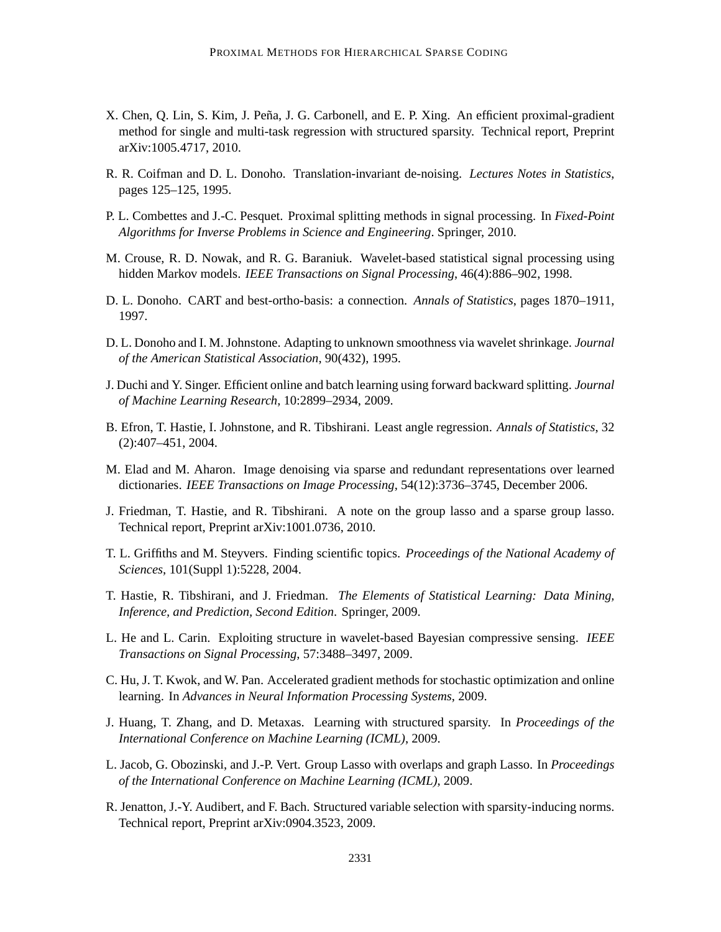- X. Chen, Q. Lin, S. Kim, J. Peña, J. G. Carbonell, and E. P. Xing. An efficient proximal-gradient method for single and multi-task regression with structured sparsity. Technical report, Preprint arXiv:1005.4717, 2010.
- R. R. Coifman and D. L. Donoho. Translation-invariant de-noising. *Lectures Notes in Statistics*, pages 125–125, 1995.
- P. L. Combettes and J.-C. Pesquet. Proximal splitting methods in signal processing. In *Fixed-Point Algorithms for Inverse Problems in Science and Engineering*. Springer, 2010.
- M. Crouse, R. D. Nowak, and R. G. Baraniuk. Wavelet-based statistical signal processing using hidden Markov models. *IEEE Transactions on Signal Processing*, 46(4):886–902, 1998.
- D. L. Donoho. CART and best-ortho-basis: a connection. *Annals of Statistics*, pages 1870–1911, 1997.
- D. L. Donoho and I. M. Johnstone. Adapting to unknown smoothness via wavelet shrinkage. *Journal of the American Statistical Association*, 90(432), 1995.
- J. Duchi and Y. Singer. Efficient online and batch learning using forward backward splitting. *Journal of Machine Learning Research*, 10:2899–2934, 2009.
- B. Efron, T. Hastie, I. Johnstone, and R. Tibshirani. Least angle regression. *Annals of Statistics*, 32 (2):407–451, 2004.
- M. Elad and M. Aharon. Image denoising via sparse and redundant representations over learned dictionaries. *IEEE Transactions on Image Processing*, 54(12):3736–3745, December 2006.
- J. Friedman, T. Hastie, and R. Tibshirani. A note on the group lasso and a sparse group lasso. Technical report, Preprint arXiv:1001.0736, 2010.
- T. L. Griffiths and M. Steyvers. Finding scientific topics. *Proceedings of the National Academy of Sciences*, 101(Suppl 1):5228, 2004.
- T. Hastie, R. Tibshirani, and J. Friedman. *The Elements of Statistical Learning: Data Mining, Inference, and Prediction, Second Edition*. Springer, 2009.
- L. He and L. Carin. Exploiting structure in wavelet-based Bayesian compressive sensing. *IEEE Transactions on Signal Processing*, 57:3488–3497, 2009.
- C. Hu, J. T. Kwok, and W. Pan. Accelerated gradient methods for stochastic optimization and online learning. In *Advances in Neural Information Processing Systems*, 2009.
- J. Huang, T. Zhang, and D. Metaxas. Learning with structured sparsity. In *Proceedings of the International Conference on Machine Learning (ICML)*, 2009.
- L. Jacob, G. Obozinski, and J.-P. Vert. Group Lasso with overlaps and graph Lasso. In *Proceedings of the International Conference on Machine Learning (ICML)*, 2009.
- R. Jenatton, J.-Y. Audibert, and F. Bach. Structured variable selection with sparsity-inducing norms. Technical report, Preprint arXiv:0904.3523, 2009.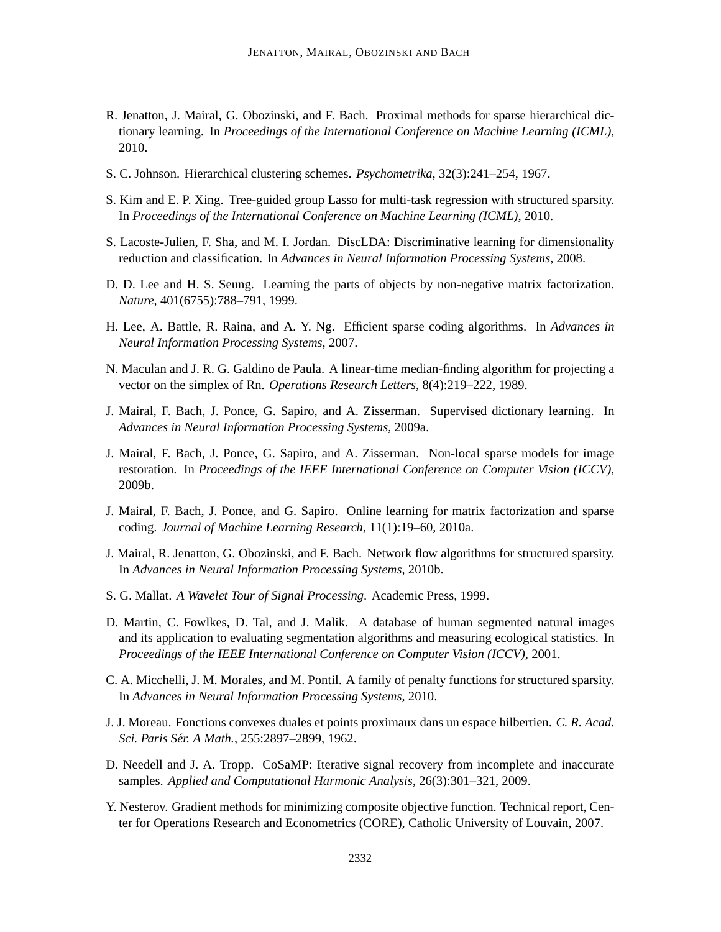- R. Jenatton, J. Mairal, G. Obozinski, and F. Bach. Proximal methods for sparse hierarchical dictionary learning. In *Proceedings of the International Conference on Machine Learning (ICML)*, 2010.
- S. C. Johnson. Hierarchical clustering schemes. *Psychometrika*, 32(3):241–254, 1967.
- S. Kim and E. P. Xing. Tree-guided group Lasso for multi-task regression with structured sparsity. In *Proceedings of the International Conference on Machine Learning (ICML)*, 2010.
- S. Lacoste-Julien, F. Sha, and M. I. Jordan. DiscLDA: Discriminative learning for dimensionality reduction and classification. In *Advances in Neural Information Processing Systems*, 2008.
- D. D. Lee and H. S. Seung. Learning the parts of objects by non-negative matrix factorization. *Nature*, 401(6755):788–791, 1999.
- H. Lee, A. Battle, R. Raina, and A. Y. Ng. Efficient sparse coding algorithms. In *Advances in Neural Information Processing Systems*, 2007.
- N. Maculan and J. R. G. Galdino de Paula. A linear-time median-finding algorithm for projecting a vector on the simplex of Rn. *Operations Research Letters*, 8(4):219–222, 1989.
- J. Mairal, F. Bach, J. Ponce, G. Sapiro, and A. Zisserman. Supervised dictionary learning. In *Advances in Neural Information Processing Systems*, 2009a.
- J. Mairal, F. Bach, J. Ponce, G. Sapiro, and A. Zisserman. Non-local sparse models for image restoration. In *Proceedings of the IEEE International Conference on Computer Vision (ICCV)*, 2009b.
- J. Mairal, F. Bach, J. Ponce, and G. Sapiro. Online learning for matrix factorization and sparse coding. *Journal of Machine Learning Research*, 11(1):19–60, 2010a.
- J. Mairal, R. Jenatton, G. Obozinski, and F. Bach. Network flow algorithms for structured sparsity. In *Advances in Neural Information Processing Systems*, 2010b.
- S. G. Mallat. *A Wavelet Tour of Signal Processing*. Academic Press, 1999.
- D. Martin, C. Fowlkes, D. Tal, and J. Malik. A database of human segmented natural images and its application to evaluating segmentation algorithms and measuring ecological statistics. In *Proceedings of the IEEE International Conference on Computer Vision (ICCV)*, 2001.
- C. A. Micchelli, J. M. Morales, and M. Pontil. A family of penalty functions for structured sparsity. In *Advances in Neural Information Processing Systems*, 2010.
- J. J. Moreau. Fonctions convexes duales et points proximaux dans un espace hilbertien. *C. R. Acad. Sci. Paris Ser. A Math. ´* , 255:2897–2899, 1962.
- D. Needell and J. A. Tropp. CoSaMP: Iterative signal recovery from incomplete and inaccurate samples. *Applied and Computational Harmonic Analysis*, 26(3):301–321, 2009.
- Y. Nesterov. Gradient methods for minimizing composite objective function. Technical report, Center for Operations Research and Econometrics (CORE), Catholic University of Louvain, 2007.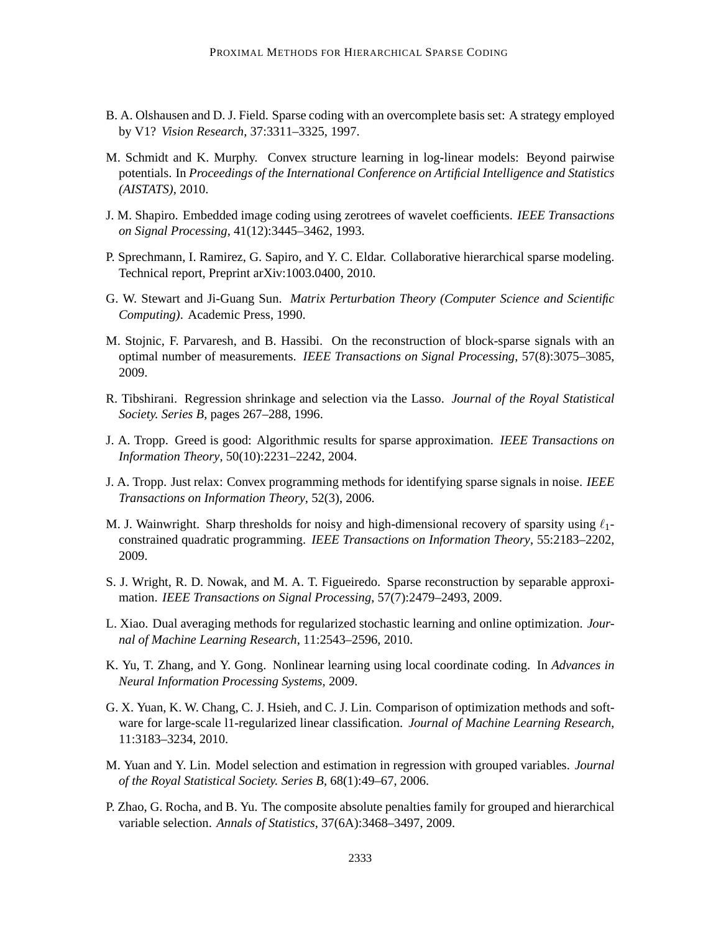- B. A. Olshausen and D. J. Field. Sparse coding with an overcomplete basis set: A strategy employed by V1? *Vision Research*, 37:3311–3325, 1997.
- M. Schmidt and K. Murphy. Convex structure learning in log-linear models: Beyond pairwise potentials. In *Proceedings of the International Conference on Artificial Intelligence and Statistics (AISTATS)*, 2010.
- J. M. Shapiro. Embedded image coding using zerotrees of wavelet coefficients. *IEEE Transactions on Signal Processing*, 41(12):3445–3462, 1993.
- P. Sprechmann, I. Ramirez, G. Sapiro, and Y. C. Eldar. Collaborative hierarchical sparse modeling. Technical report, Preprint arXiv:1003.0400, 2010.
- G. W. Stewart and Ji-Guang Sun. *Matrix Perturbation Theory (Computer Science and Scientific Computing)*. Academic Press, 1990.
- M. Stojnic, F. Parvaresh, and B. Hassibi. On the reconstruction of block-sparse signals with an optimal number of measurements. *IEEE Transactions on Signal Processing*, 57(8):3075–3085, 2009.
- R. Tibshirani. Regression shrinkage and selection via the Lasso. *Journal of the Royal Statistical Society. Series B*, pages 267–288, 1996.
- J. A. Tropp. Greed is good: Algorithmic results for sparse approximation. *IEEE Transactions on Information Theory*, 50(10):2231–2242, 2004.
- J. A. Tropp. Just relax: Convex programming methods for identifying sparse signals in noise. *IEEE Transactions on Information Theory*, 52(3), 2006.
- M. J. Wainwright. Sharp thresholds for noisy and high-dimensional recovery of sparsity using  $\ell_1$ constrained quadratic programming. *IEEE Transactions on Information Theory*, 55:2183–2202, 2009.
- S. J. Wright, R. D. Nowak, and M. A. T. Figueiredo. Sparse reconstruction by separable approximation. *IEEE Transactions on Signal Processing*, 57(7):2479–2493, 2009.
- L. Xiao. Dual averaging methods for regularized stochastic learning and online optimization. *Journal of Machine Learning Research*, 11:2543–2596, 2010.
- K. Yu, T. Zhang, and Y. Gong. Nonlinear learning using local coordinate coding. In *Advances in Neural Information Processing Systems*, 2009.
- G. X. Yuan, K. W. Chang, C. J. Hsieh, and C. J. Lin. Comparison of optimization methods and software for large-scale l1-regularized linear classification. *Journal of Machine Learning Research*, 11:3183–3234, 2010.
- M. Yuan and Y. Lin. Model selection and estimation in regression with grouped variables. *Journal of the Royal Statistical Society. Series B*, 68(1):49–67, 2006.
- P. Zhao, G. Rocha, and B. Yu. The composite absolute penalties family for grouped and hierarchical variable selection. *Annals of Statistics*, 37(6A):3468–3497, 2009.